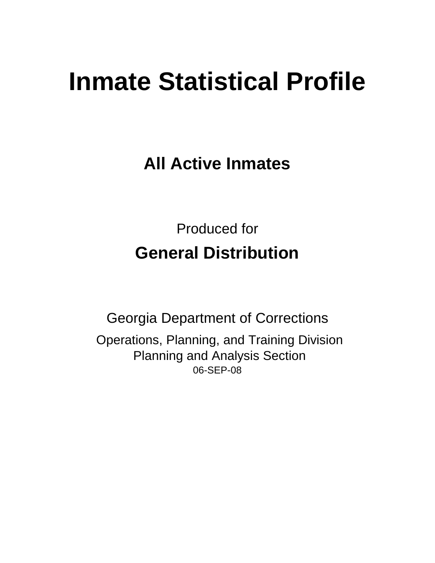# **Inmate Statistical Profile**

**All Active Inmates**

Produced for **General Distribution**

06-SEP-08 Georgia Department of Corrections Operations, Planning, and Training Division Planning and Analysis Section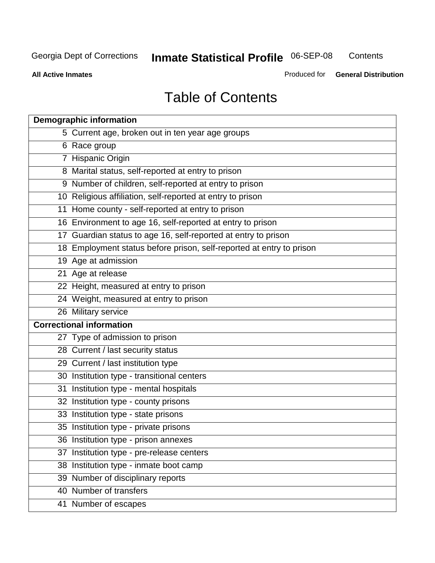**Contents** 

**All Active Inmates**

Produced for **General Distribution**

# Table of Contents

|    | <b>Demographic information</b>                                       |
|----|----------------------------------------------------------------------|
|    | 5 Current age, broken out in ten year age groups                     |
|    | 6 Race group                                                         |
|    | 7 Hispanic Origin                                                    |
|    | 8 Marital status, self-reported at entry to prison                   |
|    | 9 Number of children, self-reported at entry to prison               |
|    | 10 Religious affiliation, self-reported at entry to prison           |
|    | 11 Home county - self-reported at entry to prison                    |
|    | 16 Environment to age 16, self-reported at entry to prison           |
|    | 17 Guardian status to age 16, self-reported at entry to prison       |
|    | 18 Employment status before prison, self-reported at entry to prison |
|    | 19 Age at admission                                                  |
|    | 21 Age at release                                                    |
|    | 22 Height, measured at entry to prison                               |
|    | 24 Weight, measured at entry to prison                               |
|    | 26 Military service                                                  |
|    | <b>Correctional information</b>                                      |
|    | 27 Type of admission to prison                                       |
|    | 28 Current / last security status                                    |
|    | 29 Current / last institution type                                   |
|    | 30 Institution type - transitional centers                           |
|    | 31 Institution type - mental hospitals                               |
|    | 32 Institution type - county prisons                                 |
|    | 33 Institution type - state prisons                                  |
|    | 35 Institution type - private prisons                                |
|    | 36 Institution type - prison annexes                                 |
| 37 | Institution type - pre-release centers                               |
|    | 38 Institution type - inmate boot camp                               |
|    | 39 Number of disciplinary reports                                    |
|    | 40 Number of transfers                                               |
|    | 41 Number of escapes                                                 |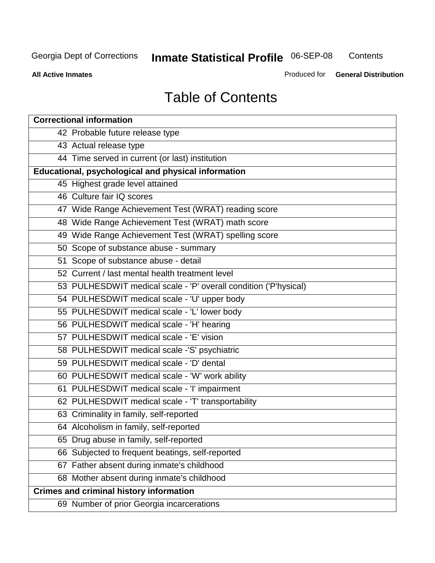**Contents** 

**All Active Inmates**

Produced for **General Distribution**

# Table of Contents

| <b>Correctional information</b>                                  |
|------------------------------------------------------------------|
| 42 Probable future release type                                  |
| 43 Actual release type                                           |
| 44 Time served in current (or last) institution                  |
| Educational, psychological and physical information              |
| 45 Highest grade level attained                                  |
| 46 Culture fair IQ scores                                        |
| 47 Wide Range Achievement Test (WRAT) reading score              |
| 48 Wide Range Achievement Test (WRAT) math score                 |
| 49 Wide Range Achievement Test (WRAT) spelling score             |
| 50 Scope of substance abuse - summary                            |
| 51 Scope of substance abuse - detail                             |
| 52 Current / last mental health treatment level                  |
| 53 PULHESDWIT medical scale - 'P' overall condition ('P'hysical) |
| 54 PULHESDWIT medical scale - 'U' upper body                     |
| 55 PULHESDWIT medical scale - 'L' lower body                     |
| 56 PULHESDWIT medical scale - 'H' hearing                        |
| 57 PULHESDWIT medical scale - 'E' vision                         |
| 58 PULHESDWIT medical scale -'S' psychiatric                     |
| 59 PULHESDWIT medical scale - 'D' dental                         |
| 60 PULHESDWIT medical scale - 'W' work ability                   |
| 61 PULHESDWIT medical scale - 'I' impairment                     |
| 62 PULHESDWIT medical scale - 'T' transportability               |
| 63 Criminality in family, self-reported                          |
| 64 Alcoholism in family, self-reported                           |
| 65 Drug abuse in family, self-reported                           |
| 66 Subjected to frequent beatings, self-reported                 |
| 67 Father absent during inmate's childhood                       |
| 68 Mother absent during inmate's childhood                       |
| <b>Crimes and criminal history information</b>                   |
| 69 Number of prior Georgia incarcerations                        |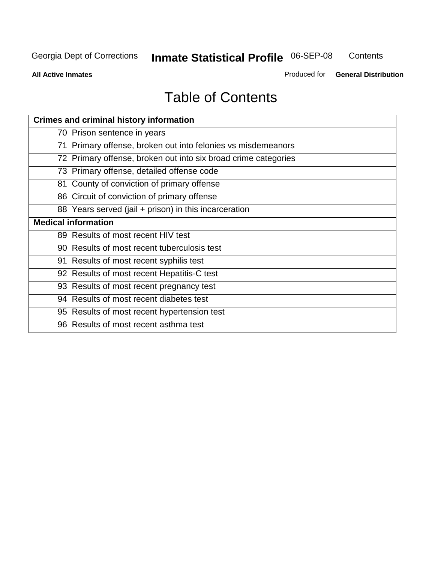**Contents** 

**All Active Inmates**

Produced for **General Distribution**

# Table of Contents

| <b>Crimes and criminal history information</b>                 |
|----------------------------------------------------------------|
| 70 Prison sentence in years                                    |
| 71 Primary offense, broken out into felonies vs misdemeanors   |
| 72 Primary offense, broken out into six broad crime categories |
| 73 Primary offense, detailed offense code                      |
| 81 County of conviction of primary offense                     |
| 86 Circuit of conviction of primary offense                    |
| 88 Years served (jail + prison) in this incarceration          |
| <b>Medical information</b>                                     |
| 89 Results of most recent HIV test                             |
| 90 Results of most recent tuberculosis test                    |
| 91 Results of most recent syphilis test                        |
| 92 Results of most recent Hepatitis-C test                     |
| 93 Results of most recent pregnancy test                       |
| 94 Results of most recent diabetes test                        |
| 95 Results of most recent hypertension test                    |
| 96 Results of most recent asthma test                          |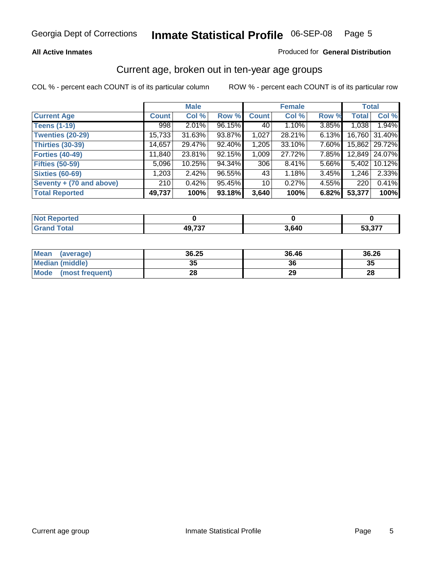### **All Active Inmates**

### Produced for **General Distribution**

### Current age, broken out in ten-year age groups

|                          |              | <b>Male</b> |        |              | <b>Female</b> |       |              | <b>Total</b>  |
|--------------------------|--------------|-------------|--------|--------------|---------------|-------|--------------|---------------|
| <b>Current Age</b>       | <b>Count</b> | Col %       | Row %  | <b>Count</b> | Col %         | Row % | <b>Total</b> | Col %         |
| <b>Teens (1-19)</b>      | 998          | $2.01\%$    | 96.15% | 40           | 1.10%         | 3.85% | 1,038        | 1.94%         |
| <b>Twenties (20-29)</b>  | 15,733       | 31.63%      | 93.87% | 1,027        | 28.21%        | 6.13% | 16,760       | 31.40%        |
| <b>Thirties (30-39)</b>  | 14,657       | 29.47%      | 92.40% | 1,205        | 33.10%        | 7.60% |              | 15,862 29.72% |
| <b>Forties (40-49)</b>   | 11,840       | 23.81%      | 92.15% | 1,009        | 27.72%        | 7.85% | 12,849       | 24.07%        |
| <b>Fifties (50-59)</b>   | 5,096        | 10.25%      | 94.34% | 306          | 8.41%         | 5.66% | 5,402        | 10.12%        |
| <b>Sixties (60-69)</b>   | 1,203        | 2.42%       | 96.55% | 43           | 1.18%         | 3.45% | 1,246        | 2.33%         |
| Seventy + (70 and above) | 210          | 0.42%       | 95.45% | 10           | 0.27%         | 4.55% | 220          | 0.41%         |
| <b>Total Reported</b>    | 49,737       | 100%        | 93.18% | 3,640        | 100%          | 6.82% | 53,377       | 100%          |

| سائط الأساب<br>rtea<br><b>NOT</b><br>. |               |       |                             |
|----------------------------------------|---------------|-------|-----------------------------|
|                                        | <b>AQ 737</b> | 3,640 | $\sim$ $\sim$ $\sim$ $\sim$ |

| <b>Mean</b><br>(average) | 36.25    | 36.46 | 36.26 |
|--------------------------|----------|-------|-------|
| <b>Median (middle)</b>   | つに<br>vu | 36    | 35    |
| Mode<br>(most frequent)  | 28       | 29    | 28    |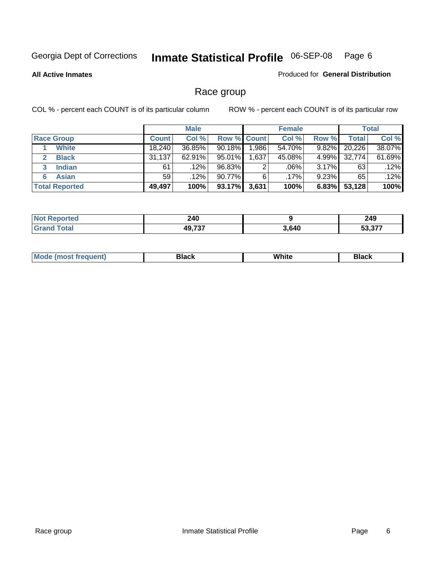**All Active Inmates**

### Produced for **General Distribution**

# Race group

|                       |              | <b>Male</b> |                    |       | <b>Female</b> |          |        | <b>Total</b> |
|-----------------------|--------------|-------------|--------------------|-------|---------------|----------|--------|--------------|
| <b>Race Group</b>     | <b>Count</b> | Col %       | <b>Row % Count</b> |       | Col %         | Row %    | Total  | Col %        |
| <b>White</b>          | 18.240       | 36.85%      | $90.18\%$          | 1,986 | 54.70%        | 9.82%    | 20,226 | 38.07%       |
| <b>Black</b>          | 31,137       | $62.91\%$   | 95.01%             | 1,637 | 45.08%        | 4.99%    | 32,774 | 61.69%       |
| <b>Indian</b><br>3    | 61           | .12%        | 96.83%             | 2     | .06%          | 3.17%    | 63     | .12%         |
| <b>Asian</b>          | 59           | .12%        | 90.77%             | 6     | .17%          | $9.23\%$ | 65     | $.12\%$      |
| <b>Total Reported</b> | 49,497       | 100%        | 93.17%             | 3,631 | 100%          | 6.83%    | 53,128 | 100%         |

| rted                  | 240<br>$\sim$ |       | 249<br>$\sim$                                     |
|-----------------------|---------------|-------|---------------------------------------------------|
| $f \wedge f \wedge f$ | 49,737        | 3,640 | $F^{\wedge}$ $\wedge$ $\rightarrow$ $\rightarrow$ |

| ____<br>____<br>$ -$ |  | Мe | Black | White | Black |
|----------------------|--|----|-------|-------|-------|
|----------------------|--|----|-------|-------|-------|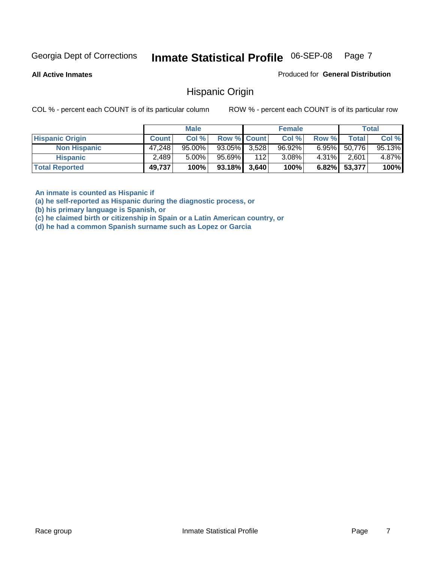**All Active Inmates**

Produced for **General Distribution**

### Hispanic Origin

COL % - percent each COUNT is of its particular column ROW % - percent each COUNT is of its particular row

|                        |              | <b>Male</b> |                    |     | <b>Female</b> |          |        | <b>Total</b> |
|------------------------|--------------|-------------|--------------------|-----|---------------|----------|--------|--------------|
| <b>Hispanic Origin</b> | <b>Count</b> | Col %       | <b>Row % Count</b> |     | Col %         | Row %    | Total  | Col %        |
| <b>Non Hispanic</b>    | 47,248       | $95.00\%$   | $93.05\%$ 3,528    |     | $96.92\%$     | $6.95\%$ | 50,776 | 95.13%       |
| <b>Hispanic</b>        | 2,489        | $5.00\%$    | 95.69%             | 112 | 3.08%         | $4.31\%$ | 2,601  | 4.87%        |
| <b>Total Reported</b>  | 49,737       | 100%        | $93.18\%$ 3,640    |     | 100%          | $6.82\%$ | 53,377 | 100%         |

**An inmate is counted as Hispanic if** 

**(a) he self-reported as Hispanic during the diagnostic process, or** 

**(b) his primary language is Spanish, or** 

**(c) he claimed birth or citizenship in Spain or a Latin American country, or** 

**(d) he had a common Spanish surname such as Lopez or Garcia**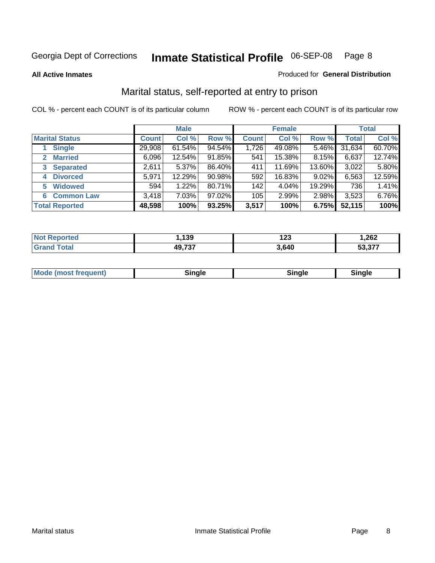### **All Active Inmates**

### Produced for **General Distribution**

# Marital status, self-reported at entry to prison

|                                  |              | <b>Male</b> |        |              | <b>Female</b> |          |              | <b>Total</b> |
|----------------------------------|--------------|-------------|--------|--------------|---------------|----------|--------------|--------------|
| <b>Marital Status</b>            | <b>Count</b> | Col %       | Row %  | <b>Count</b> | Col %         | Row %    | <b>Total</b> | Col %        |
| <b>Single</b>                    | 29,908       | $61.54\%$   | 94.54% | 1,726        | 49.08%        | $5.46\%$ | 31,634       | 60.70%       |
| <b>Married</b><br>$\overline{2}$ | 6,096        | 12.54%      | 91.85% | 541          | 15.38%        | 8.15%    | 6,637        | 12.74%       |
| <b>Separated</b><br>3            | 2,611        | $5.37\%$    | 86.40% | 411          | 11.69%        | 13.60%   | 3,022        | 5.80%        |
| <b>Divorced</b><br>4             | 5,971        | 12.29%      | 90.98% | 592          | 16.83%        | 9.02%    | 6,563        | 12.59%       |
| <b>Widowed</b><br>5              | 594          | 1.22%       | 80.71% | 142          | 4.04%         | 19.29%   | 736          | 1.41%        |
| <b>Common Law</b><br>6           | 3,418        | 7.03%       | 97.02% | 105          | 2.99%         | 2.98%    | 3,523        | 6.76%        |
| <b>Total Reported</b>            | 48,598       | 100%        | 93.25% | 3,517        | 100%          | 6.75%    | 52,115       | 100%         |

| 139             | נמו<br>12J | 262, ا        |
|-----------------|------------|---------------|
| ירמי הו<br>⁄1 L | .640,      | <b>FO 077</b> |

|  | Mode (most f<br>freauent) | . | 'inale | nale |  |
|--|---------------------------|---|--------|------|--|
|--|---------------------------|---|--------|------|--|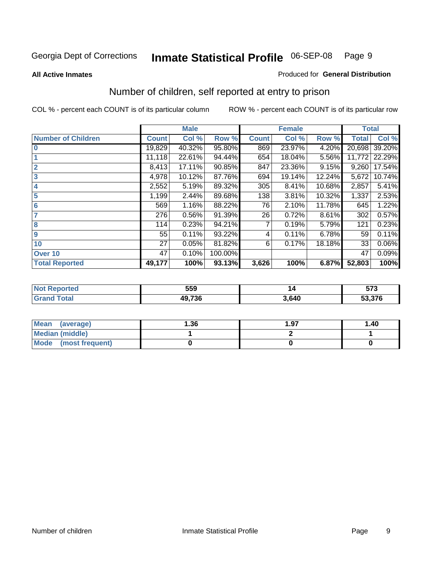### **All Active Inmates**

### Produced for **General Distribution**

# Number of children, self reported at entry to prison

|                           |              | <b>Male</b> |         |              | <b>Female</b> |        | <b>Total</b> |        |
|---------------------------|--------------|-------------|---------|--------------|---------------|--------|--------------|--------|
| <b>Number of Children</b> | <b>Count</b> | Col %       | Row %   | <b>Count</b> | Col %         | Row %  | <b>Total</b> | Col %  |
| $\bf{0}$                  | 19,829       | 40.32%      | 95.80%  | 869          | 23.97%        | 4.20%  | 20,698       | 39.20% |
|                           | 11,118       | 22.61%      | 94.44%  | 654          | 18.04%        | 5.56%  | 11,772       | 22.29% |
| $\overline{2}$            | 8,413        | 17.11%      | 90.85%  | 847          | 23.36%        | 9.15%  | 9,260        | 17.54% |
| 3                         | 4,978        | 10.12%      | 87.76%  | 694          | 19.14%        | 12.24% | 5,672        | 10.74% |
| 4                         | 2,552        | 5.19%       | 89.32%  | 305          | 8.41%         | 10.68% | 2,857        | 5.41%  |
| 5                         | 1,199        | 2.44%       | 89.68%  | 138          | 3.81%         | 10.32% | 1,337        | 2.53%  |
| $6\phantom{a}$            | 569          | 1.16%       | 88.22%  | 76           | 2.10%         | 11.78% | 645          | 1.22%  |
| 7                         | 276          | 0.56%       | 91.39%  | 26           | 0.72%         | 8.61%  | 302          | 0.57%  |
| 8                         | 114          | 0.23%       | 94.21%  |              | 0.19%         | 5.79%  | 121          | 0.23%  |
| 9                         | 55           | 0.11%       | 93.22%  | 4            | 0.11%         | 6.78%  | 59           | 0.11%  |
| 10                        | 27           | 0.05%       | 81.82%  | 6            | 0.17%         | 18.18% | 33           | 0.06%  |
| Over 10                   | 47           | 0.10%       | 100.00% |              |               |        | 47           | 0.09%  |
| <b>Total Reported</b>     | 49,177       | 100%        | 93.13%  | 3,626        | 100%          | 6.87%  | 52,803       | 100%   |

| . . | 559                  |      | $- - -$<br>JI J |
|-----|----------------------|------|-----------------|
|     | <b>AQ 736</b><br>.JU | .640 | 53,376          |

| <b>Mean</b><br>(average) | 1.36 | 1.97 | 1.40 |
|--------------------------|------|------|------|
| <b>Median (middle)</b>   |      |      |      |
| Mode<br>(most frequent)  |      |      |      |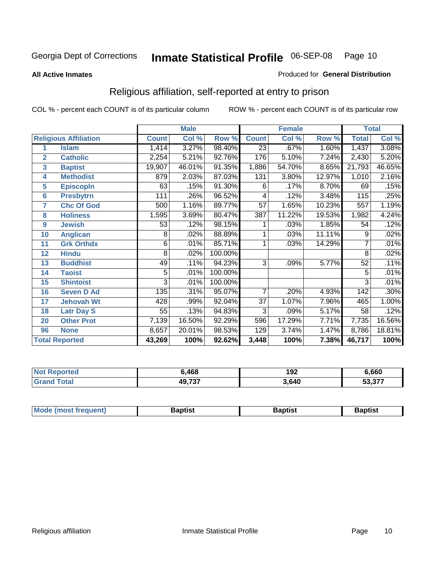### **All Active Inmates**

### Produced for **General Distribution**

# Religious affiliation, self-reported at entry to prison

|                  |                              | <b>Male</b>  |        |         |                  | <b>Female</b> |        | <b>Total</b>   |        |
|------------------|------------------------------|--------------|--------|---------|------------------|---------------|--------|----------------|--------|
|                  | <b>Religious Affiliation</b> | <b>Count</b> | Col %  | Row %   | <b>Count</b>     | Col %         | Row %  | <b>Total</b>   | Col %  |
| 1                | <b>Islam</b>                 | 1,414        | 3.27%  | 98.40%  | $\overline{23}$  | .67%          | 1.60%  | 1,437          | 3.08%  |
| $\overline{2}$   | <b>Catholic</b>              | 2,254        | 5.21%  | 92.76%  | 176              | 5.10%         | 7.24%  | 2,430          | 5.20%  |
| $\mathbf{3}$     | <b>Baptist</b>               | 19,907       | 46.01% | 91.35%  | 1,886            | 54.70%        | 8.65%  | 21,793         | 46.65% |
| 4                | <b>Methodist</b>             | 879          | 2.03%  | 87.03%  | $\overline{131}$ | 3.80%         | 12.97% | 1,010          | 2.16%  |
| 5                | <b>EpiscopIn</b>             | 63           | .15%   | 91.30%  | 6                | .17%          | 8.70%  | 69             | .15%   |
| 6                | <b>Presbytrn</b>             | 111          | .26%   | 96.52%  | 4                | .12%          | 3.48%  | 115            | .25%   |
| 7                | <b>Chc Of God</b>            | 500          | 1.16%  | 89.77%  | 57               | 1.65%         | 10.23% | 557            | 1.19%  |
| 8                | <b>Holiness</b>              | 1,595        | 3.69%  | 80.47%  | 387              | 11.22%        | 19.53% | 1,982          | 4.24%  |
| $\boldsymbol{9}$ | <b>Jewish</b>                | 53           | .12%   | 98.15%  |                  | .03%          | 1.85%  | 54             | .12%   |
| 10               | <b>Anglican</b>              | 8            | .02%   | 88.89%  |                  | .03%          | 11.11% | 9              | .02%   |
| 11               | <b>Grk Orthdx</b>            | 6            | .01%   | 85.71%  |                  | .03%          | 14.29% | 7              | .01%   |
| 12               | <b>Hindu</b>                 | 8            | .02%   | 100.00% |                  |               |        | 8              | .02%   |
| 13               | <b>Buddhist</b>              | 49           | .11%   | 94.23%  | $\overline{3}$   | .09%          | 5.77%  | 52             | .11%   |
| 14               | <b>Taoist</b>                | 5            | .01%   | 100.00% |                  |               |        | 5              | .01%   |
| 15               | <b>Shintoist</b>             | 3            | .01%   | 100.00% |                  |               |        | $\overline{3}$ | .01%   |
| 16               | <b>Seven D Ad</b>            | 135          | .31%   | 95.07%  | 7                | .20%          | 4.93%  | 142            | .30%   |
| 17               | <b>Jehovah Wt</b>            | 428          | .99%   | 92.04%  | 37               | 1.07%         | 7.96%  | 465            | 1.00%  |
| 18               | <b>Latr Day S</b>            | 55           | .13%   | 94.83%  | 3                | .09%          | 5.17%  | 58             | .12%   |
| 20               | <b>Other Prot</b>            | 7,139        | 16.50% | 92.29%  | 596              | 17.29%        | 7.71%  | 7,735          | 16.56% |
| 96               | <b>None</b>                  | 8,657        | 20.01% | 98.53%  | 129              | 3.74%         | 1.47%  | 8,786          | 18.81% |
|                  | <b>Total Reported</b>        | 43,269       | 100%   | 92.62%  | 3,448            | 100%          | 7.38%  | 46,717         | 100%   |

| 14 (20 | ,468   | 192   | 6,660                          |
|--------|--------|-------|--------------------------------|
|        | 49,737 | 3,640 | $\sim$ 0.77<br>วง.ง <i>เ</i> เ |

| <b>Mode</b><br>frequent)<br>umost | 3aptist | 3aptist | <b>Baptist</b> |
|-----------------------------------|---------|---------|----------------|
|                                   |         |         |                |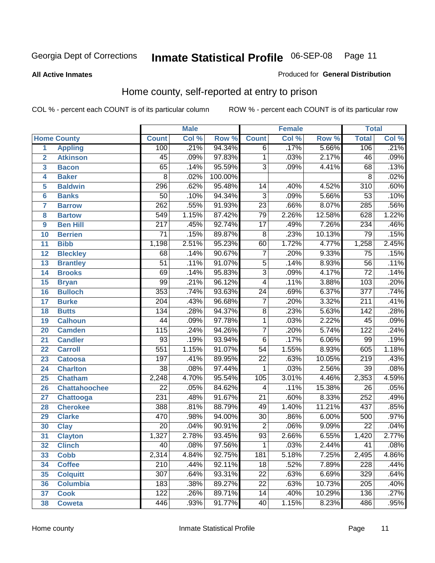Produced for **General Distribution**

### **All Active Inmates**

# Home county, self-reported at entry to prison

|                 |                      |                  | <b>Male</b> |         |                 | <b>Female</b> |        | <b>Total</b>     |       |
|-----------------|----------------------|------------------|-------------|---------|-----------------|---------------|--------|------------------|-------|
|                 | <b>Home County</b>   | <b>Count</b>     | Col %       | Row %   | <b>Count</b>    | Col %         | Row %  | <b>Total</b>     | Col % |
| $\overline{1}$  | <b>Appling</b>       | 100              | .21%        | 94.34%  | $\overline{6}$  | .17%          | 5.66%  | 106              | .21%  |
| $\overline{2}$  | <b>Atkinson</b>      | 45               | .09%        | 97.83%  | 1               | .03%          | 2.17%  | 46               | .09%  |
| 3               | <b>Bacon</b>         | 65               | .14%        | 95.59%  | $\overline{3}$  | .09%          | 4.41%  | 68               | .13%  |
| 4               | <b>Baker</b>         | $\overline{8}$   | .02%        | 100.00% |                 |               |        | 8                | .02%  |
| 5               | <b>Baldwin</b>       | 296              | .62%        | 95.48%  | $\overline{14}$ | .40%          | 4.52%  | $\overline{310}$ | .60%  |
| 6               | <b>Banks</b>         | $\overline{50}$  | .10%        | 94.34%  | $\overline{3}$  | .09%          | 5.66%  | $\overline{53}$  | .10%  |
| $\overline{7}$  | <b>Barrow</b>        | $\overline{262}$ | .55%        | 91.93%  | $\overline{23}$ | .66%          | 8.07%  | 285              | .56%  |
| 8               | <b>Bartow</b>        | $\overline{549}$ | 1.15%       | 87.42%  | 79              | 2.26%         | 12.58% | 628              | 1.22% |
| 9               | <b>Ben Hill</b>      | $\overline{217}$ | .45%        | 92.74%  | $\overline{17}$ | .49%          | 7.26%  | 234              | .46%  |
| 10              | <b>Berrien</b>       | $\overline{71}$  | .15%        | 89.87%  | $\overline{8}$  | .23%          | 10.13% | 79               | .15%  |
| 11              | <b>Bibb</b>          | 1,198            | 2.51%       | 95.23%  | 60              | 1.72%         | 4.77%  | 1,258            | 2.45% |
| 12              | <b>Bleckley</b>      | 68               | .14%        | 90.67%  | 7               | .20%          | 9.33%  | $\overline{75}$  | .15%  |
| $\overline{13}$ | <b>Brantley</b>      | $\overline{51}$  | .11%        | 91.07%  | $\overline{5}$  | .14%          | 8.93%  | $\overline{56}$  | .11%  |
| 14              | <b>Brooks</b>        | 69               | .14%        | 95.83%  | $\overline{3}$  | .09%          | 4.17%  | $\overline{72}$  | .14%  |
| 15              | <b>Bryan</b>         | $\overline{99}$  | .21%        | 96.12%  | $\overline{4}$  | .11%          | 3.88%  | 103              | .20%  |
| 16              | <b>Bulloch</b>       | $\overline{353}$ | .74%        | 93.63%  | $\overline{24}$ | .69%          | 6.37%  | $\overline{377}$ | .74%  |
| 17              | <b>Burke</b>         | $\overline{204}$ | .43%        | 96.68%  | $\overline{7}$  | .20%          | 3.32%  | 211              | .41%  |
| 18              | <b>Butts</b>         | 134              | .28%        | 94.37%  | $\overline{8}$  | .23%          | 5.63%  | $\overline{142}$ | .28%  |
| 19              | <b>Calhoun</b>       | $\overline{44}$  | .09%        | 97.78%  | $\overline{1}$  | .03%          | 2.22%  | $\overline{45}$  | .09%  |
| 20              | <b>Camden</b>        | 115              | .24%        | 94.26%  | $\overline{7}$  | .20%          | 5.74%  | $\overline{122}$ | .24%  |
| 21              | <b>Candler</b>       | $\overline{93}$  | .19%        | 93.94%  | $\overline{6}$  | .17%          | 6.06%  | $\overline{99}$  | .19%  |
| $\overline{22}$ | <b>Carroll</b>       | $\overline{551}$ | 1.15%       | 91.07%  | $\overline{54}$ | 1.55%         | 8.93%  | 605              | 1.18% |
| 23              | <b>Catoosa</b>       | 197              | .41%        | 89.95%  | $\overline{22}$ | .63%          | 10.05% | $\overline{219}$ | .43%  |
| 24              | <b>Charlton</b>      | $\overline{38}$  | .08%        | 97.44%  | 1               | .03%          | 2.56%  | $\overline{39}$  | .08%  |
| 25              | <b>Chatham</b>       | 2,248            | 4.70%       | 95.54%  | 105             | 3.01%         | 4.46%  | 2,353            | 4.59% |
| 26              | <b>Chattahoochee</b> | $\overline{22}$  | .05%        | 84.62%  | 4               | .11%          | 15.38% | 26               | .05%  |
| 27              | Chattooga            | 231              | .48%        | 91.67%  | $\overline{21}$ | .60%          | 8.33%  | 252              | .49%  |
| 28              | <b>Cherokee</b>      | 388              | .81%        | 88.79%  | 49              | 1.40%         | 11.21% | 437              | .85%  |
| 29              | <b>Clarke</b>        | 470              | .98%        | 94.00%  | $\overline{30}$ | .86%          | 6.00%  | 500              | .97%  |
| 30              | <b>Clay</b>          | $\overline{20}$  | .04%        | 90.91%  | $\overline{2}$  | .06%          | 9.09%  | $\overline{22}$  | .04%  |
| $\overline{31}$ | <b>Clayton</b>       | 1,327            | 2.78%       | 93.45%  | $\overline{93}$ | 2.66%         | 6.55%  | 1,420            | 2.77% |
| 32              | <b>Clinch</b>        | 40               | .08%        | 97.56%  | 1               | .03%          | 2.44%  | 41               | .08%  |
| 33              | <b>Cobb</b>          | 2,314            | 4.84%       | 92.75%  | 181             | 5.18%         | 7.25%  | 2,495            | 4.86% |
| 34              | <b>Coffee</b>        | 210              | .44%        | 92.11%  | 18              | .52%          | 7.89%  | 228              | .44%  |
| 35              | <b>Colquitt</b>      | $\overline{307}$ | .64%        | 93.31%  | $\overline{22}$ | .63%          | 6.69%  | 329              | .64%  |
| 36              | <b>Columbia</b>      | 183              | .38%        | 89.27%  | 22              | .63%          | 10.73% | 205              | .40%  |
| 37              | <b>Cook</b>          | 122              | .26%        | 89.71%  | $\overline{14}$ | .40%          | 10.29% | 136              | .27%  |
| 38              | <b>Coweta</b>        | 446              | .93%        | 91.77%  | 40              | 1.15%         | 8.23%  | 486              | .95%  |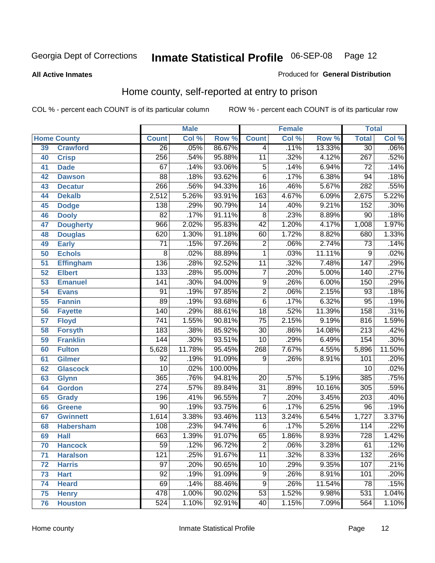### **All Active Inmates**

### Produced for **General Distribution**

# Home county, self-reported at entry to prison

|    |                    |                  | <b>Male</b> |         |                         | <b>Female</b> |        | <b>Total</b>     |        |
|----|--------------------|------------------|-------------|---------|-------------------------|---------------|--------|------------------|--------|
|    | <b>Home County</b> | <b>Count</b>     | Col %       | Row %   | <b>Count</b>            | Col %         | Row %  | <b>Total</b>     | Col %  |
| 39 | <b>Crawford</b>    | $\overline{26}$  | .05%        | 86.67%  | 4                       | .11%          | 13.33% | $\overline{30}$  | .06%   |
| 40 | <b>Crisp</b>       | 256              | .54%        | 95.88%  | $\overline{11}$         | .32%          | 4.12%  | $\overline{267}$ | .52%   |
| 41 | <b>Dade</b>        | 67               | .14%        | 93.06%  | $\overline{5}$          | .14%          | 6.94%  | 72               | .14%   |
| 42 | <b>Dawson</b>      | $\overline{88}$  | .18%        | 93.62%  | $\overline{6}$          | .17%          | 6.38%  | $\overline{94}$  | .18%   |
| 43 | <b>Decatur</b>     | 266              | .56%        | 94.33%  | $\overline{16}$         | .46%          | 5.67%  | 282              | .55%   |
| 44 | <b>Dekalb</b>      | 2,512            | 5.26%       | 93.91%  | $\overline{163}$        | 4.67%         | 6.09%  | 2,675            | 5.22%  |
| 45 | <b>Dodge</b>       | 138              | .29%        | 90.79%  | $\overline{14}$         | .40%          | 9.21%  | 152              | .30%   |
| 46 | <b>Dooly</b>       | $\overline{82}$  | .17%        | 91.11%  | $\overline{8}$          | .23%          | 8.89%  | $\overline{90}$  | .18%   |
| 47 | <b>Dougherty</b>   | 966              | 2.02%       | 95.83%  | $\overline{42}$         | 1.20%         | 4.17%  | 1,008            | 1.97%  |
| 48 | <b>Douglas</b>     | 620              | 1.30%       | 91.18%  | 60                      | 1.72%         | 8.82%  | 680              | 1.33%  |
| 49 | <b>Early</b>       | 71               | .15%        | 97.26%  | $\overline{2}$          | .06%          | 2.74%  | 73               | .14%   |
| 50 | <b>Echols</b>      | $\overline{8}$   | .02%        | 88.89%  | $\overline{1}$          | .03%          | 11.11% | $\overline{9}$   | .02%   |
| 51 | <b>Effingham</b>   | 136              | .28%        | 92.52%  | $\overline{11}$         | .32%          | 7.48%  | $\overline{147}$ | .29%   |
| 52 | <b>Elbert</b>      | 133              | .28%        | 95.00%  | $\overline{7}$          | .20%          | 5.00%  | 140              | .27%   |
| 53 | <b>Emanuel</b>     | $\overline{141}$ | .30%        | 94.00%  | $\overline{9}$          | .26%          | 6.00%  | 150              | .29%   |
| 54 | <b>Evans</b>       | $\overline{91}$  | .19%        | 97.85%  | $\overline{2}$          | .06%          | 2.15%  | 93               | .18%   |
| 55 | <b>Fannin</b>      | 89               | .19%        | 93.68%  | $\overline{6}$          | .17%          | 6.32%  | $\overline{95}$  | .19%   |
| 56 | <b>Fayette</b>     | 140              | .29%        | 88.61%  | $\overline{18}$         | .52%          | 11.39% | 158              | .31%   |
| 57 | <b>Floyd</b>       | $\overline{741}$ | 1.55%       | 90.81%  | $\overline{75}$         | 2.15%         | 9.19%  | 816              | 1.59%  |
| 58 | <b>Forsyth</b>     | 183              | .38%        | 85.92%  | $\overline{30}$         | .86%          | 14.08% | $\overline{213}$ | .42%   |
| 59 | <b>Franklin</b>    | 144              | .30%        | 93.51%  | $\overline{10}$         | .29%          | 6.49%  | 154              | .30%   |
| 60 | <b>Fulton</b>      | 5,628            | 11.78%      | 95.45%  | 268                     | 7.67%         | 4.55%  | 5,896            | 11.50% |
| 61 | <b>Gilmer</b>      | 92               | .19%        | 91.09%  | 9                       | .26%          | 8.91%  | 101              | .20%   |
| 62 | <b>Glascock</b>    | $\overline{10}$  | .02%        | 100.00% |                         |               |        | 10               | .02%   |
| 63 | <b>Glynn</b>       | $\overline{365}$ | .76%        | 94.81%  | 20                      | .57%          | 5.19%  | 385              | .75%   |
| 64 | <b>Gordon</b>      | $\overline{274}$ | .57%        | 89.84%  | $\overline{31}$         | .89%          | 10.16% | 305              | .59%   |
| 65 | <b>Grady</b>       | 196              | .41%        | 96.55%  | 7                       | .20%          | 3.45%  | 203              | .40%   |
| 66 | <b>Greene</b>      | $\overline{90}$  | .19%        | 93.75%  | $\overline{6}$          | .17%          | 6.25%  | 96               | .19%   |
| 67 | <b>Gwinnett</b>    | 1,614            | 3.38%       | 93.46%  | $\overline{113}$        | 3.24%         | 6.54%  | 1,727            | 3.37%  |
| 68 | <b>Habersham</b>   | 108              | .23%        | 94.74%  | 6                       | .17%          | 5.26%  | 114              | .22%   |
| 69 | <b>Hall</b>        | 663              | 1.39%       | 91.07%  | 65                      | 1.86%         | 8.93%  | 728              | 1.42%  |
| 70 | <b>Hancock</b>     | $\overline{59}$  | .12%        | 96.72%  | $\overline{\mathbf{c}}$ | .06%          | 3.28%  | $\overline{61}$  | .12%   |
| 71 | <b>Haralson</b>    | 121              | .25%        | 91.67%  | $\overline{11}$         | .32%          | 8.33%  | 132              | .26%   |
| 72 | <b>Harris</b>      | $\overline{97}$  | .20%        | 90.65%  | $\overline{10}$         | .29%          | 9.35%  | 107              | .21%   |
| 73 | <b>Hart</b>        | $\overline{92}$  | .19%        | 91.09%  | $\overline{9}$          | .26%          | 8.91%  | 101              | .20%   |
| 74 | <b>Heard</b>       | 69               | .14%        | 88.46%  | $\overline{9}$          | .26%          | 11.54% | 78               | .15%   |
| 75 | <b>Henry</b>       | 478              | 1.00%       | 90.02%  | $\overline{53}$         | 1.52%         | 9.98%  | 531              | 1.04%  |
| 76 | <b>Houston</b>     | 524              | 1.10%       | 92.91%  | 40                      | 1.15%         | 7.09%  | 564              | 1.10%  |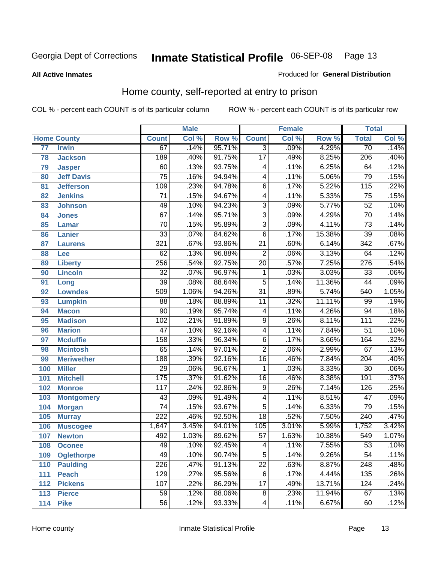### **All Active Inmates**

### Produced for **General Distribution**

# Home county, self-reported at entry to prison

|                 |                    |                  | <b>Male</b> |        |                  | <b>Female</b> |        | <b>Total</b>     |                            |
|-----------------|--------------------|------------------|-------------|--------|------------------|---------------|--------|------------------|----------------------------|
|                 | <b>Home County</b> | <b>Count</b>     | Col %       | Row %  | <b>Count</b>     | Col %         | Row %  | <b>Total</b>     | $\overline{\text{Col }\%}$ |
| $\overline{77}$ | <b>Irwin</b>       | 67               | .14%        | 95.71% | $\overline{3}$   | .09%          | 4.29%  | $\overline{70}$  | .14%                       |
| 78              | <b>Jackson</b>     | 189              | .40%        | 91.75% | $\overline{17}$  | .49%          | 8.25%  | $\overline{206}$ | .40%                       |
| 79              | <b>Jasper</b>      | 60               | .13%        | 93.75% | 4                | .11%          | 6.25%  | 64               | .12%                       |
| 80              | <b>Jeff Davis</b>  | $\overline{75}$  | .16%        | 94.94% | $\overline{4}$   | .11%          | 5.06%  | 79               | .15%                       |
| 81              | <b>Jefferson</b>   | 109              | .23%        | 94.78% | $\overline{6}$   | .17%          | 5.22%  | 115              | .22%                       |
| 82              | <b>Jenkins</b>     | $\overline{71}$  | .15%        | 94.67% | 4                | .11%          | 5.33%  | $\overline{75}$  | .15%                       |
| 83              | <b>Johnson</b>     | 49               | .10%        | 94.23% | $\overline{3}$   | .09%          | 5.77%  | $\overline{52}$  | .10%                       |
| 84              | <b>Jones</b>       | $\overline{67}$  | .14%        | 95.71% | $\overline{3}$   | .09%          | 4.29%  | $\overline{70}$  | .14%                       |
| 85              | <b>Lamar</b>       | $\overline{70}$  | .15%        | 95.89% | $\overline{3}$   | .09%          | 4.11%  | $\overline{73}$  | .14%                       |
| 86              | <b>Lanier</b>      | $\overline{33}$  | .07%        | 84.62% | $\overline{6}$   | .17%          | 15.38% | $\overline{39}$  | .08%                       |
| 87              | <b>Laurens</b>     | 321              | .67%        | 93.86% | $\overline{21}$  | .60%          | 6.14%  | $\overline{342}$ | .67%                       |
| 88              | Lee                | $\overline{62}$  | .13%        | 96.88% | $\overline{2}$   | .06%          | 3.13%  | 64               | .12%                       |
| 89              | <b>Liberty</b>     | 256              | .54%        | 92.75% | $\overline{20}$  | .57%          | 7.25%  | $\overline{276}$ | .54%                       |
| 90              | <b>Lincoln</b>     | $\overline{32}$  | .07%        | 96.97% | 1                | .03%          | 3.03%  | $\overline{33}$  | .06%                       |
| 91              | Long               | $\overline{39}$  | .08%        | 88.64% | $\overline{5}$   | .14%          | 11.36% | $\overline{44}$  | .09%                       |
| 92              | <b>Lowndes</b>     | 509              | 1.06%       | 94.26% | $\overline{31}$  | .89%          | 5.74%  | 540              | 1.05%                      |
| 93              | <b>Lumpkin</b>     | $\overline{88}$  | .18%        | 88.89% | $\overline{11}$  | .32%          | 11.11% | 99               | .19%                       |
| 94              | <b>Macon</b>       | $\overline{90}$  | .19%        | 95.74% | 4                | .11%          | 4.26%  | $\overline{94}$  | .18%                       |
| 95              | <b>Madison</b>     | 102              | .21%        | 91.89% | $\overline{9}$   | .26%          | 8.11%  | 111              | .22%                       |
| 96              | <b>Marion</b>      | $\overline{47}$  | .10%        | 92.16% | $\overline{4}$   | .11%          | 7.84%  | $\overline{51}$  | .10%                       |
| 97              | <b>Mcduffie</b>    | 158              | .33%        | 96.34% | $\overline{6}$   | .17%          | 3.66%  | 164              | .32%                       |
| 98              | <b>Mcintosh</b>    | $\overline{65}$  | .14%        | 97.01% | $\overline{2}$   | .06%          | 2.99%  | $\overline{67}$  | .13%                       |
| 99              | <b>Meriwether</b>  | 188              | .39%        | 92.16% | $\overline{16}$  | .46%          | 7.84%  | $\overline{204}$ | .40%                       |
| 100             | <b>Miller</b>      | $\overline{29}$  | .06%        | 96.67% | 1                | .03%          | 3.33%  | $\overline{30}$  | .06%                       |
| 101             | <b>Mitchell</b>    | 175              | .37%        | 91.62% | $\overline{16}$  | .46%          | 8.38%  | 191              | .37%                       |
| 102             | <b>Monroe</b>      | $\overline{117}$ | .24%        | 92.86% | 9                | .26%          | 7.14%  | $\overline{126}$ | .25%                       |
| 103             | <b>Montgomery</b>  | 43               | .09%        | 91.49% | 4                | .11%          | 8.51%  | 47               | .09%                       |
| 104             | <b>Morgan</b>      | $\overline{74}$  | .15%        | 93.67% | $\overline{5}$   | .14%          | 6.33%  | $\overline{79}$  | .15%                       |
| 105             | <b>Murray</b>      | $\overline{222}$ | .46%        | 92.50% | $\overline{18}$  | .52%          | 7.50%  | $\overline{240}$ | .47%                       |
| 106             | <b>Muscogee</b>    | 1,647            | 3.45%       | 94.01% | $\overline{105}$ | 3.01%         | 5.99%  | 1,752            | 3.42%                      |
| 107             | <b>Newton</b>      | 492              | 1.03%       | 89.62% | $\overline{57}$  | 1.63%         | 10.38% | 549              | 1.07%                      |
| 108             | <b>Oconee</b>      | 49               | .10%        | 92.45% | 4                | .11%          | 7.55%  | 53               | .10%                       |
| 109             | <b>Oglethorpe</b>  | 49               | .10%        | 90.74% | $\overline{5}$   | .14%          | 9.26%  | $\overline{54}$  | .11%                       |
| 110             | <b>Paulding</b>    | 226              | .47%        | 91.13% | $\overline{22}$  | .63%          | 8.87%  | $\overline{248}$ | .48%                       |
| 111             | <b>Peach</b>       | 129              | .27%        | 95.56% | $\overline{6}$   | .17%          | 4.44%  | 135              | .26%                       |
| 112             | <b>Pickens</b>     | 107              | .22%        | 86.29% | $\overline{17}$  | .49%          | 13.71% | 124              | .24%                       |
| 113             | <b>Pierce</b>      | $\overline{59}$  | .12%        | 88.06% | $\overline{8}$   | .23%          | 11.94% | 67               | .13%                       |
| 114             | <b>Pike</b>        | $\overline{56}$  | .12%        | 93.33% | 4                | .11%          | 6.67%  | 60               | .12%                       |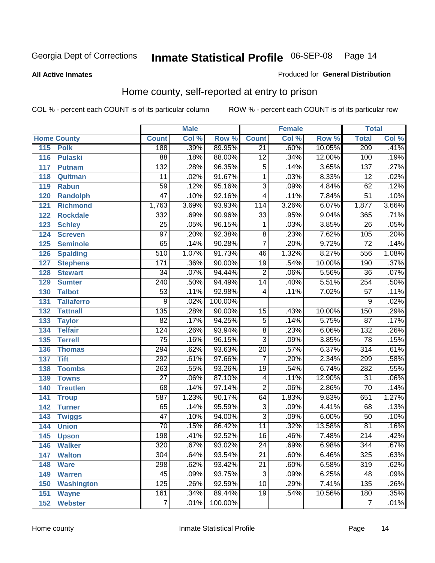### **All Active Inmates**

### Produced for **General Distribution**

# Home county, self-reported at entry to prison

|     |                    |                  | <b>Male</b> |         |                 | <b>Female</b> |        | <b>Total</b>     |       |
|-----|--------------------|------------------|-------------|---------|-----------------|---------------|--------|------------------|-------|
|     | <b>Home County</b> | <b>Count</b>     | Col %       | Row %   | <b>Count</b>    | Col %         | Row %  | <b>Total</b>     | Col % |
| 115 | <b>Polk</b>        | 188              | .39%        | 89.95%  | $\overline{21}$ | .60%          | 10.05% | 209              | .41%  |
| 116 | <b>Pulaski</b>     | $\overline{88}$  | .18%        | 88.00%  | $\overline{12}$ | .34%          | 12.00% | 100              | .19%  |
| 117 | <b>Putnam</b>      | 132              | .28%        | 96.35%  | $\overline{5}$  | .14%          | 3.65%  | 137              | .27%  |
| 118 | Quitman            | $\overline{11}$  | .02%        | 91.67%  | $\mathbf 1$     | .03%          | 8.33%  | $\overline{12}$  | .02%  |
| 119 | <b>Rabun</b>       | 59               | .12%        | 95.16%  | $\overline{3}$  | .09%          | 4.84%  | 62               | .12%  |
| 120 | <b>Randolph</b>    | $\overline{47}$  | .10%        | 92.16%  | $\overline{4}$  | .11%          | 7.84%  | $\overline{51}$  | .10%  |
| 121 | <b>Richmond</b>    | 1,763            | 3.69%       | 93.93%  | 114             | 3.26%         | 6.07%  | 1,877            | 3.66% |
| 122 | <b>Rockdale</b>    | 332              | .69%        | 90.96%  | $\overline{33}$ | .95%          | 9.04%  | 365              | .71%  |
| 123 | <b>Schley</b>      | $\overline{25}$  | .05%        | 96.15%  | 1               | .03%          | 3.85%  | $\overline{26}$  | .05%  |
| 124 | <b>Screven</b>     | $\overline{97}$  | .20%        | 92.38%  | $\overline{8}$  | .23%          | 7.62%  | 105              | .20%  |
| 125 | <b>Seminole</b>    | 65               | .14%        | 90.28%  | $\overline{7}$  | .20%          | 9.72%  | $\overline{72}$  | .14%  |
| 126 | <b>Spalding</b>    | 510              | 1.07%       | 91.73%  | 46              | 1.32%         | 8.27%  | 556              | 1.08% |
| 127 | <b>Stephens</b>    | $\overline{171}$ | .36%        | 90.00%  | $\overline{19}$ | .54%          | 10.00% | 190              | .37%  |
| 128 | <b>Stewart</b>     | $\overline{34}$  | .07%        | 94.44%  | $\overline{2}$  | .06%          | 5.56%  | $\overline{36}$  | .07%  |
| 129 | <b>Sumter</b>      | $\overline{240}$ | .50%        | 94.49%  | $\overline{14}$ | .40%          | 5.51%  | 254              | .50%  |
| 130 | <b>Talbot</b>      | $\overline{53}$  | .11%        | 92.98%  | 4               | .11%          | 7.02%  | $\overline{57}$  | .11%  |
| 131 | <b>Taliaferro</b>  | 9                | .02%        | 100.00% |                 |               |        | 9                | .02%  |
| 132 | <b>Tattnall</b>    | $\overline{135}$ | .28%        | 90.00%  | $\overline{15}$ | .43%          | 10.00% | 150              | .29%  |
| 133 | <b>Taylor</b>      | $\overline{82}$  | .17%        | 94.25%  | $\overline{5}$  | .14%          | 5.75%  | $\overline{87}$  | .17%  |
| 134 | <b>Telfair</b>     | $\overline{124}$ | .26%        | 93.94%  | $\overline{8}$  | .23%          | 6.06%  | $\overline{132}$ | .26%  |
| 135 | <b>Terrell</b>     | $\overline{75}$  | .16%        | 96.15%  | $\overline{3}$  | .09%          | 3.85%  | 78               | .15%  |
| 136 | <b>Thomas</b>      | $\overline{294}$ | .62%        | 93.63%  | $\overline{20}$ | .57%          | 6.37%  | $\overline{314}$ | .61%  |
| 137 | <b>Tift</b>        | 292              | .61%        | 97.66%  | $\overline{7}$  | .20%          | 2.34%  | 299              | .58%  |
| 138 | <b>Toombs</b>      | $\overline{263}$ | .55%        | 93.26%  | $\overline{19}$ | .54%          | 6.74%  | 282              | .55%  |
| 139 | <b>Towns</b>       | $\overline{27}$  | .06%        | 87.10%  | 4               | .11%          | 12.90% | 31               | .06%  |
| 140 | <b>Treutlen</b>    | 68               | .14%        | 97.14%  | $\overline{2}$  | .06%          | 2.86%  | $\overline{70}$  | .14%  |
| 141 | <b>Troup</b>       | 587              | 1.23%       | 90.17%  | 64              | 1.83%         | 9.83%  | 651              | 1.27% |
| 142 | <b>Turner</b>      | 65               | .14%        | 95.59%  | $\overline{3}$  | .09%          | 4.41%  | 68               | .13%  |
| 143 | <b>Twiggs</b>      | $\overline{47}$  | .10%        | 94.00%  | $\overline{3}$  | .09%          | 6.00%  | 50               | .10%  |
| 144 | <b>Union</b>       | $\overline{70}$  | .15%        | 86.42%  | $\overline{11}$ | .32%          | 13.58% | $\overline{81}$  | .16%  |
| 145 | <b>Upson</b>       | $\overline{198}$ | .41%        | 92.52%  | $\overline{16}$ | .46%          | 7.48%  | 214              | .42%  |
| 146 | <b>Walker</b>      | $\overline{320}$ | .67%        | 93.02%  | $\overline{24}$ | .69%          | 6.98%  | 344              | .67%  |
| 147 | <b>Walton</b>      | 304              | .64%        | 93.54%  | $\overline{21}$ | .60%          | 6.46%  | 325              | .63%  |
| 148 | <b>Ware</b>        | 298              | .62%        | 93.42%  | $\overline{21}$ | .60%          | 6.58%  | 319              | .62%  |
| 149 | <b>Warren</b>      | 45               | .09%        | 93.75%  | $\overline{3}$  | .09%          | 6.25%  | 48               | .09%  |
| 150 | <b>Washington</b>  | 125              | .26%        | 92.59%  | $\overline{10}$ | .29%          | 7.41%  | 135              | .26%  |
| 151 | <b>Wayne</b>       | 161              | .34%        | 89.44%  | $\overline{19}$ | .54%          | 10.56% | 180              | .35%  |
| 152 | <b>Webster</b>     | 7                | .01%        | 100.00% |                 |               |        | $\overline{7}$   | .01%  |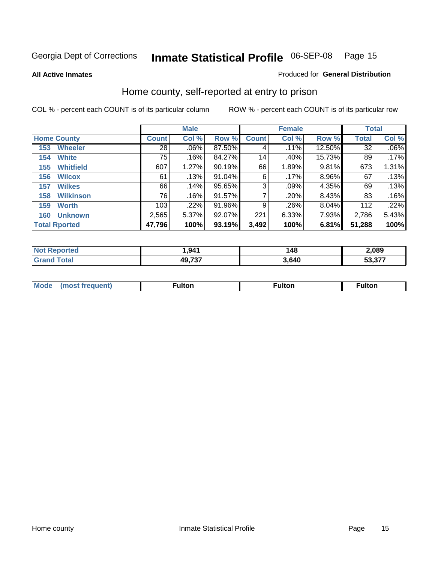**All Active Inmates**

### Produced for **General Distribution**

# Home county, self-reported at entry to prison

|                      |                  | <b>Male</b>     |       |        |              | <b>Female</b> | <b>Total</b> |              |         |
|----------------------|------------------|-----------------|-------|--------|--------------|---------------|--------------|--------------|---------|
| <b>Home County</b>   |                  | <b>Count</b>    | Col % | Row %  | <b>Count</b> | Col %         | Row %        | <b>Total</b> | Col %   |
| 153                  | <b>Wheeler</b>   | $\overline{28}$ | .06%  | 87.50% | 4            | .11%          | 12.50%       | 32           | $.06\%$ |
| 154                  | <b>White</b>     | 75              | .16%  | 84.27% | 14           | .40%          | 15.73%       | 89           | .17%    |
| 155                  | <b>Whitfield</b> | 607             | 1.27% | 90.19% | 66           | 1.89%         | $9.81\%$     | 673          | 1.31%   |
| 156                  | <b>Wilcox</b>    | 61              | .13%  | 91.04% | 6            | .17%          | 8.96%        | 67           | .13%    |
| 157                  | <b>Wilkes</b>    | 66              | .14%  | 95.65% | 3            | .09%          | 4.35%        | 69           | .13%    |
| 158                  | <b>Wilkinson</b> | 76              | .16%  | 91.57% | 7            | .20%          | 8.43%        | 83           | .16%    |
| 159                  | <b>Worth</b>     | 103             | .22%  | 91.96% | 9            | .26%          | 8.04%        | 112          | .22%    |
| 160                  | <b>Unknown</b>   | 2,565           | 5.37% | 92.07% | 221          | 6.33%         | 7.93%        | 2,786        | 5.43%   |
| <b>Total Rported</b> |                  | 47,796          | 100%  | 93.19% | 3,492        | 100%          | 6.81%        | 51,288       | 100%    |

| ported<br>'N ( | 941, ا | 48   | 2,089 |
|----------------|--------|------|-------|
|                | 49,737 | 640، | - 277 |

| <b>Mode</b> | . | unon | -uποι. |
|-------------|---|------|--------|
|             |   |      |        |
|             |   |      |        |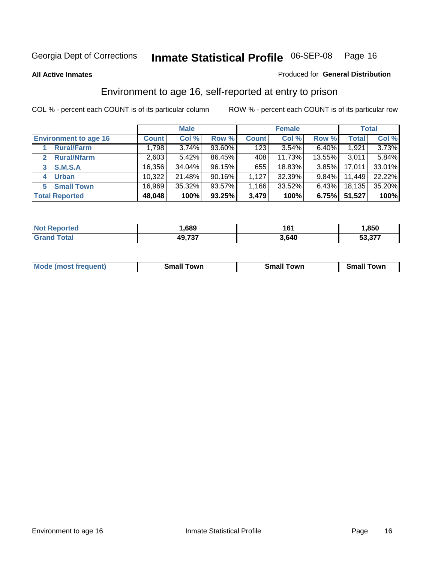#### **All Active Inmates**

### Produced for **General Distribution**

# Environment to age 16, self-reported at entry to prison

|                                      | <b>Male</b>  |        | <b>Female</b> |              |        | <b>Total</b> |        |        |
|--------------------------------------|--------------|--------|---------------|--------------|--------|--------------|--------|--------|
| <b>Environment to age 16</b>         | <b>Count</b> | Col %  | Row %         | <b>Count</b> | Col %  | Row %        | Total  | Col %  |
| <b>Rural/Farm</b>                    | 1,798        | 3.74%  | 93.60%        | 123          | 3.54%  | 6.40%        | 1,921  | 3.73%  |
| <b>Rural/Nfarm</b><br>$\overline{2}$ | 2,603        | 5.42%  | 86.45%        | 408          | 11.73% | 13.55%       | 3,011  | 5.84%  |
| <b>S.M.S.A</b><br>3                  | 16,356       | 34.04% | 96.15%        | 655          | 18.83% | 3.85%        | 17,011 | 33.01% |
| <b>Urban</b><br>4                    | 10,322       | 21.48% | 90.16%        | 1,127        | 32.39% | $9.84\%$     | 11,449 | 22.22% |
| <b>Small Town</b><br>5               | 16,969       | 35.32% | 93.57%        | .166         | 33.52% | 6.43%        | 18,135 | 35.20% |
| <b>Total Reported</b>                | 48,048       | 100%   | 93.25%        | 3,479        | 100%   | 6.75%        | 51,527 | 100%   |

| <b>Not Reported</b> | ,689   | 161   | ,850   |
|---------------------|--------|-------|--------|
| <b>Grand Total</b>  | 49,737 | 3,640 | 53,377 |

| <b>Mode</b><br>requent)<br>. | owr<br>imall | <b>Smal</b><br>owr | <b>TOW</b> |
|------------------------------|--------------|--------------------|------------|
|                              |              |                    |            |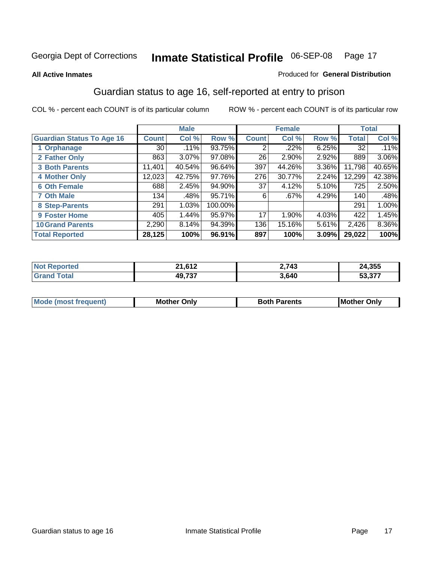### **All Active Inmates**

### Produced for **General Distribution**

# Guardian status to age 16, self-reported at entry to prison

|                                  |              | <b>Male</b> |         |              | <b>Female</b> |       |              | <b>Total</b> |
|----------------------------------|--------------|-------------|---------|--------------|---------------|-------|--------------|--------------|
| <b>Guardian Status To Age 16</b> | <b>Count</b> | Col %       | Row %   | <b>Count</b> | Col %         | Row % | <b>Total</b> | Col %        |
| 1 Orphanage                      | 30           | .11%        | 93.75%  | 2            | .22%          | 6.25% | 32           | .11%         |
| 2 Father Only                    | 863          | 3.07%       | 97.08%  | 26           | $2.90\%$      | 2.92% | 889          | $3.06\%$     |
| <b>3 Both Parents</b>            | 11,401       | 40.54%      | 96.64%  | 397          | 44.26%        | 3.36% | 11,798       | 40.65%       |
| <b>4 Mother Only</b>             | 12,023       | 42.75%      | 97.76%  | 276          | 30.77%        | 2.24% | 12,299       | 42.38%       |
| <b>6 Oth Female</b>              | 688          | 2.45%       | 94.90%  | 37           | 4.12%         | 5.10% | 725          | 2.50%        |
| <b>7 Oth Male</b>                | 134          | .48%        | 95.71%  | 6            | .67%          | 4.29% | 140          | .48%         |
| 8 Step-Parents                   | 291          | 1.03%       | 100.00% |              |               |       | 291          | 1.00%        |
| 9 Foster Home                    | 405          | 1.44%       | 95.97%  | 17           | 1.90%         | 4.03% | 422          | 1.45%        |
| <b>10 Grand Parents</b>          | 2,290        | 8.14%       | 94.39%  | 136          | 15.16%        | 5.61% | 2,426        | 8.36%        |
| <b>Total Reported</b>            | 28,125       | 100%        | 96.91%  | 897          | 100%          | 3.09% | 29,022       | 100%         |

| 0.42<br>ີ<br>. <i>.</i> | 2,743 | .355              |
|-------------------------|-------|-------------------|
| 10 727                  | 3,640 | こへ ヘララ<br>ו וכ.ככ |

| Mode | Onlv<br>Mot | <b>Roth</b><br>Parents | <b>IMot</b><br>Onlv<br>∵hei |
|------|-------------|------------------------|-----------------------------|
|      |             |                        |                             |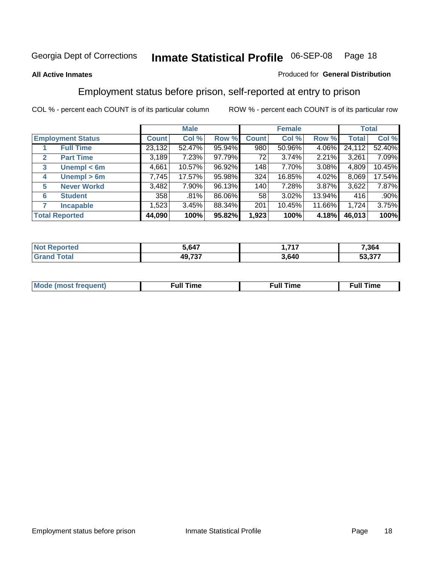### **All Active Inmates**

### Produced for **General Distribution**

# Employment status before prison, self-reported at entry to prison

|              |                          |        | <b>Male</b> |        |              | <b>Female</b> |        |        | <b>Total</b> |
|--------------|--------------------------|--------|-------------|--------|--------------|---------------|--------|--------|--------------|
|              | <b>Employment Status</b> | Count  | Col %       | Row %  | <b>Count</b> | Col %         | Row %  | Total  | Col %        |
|              | <b>Full Time</b>         | 23,132 | 52.47%      | 95.94% | 980          | 50.96%        | 4.06%  | 24,112 | 52.40%       |
| $\mathbf{2}$ | <b>Part Time</b>         | 3,189  | 7.23%       | 97.79% | 72           | 3.74%         | 2.21%  | 3,261  | 7.09%        |
| 3            | Unempl $<$ 6m            | 4,661  | 10.57%      | 96.92% | 148          | 7.70%         | 3.08%  | 4,809  | 10.45%       |
| 4            | Unempl > 6m              | 7,745  | 17.57%      | 95.98% | 324          | 16.85%        | 4.02%  | 8,069  | 17.54%       |
| 5            | <b>Never Workd</b>       | 3,482  | 7.90%       | 96.13% | 140          | 7.28%         | 3.87%  | 3,622  | 7.87%        |
| 6            | <b>Student</b>           | 358    | .81%        | 86.06% | 58           | $3.02\%$      | 13.94% | 416    | $.90\%$      |
|              | <b>Incapable</b>         | 1,523  | 3.45%       | 88.34% | 201          | 10.45%        | 11.66% | 1,724  | 3.75%        |
|              | <b>Total Reported</b>    | 44,090 | 100%        | 95.82% | 1,923        | 100%          | 4.18%  | 46,013 | 100%         |

| n eo      | ነ 647         | .747  | 7,364               |
|-----------|---------------|-------|---------------------|
| $\sim$ 40 | 10.727<br>، ت | 3.640 | っっっつ<br>-^<br>וט.ככ |

| Mo | 'me<br>uн<br>the contract of the contract of the contract of the contract of the contract of the contract of the contract of the contract of the contract of the contract of the contract of the contract of the contract of the contract o | ïme<br>uı.<br>the contract of the contract of the contract of the contract of the contract of the contract of the contract of |
|----|---------------------------------------------------------------------------------------------------------------------------------------------------------------------------------------------------------------------------------------------|-------------------------------------------------------------------------------------------------------------------------------|
|    |                                                                                                                                                                                                                                             |                                                                                                                               |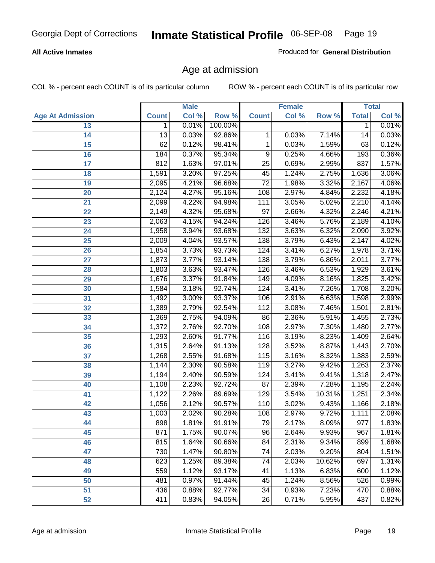### **All Active Inmates**

Produced for **General Distribution**

# Age at admission

|                         |              | <b>Male</b> |         |                  | <b>Female</b> |        |              | <b>Total</b> |
|-------------------------|--------------|-------------|---------|------------------|---------------|--------|--------------|--------------|
| <b>Age At Admission</b> | <b>Count</b> | Col %       | Row %   | <b>Count</b>     | Col %         | Row %  | <b>Total</b> | Col %        |
| 13                      | 1            | 0.01%       | 100.00% |                  |               |        | 1            | 0.01%        |
| 14                      | 13           | 0.03%       | 92.86%  | 1                | 0.03%         | 7.14%  | 14           | 0.03%        |
| $\overline{15}$         | 62           | 0.12%       | 98.41%  | 1                | 0.03%         | 1.59%  | 63           | 0.12%        |
| 16                      | 184          | 0.37%       | 95.34%  | 9                | 0.25%         | 4.66%  | 193          | 0.36%        |
| $\overline{17}$         | 812          | 1.63%       | 97.01%  | $\overline{25}$  | 0.69%         | 2.99%  | 837          | 1.57%        |
| 18                      | 1,591        | 3.20%       | 97.25%  | 45               | 1.24%         | 2.75%  | 1,636        | 3.06%        |
| 19                      | 2,095        | 4.21%       | 96.68%  | $\overline{72}$  | 1.98%         | 3.32%  | 2,167        | 4.06%        |
| 20                      | 2,124        | 4.27%       | 95.16%  | 108              | 2.97%         | 4.84%  | 2,232        | 4.18%        |
| 21                      | 2,099        | 4.22%       | 94.98%  | 111              | 3.05%         | 5.02%  | 2,210        | 4.14%        |
| 22                      | 2,149        | 4.32%       | 95.68%  | $\overline{97}$  | 2.66%         | 4.32%  | 2,246        | 4.21%        |
| 23                      | 2,063        | 4.15%       | 94.24%  | 126              | 3.46%         | 5.76%  | 2,189        | 4.10%        |
| 24                      | 1,958        | 3.94%       | 93.68%  | 132              | 3.63%         | 6.32%  | 2,090        | 3.92%        |
| $\overline{25}$         | 2,009        | 4.04%       | 93.57%  | 138              | 3.79%         | 6.43%  | 2,147        | 4.02%        |
| 26                      | 1,854        | 3.73%       | 93.73%  | 124              | 3.41%         | 6.27%  | 1,978        | 3.71%        |
| 27                      | 1,873        | 3.77%       | 93.14%  | 138              | 3.79%         | 6.86%  | 2,011        | 3.77%        |
| 28                      | 1,803        | 3.63%       | 93.47%  | 126              | 3.46%         | 6.53%  | 1,929        | 3.61%        |
| 29                      | 1,676        | 3.37%       | 91.84%  | $\overline{149}$ | 4.09%         | 8.16%  | 1,825        | 3.42%        |
| 30                      | 1,584        | 3.18%       | 92.74%  | 124              | 3.41%         | 7.26%  | 1,708        | 3.20%        |
| 31                      | 1,492        | 3.00%       | 93.37%  | 106              | 2.91%         | 6.63%  | 1,598        | 2.99%        |
| 32                      | 1,389        | 2.79%       | 92.54%  | 112              | 3.08%         | 7.46%  | 1,501        | 2.81%        |
| 33                      | 1,369        | 2.75%       | 94.09%  | 86               | 2.36%         | 5.91%  | 1,455        | 2.73%        |
| 34                      | 1,372        | 2.76%       | 92.70%  | 108              | 2.97%         | 7.30%  | 1,480        | 2.77%        |
| 35                      | 1,293        | 2.60%       | 91.77%  | 116              | 3.19%         | 8.23%  | 1,409        | 2.64%        |
| 36                      | 1,315        | 2.64%       | 91.13%  | 128              | 3.52%         | 8.87%  | 1,443        | 2.70%        |
| 37                      | 1,268        | 2.55%       | 91.68%  | 115              | 3.16%         | 8.32%  | 1,383        | 2.59%        |
| 38                      | 1,144        | 2.30%       | 90.58%  | 119              | 3.27%         | 9.42%  | 1,263        | 2.37%        |
| 39                      | 1,194        | 2.40%       | 90.59%  | 124              | 3.41%         | 9.41%  | 1,318        | 2.47%        |
| 40                      | 1,108        | 2.23%       | 92.72%  | 87               | 2.39%         | 7.28%  | 1,195        | 2.24%        |
| 41                      | 1,122        | 2.26%       | 89.69%  | 129              | 3.54%         | 10.31% | 1,251        | 2.34%        |
| 42                      | 1,056        | 2.12%       | 90.57%  | 110              | 3.02%         | 9.43%  | 1,166        | 2.18%        |
| 43                      | 1,003        | 2.02%       | 90.28%  | 108              | 2.97%         | 9.72%  | 1,111        | 2.08%        |
| 44                      | 898          | 1.81%       | 91.91%  | 79               | 2.17%         | 8.09%  | 977          | 1.83%        |
| 45                      | 871          | 1.75%       | 90.07%  | 96               | 2.64%         | 9.93%  | 967          | 1.81%        |
| 46                      | 815          | 1.64%       | 90.66%  | 84               | 2.31%         | 9.34%  | 899          | 1.68%        |
| 47                      | 730          | 1.47%       | 90.80%  | 74               | 2.03%         | 9.20%  | 804          | 1.51%        |
| 48                      | 623          | 1.25%       | 89.38%  | 74               | 2.03%         | 10.62% | 697          | 1.31%        |
| 49                      | 559          | 1.12%       | 93.17%  | 41               | 1.13%         | 6.83%  | 600          | 1.12%        |
| 50                      | 481          | 0.97%       | 91.44%  | 45               | 1.24%         | 8.56%  | 526          | 0.99%        |
| 51                      | 436          | 0.88%       | 92.77%  | $\overline{34}$  | 0.93%         | 7.23%  | 470          | 0.88%        |
| 52                      | 411          | 0.83%       | 94.05%  | 26               | 0.71%         | 5.95%  | 437          | 0.82%        |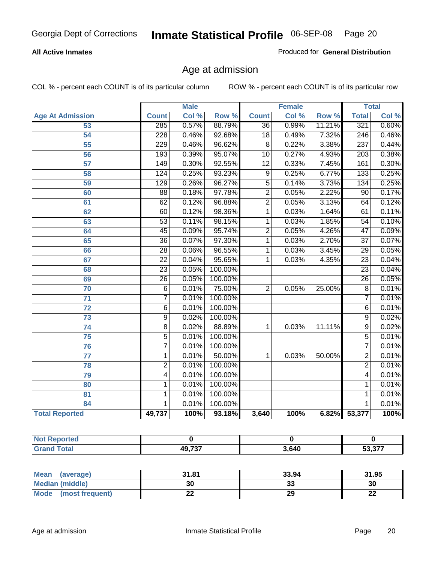### **All Active Inmates**

Produced for **General Distribution**

# Age at admission

|                         | <b>Male</b>      |       | <b>Female</b> |                 |       | <b>Total</b> |                  |       |
|-------------------------|------------------|-------|---------------|-----------------|-------|--------------|------------------|-------|
| <b>Age At Admission</b> | <b>Count</b>     | Col % | Row %         | <b>Count</b>    | Col % | Row %        | <b>Total</b>     | Col % |
| 53                      | 285              | 0.57% | 88.79%        | $\overline{36}$ | 0.99% | 11.21%       | 321              | 0.60% |
| $\overline{54}$         | $\overline{228}$ | 0.46% | 92.68%        | $\overline{18}$ | 0.49% | 7.32%        | $\overline{246}$ | 0.46% |
| $\overline{55}$         | 229              | 0.46% | 96.62%        | $\overline{8}$  | 0.22% | 3.38%        | 237              | 0.44% |
| 56                      | 193              | 0.39% | 95.07%        | $\overline{10}$ | 0.27% | 4.93%        | $\overline{203}$ | 0.38% |
| $\overline{57}$         | $\overline{149}$ | 0.30% | 92.55%        | $\overline{12}$ | 0.33% | 7.45%        | 161              | 0.30% |
| 58                      | $\overline{124}$ | 0.25% | 93.23%        | $\overline{9}$  | 0.25% | 6.77%        | 133              | 0.25% |
| 59                      | 129              | 0.26% | 96.27%        | $\overline{5}$  | 0.14% | 3.73%        | $\overline{134}$ | 0.25% |
| 60                      | $\overline{88}$  | 0.18% | 97.78%        | $\overline{2}$  | 0.05% | 2.22%        | $\overline{90}$  | 0.17% |
| 61                      | 62               | 0.12% | 96.88%        | $\overline{2}$  | 0.05% | 3.13%        | 64               | 0.12% |
| 62                      | $\overline{60}$  | 0.12% | 98.36%        | $\overline{1}$  | 0.03% | 1.64%        | 61               | 0.11% |
| 63                      | $\overline{53}$  | 0.11% | 98.15%        | 1               | 0.03% | 1.85%        | $\overline{54}$  | 0.10% |
| 64                      | $\overline{45}$  | 0.09% | 95.74%        | $\overline{2}$  | 0.05% | 4.26%        | $\overline{47}$  | 0.09% |
| 65                      | $\overline{36}$  | 0.07% | 97.30%        | 1               | 0.03% | 2.70%        | $\overline{37}$  | 0.07% |
| 66                      | $\overline{28}$  | 0.06% | 96.55%        | 1               | 0.03% | 3.45%        | $\overline{29}$  | 0.05% |
| 67                      | $\overline{22}$  | 0.04% | 95.65%        | 1               | 0.03% | 4.35%        | $\overline{23}$  | 0.04% |
| 68                      | $\overline{23}$  | 0.05% | 100.00%       |                 |       |              | $\overline{23}$  | 0.04% |
| 69                      | 26               | 0.05% | 100.00%       |                 |       |              | $\overline{26}$  | 0.05% |
| 70                      | $\overline{6}$   | 0.01% | 75.00%        | $\overline{2}$  | 0.05% | 25.00%       | $\overline{8}$   | 0.01% |
| 71                      | $\overline{7}$   | 0.01% | 100.00%       |                 |       |              | 7                | 0.01% |
| $\overline{72}$         | $\overline{6}$   | 0.01% | 100.00%       |                 |       |              | $\overline{6}$   | 0.01% |
| $\overline{73}$         | $\overline{9}$   | 0.02% | 100.00%       |                 |       |              | $\overline{9}$   | 0.02% |
| 74                      | $\overline{8}$   | 0.02% | 88.89%        | 1               | 0.03% | 11.11%       | $\overline{9}$   | 0.02% |
| $\overline{75}$         | $\overline{5}$   | 0.01% | 100.00%       |                 |       |              | 5                | 0.01% |
| 76                      | $\overline{7}$   | 0.01% | 100.00%       |                 |       |              | 7                | 0.01% |
| 77                      | 1                | 0.01% | 50.00%        | 1               | 0.03% | 50.00%       | $\overline{2}$   | 0.01% |
| 78                      | $\overline{2}$   | 0.01% | 100.00%       |                 |       |              | $\overline{2}$   | 0.01% |
| 79                      | 4                | 0.01% | 100.00%       |                 |       |              | 4                | 0.01% |
| 80                      | $\mathbf{1}$     | 0.01% | 100.00%       |                 |       |              | 1                | 0.01% |
| 81                      | 1                | 0.01% | 100.00%       |                 |       |              | 1                | 0.01% |
| 84                      | 1                | 0.01% | 100.00%       |                 |       |              | 1                | 0.01% |
| <b>Total Reported</b>   | 49,737           | 100%  | 93.18%        | 3,640           | 100%  |              | 6.82% 53,377     | 100%  |

| Reported<br>NOT |                        |       |                         |
|-----------------|------------------------|-------|-------------------------|
| <b>Total</b>    | <b>10 737</b><br>וטוטד | 3,640 | E227<br>วง.ง <i>เ</i> เ |

| Mean<br>(average)       | 31.81     | 33.94    | 31.95    |
|-------------------------|-----------|----------|----------|
| <b>Median (middle)</b>  | 30        | ^^<br>vu | 30       |
| Mode<br>(most frequent) | <u>__</u> | 29       | ^^<br>LL |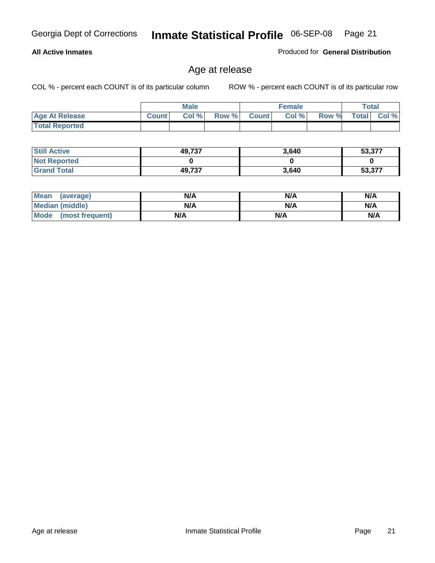### **All Active Inmates**

Produced for **General Distribution**

# Age at release

|                       |              | <b>Male</b> |       |              | <b>Female</b> |       | <b>Total</b> |       |
|-----------------------|--------------|-------------|-------|--------------|---------------|-------|--------------|-------|
| <b>Age At Release</b> | <b>Count</b> | Col%        | Row % | <b>Count</b> | Col %         | Row % | <b>Total</b> | Col % |
| <b>Total Reported</b> |              |             |       |              |               |       |              |       |

| <b>Still Active</b> | 49,737 | 3,640 | 53,377 |
|---------------------|--------|-------|--------|
| <b>Not Reported</b> |        |       |        |
| <b>Grand Total</b>  | 49,737 | 3,640 | 53,377 |

| Mean (average)       | N/A | N/A | N/A |
|----------------------|-----|-----|-----|
| Median (middle)      | N/A | N/A | N/A |
| Mode (most frequent) | N/A | N/A | N/A |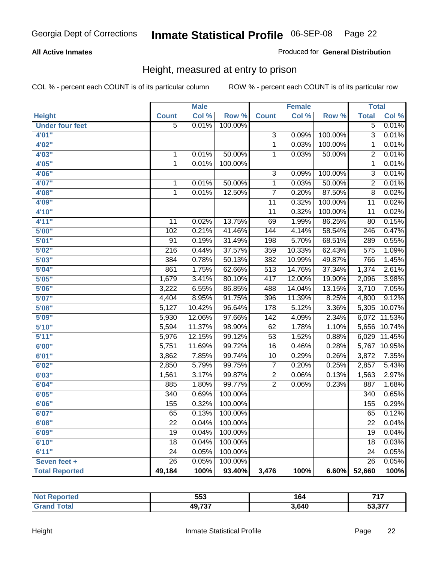### **All Active Inmates**

### Produced for **General Distribution**

# Height, measured at entry to prison

|                        |                  | <b>Male</b> |         |                  | <b>Female</b> |         | <b>Total</b>     |        |
|------------------------|------------------|-------------|---------|------------------|---------------|---------|------------------|--------|
| <b>Height</b>          | <b>Count</b>     | Col %       | Row %   | <b>Count</b>     | Col %         | Row %   | <b>Total</b>     | Col %  |
| <b>Under four feet</b> | $\overline{5}$   | 0.01%       | 100.00% |                  |               |         | $\overline{5}$   | 0.01%  |
| 4'01"                  |                  |             |         | 3                | 0.09%         | 100.00% | $\overline{3}$   | 0.01%  |
| 4'02"                  |                  |             |         | $\overline{1}$   | 0.03%         | 100.00% | 1                | 0.01%  |
| 4'03''                 | 1                | 0.01%       | 50.00%  | 1                | 0.03%         | 50.00%  | $\overline{2}$   | 0.01%  |
| 4'05"                  | $\mathbf{1}$     | 0.01%       | 100.00% |                  |               |         | $\overline{1}$   | 0.01%  |
| 4'06"                  |                  |             |         | $\overline{3}$   | 0.09%         | 100.00% | $\overline{3}$   | 0.01%  |
| 4'07"                  | 1                | 0.01%       | 50.00%  | $\overline{1}$   | 0.03%         | 50.00%  | $\overline{2}$   | 0.01%  |
| 4'08"                  | $\mathbf 1$      | 0.01%       | 12.50%  | $\overline{7}$   | 0.20%         | 87.50%  | $\overline{8}$   | 0.02%  |
| 4'09"                  |                  |             |         | 11               | 0.32%         | 100.00% | $\overline{11}$  | 0.02%  |
| 4'10"                  |                  |             |         | $\overline{11}$  | 0.32%         | 100.00% | $\overline{11}$  | 0.02%  |
| 4'11''                 | 11               | 0.02%       | 13.75%  | 69               | 1.99%         | 86.25%  | 80               | 0.15%  |
| 5'00''                 | 102              | 0.21%       | 41.46%  | 144              | 4.14%         | 58.54%  | $\overline{246}$ | 0.47%  |
| 5'01''                 | $\overline{91}$  | 0.19%       | 31.49%  | 198              | 5.70%         | 68.51%  | 289              | 0.55%  |
| 5'02''                 | $\overline{216}$ | 0.44%       | 37.57%  | 359              | 10.33%        | 62.43%  | 575              | 1.09%  |
| 5'03''                 | 384              | 0.78%       | 50.13%  | 382              | 10.99%        | 49.87%  | 766              | 1.45%  |
| 5'04''                 | 861              | 1.75%       | 62.66%  | $\overline{513}$ | 14.76%        | 37.34%  | 1,374            | 2.61%  |
| 5'05''                 | 1,679            | 3.41%       | 80.10%  | $\overline{417}$ | 12.00%        | 19.90%  | 2,096            | 3.98%  |
| 5'06''                 | 3,222            | 6.55%       | 86.85%  | 488              | 14.04%        | 13.15%  | 3,710            | 7.05%  |
| 5'07''                 | 4,404            | 8.95%       | 91.75%  | 396              | 11.39%        | 8.25%   | 4,800            | 9.12%  |
| 5'08''                 | 5,127            | 10.42%      | 96.64%  | 178              | 5.12%         | 3.36%   | 5,305            | 10.07% |
| 5'09''                 | 5,930            | 12.06%      | 97.66%  | $\overline{142}$ | 4.09%         | 2.34%   | 6,072            | 11.53% |
| 5'10''                 | 5,594            | 11.37%      | 98.90%  | 62               | 1.78%         | 1.10%   | 5,656            | 10.74% |
| 5'11''                 | 5,976            | 12.15%      | 99.12%  | $\overline{53}$  | 1.52%         | 0.88%   | 6,029            | 11.45% |
| 6'00''                 | 5,751            | 11.69%      | 99.72%  | 16               | 0.46%         | 0.28%   | 5,767            | 10.95% |
| 6'01''                 | 3,862            | 7.85%       | 99.74%  | 10               | 0.29%         | 0.26%   | 3,872            | 7.35%  |
| 6'02''                 | 2,850            | 5.79%       | 99.75%  | 7                | 0.20%         | 0.25%   | 2,857            | 5.43%  |
| 6'03''                 | 1,561            | 3.17%       | 99.87%  | $\overline{2}$   | 0.06%         | 0.13%   | 1,563            | 2.97%  |
| 6'04''                 | 885              | 1.80%       | 99.77%  | $\overline{2}$   | 0.06%         | 0.23%   | 887              | 1.68%  |
| 6'05''                 | 340              | 0.69%       | 100.00% |                  |               |         | 340              | 0.65%  |
| 6'06''                 | 155              | 0.32%       | 100.00% |                  |               |         | 155              | 0.29%  |
| 6'07''                 | 65               | 0.13%       | 100.00% |                  |               |         | 65               | 0.12%  |
| 6'08"                  | 22               | 0.04%       | 100.00% |                  |               |         | 22               | 0.04%  |
| 6'09''                 | $\overline{19}$  | 0.04%       | 100.00% |                  |               |         | $\overline{19}$  | 0.04%  |
| 6'10''                 | 18               | 0.04%       | 100.00% |                  |               |         | 18               | 0.03%  |
| 6'11''                 | $\overline{24}$  | 0.05%       | 100.00% |                  |               |         | $\overline{24}$  | 0.05%  |
| Seven feet +           | 26               | 0.05%       | 100.00% |                  |               |         | 26               | 0.05%  |
| <b>Total Reported</b>  | 49,184           | 100%        | 93.40%  | 3,476            | 100%          | 6.60%   | 52,660           | 100%   |

| 'N (<br>τeο | 553    | 164   | 747            |
|-------------|--------|-------|----------------|
|             | 49,737 | 3,640 | 50.27<br>וט טע |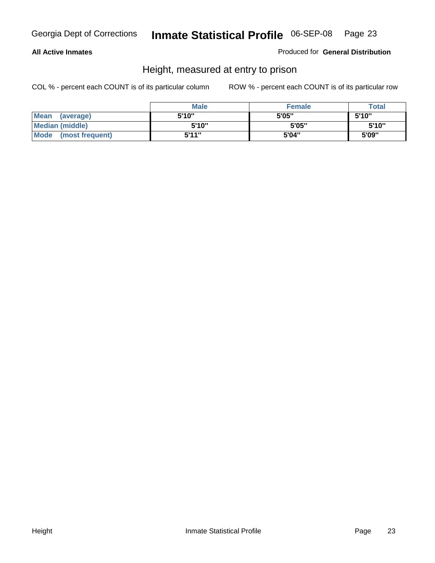### **All Active Inmates**

Produced for **General Distribution**

# Height, measured at entry to prison

|                      | <b>Male</b> | <b>Female</b> | <b>Total</b> |
|----------------------|-------------|---------------|--------------|
| Mean (average)       | 5'10"       | 5'05"         | 5'10''       |
| Median (middle)      | 5'10"       | 5'05"         | 5'10''       |
| Mode (most frequent) | 5'11"       | 5'04"         | 5'09"        |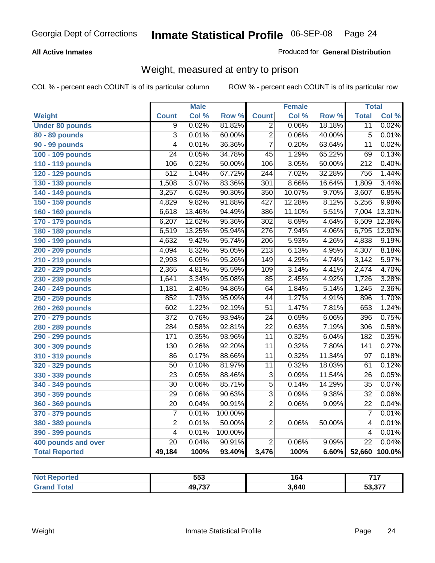### **All Active Inmates**

### Produced for **General Distribution**

# Weight, measured at entry to prison

|                        |                         | <b>Male</b> |         |                  | <b>Female</b> |                  | <b>Total</b>     |        |
|------------------------|-------------------------|-------------|---------|------------------|---------------|------------------|------------------|--------|
| <b>Weight</b>          | <b>Count</b>            | Col %       | Row %   | <b>Count</b>     | Col %         | Row <sup>%</sup> | <b>Total</b>     | Col %  |
| <b>Under 80 pounds</b> | 9                       | 0.02%       | 81.82%  | $\overline{2}$   | 0.06%         | 18.18%           | $\overline{11}$  | 0.02%  |
| 80 - 89 pounds         | $\overline{3}$          | 0.01%       | 60.00%  | $\overline{2}$   | 0.06%         | 40.00%           | $\overline{5}$   | 0.01%  |
| 90 - 99 pounds         | $\overline{4}$          | 0.01%       | 36.36%  | $\overline{7}$   | 0.20%         | 63.64%           | $\overline{11}$  | 0.02%  |
| 100 - 109 pounds       | $\overline{24}$         | 0.05%       | 34.78%  | $\overline{45}$  | 1.29%         | 65.22%           | $\overline{69}$  | 0.13%  |
| 110 - 119 pounds       | 106                     | 0.22%       | 50.00%  | 106              | 3.05%         | 50.00%           | $\overline{212}$ | 0.40%  |
| 120 - 129 pounds       | $\overline{512}$        | 1.04%       | 67.72%  | $\overline{244}$ | 7.02%         | 32.28%           | 756              | 1.44%  |
| 130 - 139 pounds       | 1,508                   | 3.07%       | 83.36%  | $\overline{301}$ | 8.66%         | 16.64%           | 1,809            | 3.44%  |
| 140 - 149 pounds       | 3,257                   | 6.62%       | 90.30%  | $\overline{350}$ | 10.07%        | 9.70%            | 3,607            | 6.85%  |
| 150 - 159 pounds       | 4,829                   | 9.82%       | 91.88%  | 427              | 12.28%        | 8.12%            | 5,256            | 9.98%  |
| 160 - 169 pounds       | 6,618                   | 13.46%      | 94.49%  | 386              | 11.10%        | 5.51%            | 7,004            | 13.30% |
| 170 - 179 pounds       | 6,207                   | 12.62%      | 95.36%  | $\overline{302}$ | 8.69%         | 4.64%            | 6,509            | 12.36% |
| 180 - 189 pounds       | 6,519                   | 13.25%      | 95.94%  | $\overline{276}$ | 7.94%         | 4.06%            | 6,795            | 12.90% |
| 190 - 199 pounds       | 4,632                   | 9.42%       | 95.74%  | $\overline{206}$ | 5.93%         | 4.26%            | 4,838            | 9.19%  |
| 200 - 209 pounds       | 4,094                   | 8.32%       | 95.05%  | $\overline{213}$ | 6.13%         | 4.95%            | 4,307            | 8.18%  |
| 210 - 219 pounds       | 2,993                   | 6.09%       | 95.26%  | $\overline{149}$ | 4.29%         | 4.74%            | 3,142            | 5.97%  |
| 220 - 229 pounds       | 2,365                   | 4.81%       | 95.59%  | $\overline{109}$ | 3.14%         | 4.41%            | 2,474            | 4.70%  |
| 230 - 239 pounds       | 1,641                   | 3.34%       | 95.08%  | 85               | 2.45%         | 4.92%            | 1,726            | 3.28%  |
| 240 - 249 pounds       | 1,181                   | 2.40%       | 94.86%  | 64               | 1.84%         | 5.14%            | 1,245            | 2.36%  |
| 250 - 259 pounds       | 852                     | 1.73%       | 95.09%  | 44               | 1.27%         | 4.91%            | 896              | 1.70%  |
| 260 - 269 pounds       | 602                     | 1.22%       | 92.19%  | $\overline{51}$  | 1.47%         | 7.81%            | 653              | 1.24%  |
| 270 - 279 pounds       | $\overline{372}$        | 0.76%       | 93.94%  | $\overline{24}$  | 0.69%         | 6.06%            | 396              | 0.75%  |
| 280 - 289 pounds       | 284                     | 0.58%       | 92.81%  | $\overline{22}$  | 0.63%         | 7.19%            | 306              | 0.58%  |
| 290 - 299 pounds       | 171                     | 0.35%       | 93.96%  | $\overline{11}$  | 0.32%         | 6.04%            | $\overline{182}$ | 0.35%  |
| 300 - 309 pounds       | 130                     | 0.26%       | 92.20%  | $\overline{11}$  | 0.32%         | 7.80%            | $\overline{141}$ | 0.27%  |
| 310 - 319 pounds       | 86                      | 0.17%       | 88.66%  | $\overline{11}$  | 0.32%         | 11.34%           | $\overline{97}$  | 0.18%  |
| 320 - 329 pounds       | $\overline{50}$         | 0.10%       | 81.97%  | $\overline{11}$  | 0.32%         | 18.03%           | 61               | 0.12%  |
| 330 - 339 pounds       | $\overline{23}$         | 0.05%       | 88.46%  | $\overline{3}$   | 0.09%         | 11.54%           | $\overline{26}$  | 0.05%  |
| 340 - 349 pounds       | $\overline{30}$         | 0.06%       | 85.71%  | $\overline{5}$   | 0.14%         | 14.29%           | $\overline{35}$  | 0.07%  |
| 350 - 359 pounds       | $\overline{29}$         | 0.06%       | 90.63%  | $\overline{3}$   | 0.09%         | 9.38%            | $\overline{32}$  | 0.06%  |
| 360 - 369 pounds       | 20                      | 0.04%       | 90.91%  | $\overline{2}$   | 0.06%         | 9.09%            | $\overline{22}$  | 0.04%  |
| 370 - 379 pounds       | $\overline{7}$          | 0.01%       | 100.00% |                  |               |                  | 7                | 0.01%  |
| 380 - 389 pounds       | $\overline{\mathbf{c}}$ | 0.01%       | 50.00%  | $\overline{2}$   | 0.06%         | 50.00%           | 4                | 0.01%  |
| 390 - 399 pounds       | $\overline{4}$          | 0.01%       | 100.00% |                  |               |                  | 4                | 0.01%  |
| 400 pounds and over    | $\overline{20}$         | 0.04%       | 90.91%  | $\overline{2}$   | 0.06%         | 9.09%            | $\overline{22}$  | 0.04%  |
| <b>Total Reported</b>  | 49,184                  | 100%        | 93.40%  | 3,476            | 100%          | 6.60%            | 52,660           | 100.0% |

| orted<br><b>NA</b> | 553    | 164   | 747             |
|--------------------|--------|-------|-----------------|
| $\sim$ 4 $\sim$    | 49,737 | 3,640 | דדה ה־<br>53.37 |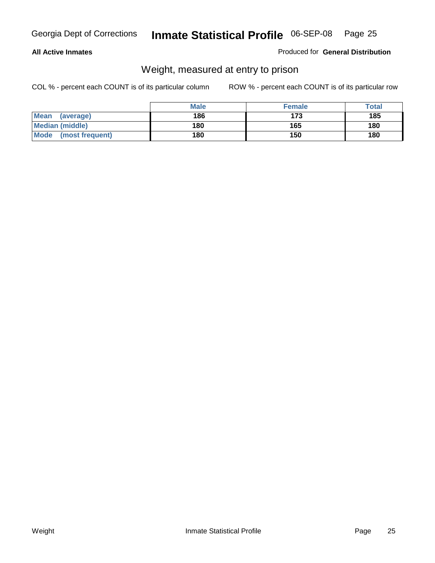### **All Active Inmates**

### Produced for **General Distribution**

# Weight, measured at entry to prison

|                                | <b>Male</b> | <b>Female</b> | Total |
|--------------------------------|-------------|---------------|-------|
| <b>Mean</b><br>(average)       | 186         | 173           | 185   |
| <b>Median (middle)</b>         | 180         | 165           | 180   |
| <b>Mode</b><br>(most frequent) | 180         | 150           | 180   |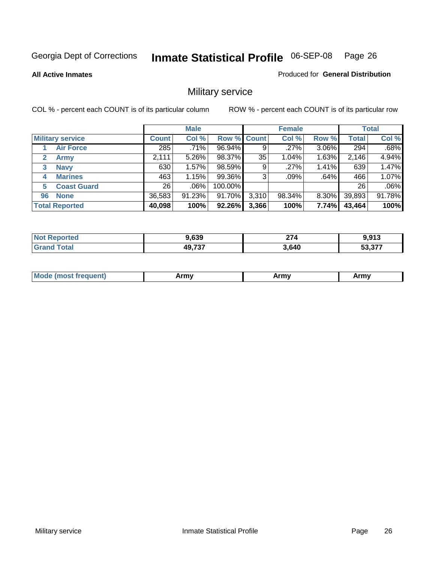**All Active Inmates**

Produced for **General Distribution**

# Military service

|                         |              | <b>Male</b> |             |       | <b>Female</b> |          |              | <b>Total</b> |
|-------------------------|--------------|-------------|-------------|-------|---------------|----------|--------------|--------------|
| <b>Military service</b> | <b>Count</b> | Col %       | Row % Count |       | Col %         | Row %    | <b>Total</b> | Col %        |
| <b>Air Force</b>        | 285          | .71%        | 96.94%      | 9     | .27%          | 3.06%    | 294          | .68%         |
| <b>Army</b>             | 2,111        | 5.26%       | 98.37%      | 35    | 1.04%         | 1.63%    | 2,146        | 4.94%        |
| <b>Navy</b><br>3        | 630          | 1.57%       | 98.59%      | 9     | .27%          | 1.41%    | 639          | 1.47%        |
| <b>Marines</b><br>4     | 463          | 1.15%       | 99.36%      | 3     | .09%          | .64%     | 466          | 1.07%        |
| <b>Coast Guard</b><br>5 | 26           | $.06\%$     | 100.00%     |       |               |          | 26           | .06%         |
| <b>None</b><br>96       | 36,583       | 91.23%      | 91.70%      | 3,310 | 98.34%        | $8.30\%$ | 39,893       | 91.78%       |
| <b>Total Reported</b>   | 40,098       | 100%        | 92.26%      | 3,366 | 100%          | 7.74%    | 43,464       | 100%         |

| orted<br>NO           | המה ו<br>9,039 | $\sim$<br>21 4 | a a13<br>J.J I J   |
|-----------------------|----------------|----------------|--------------------|
| ™otar<br><b>Grand</b> | 49,737         | 3,640          | —~ ידי<br>.977<br> |

|  | <b>Mode</b><br>reauent)<br>.ost ir | Army | Army | Army |
|--|------------------------------------|------|------|------|
|--|------------------------------------|------|------|------|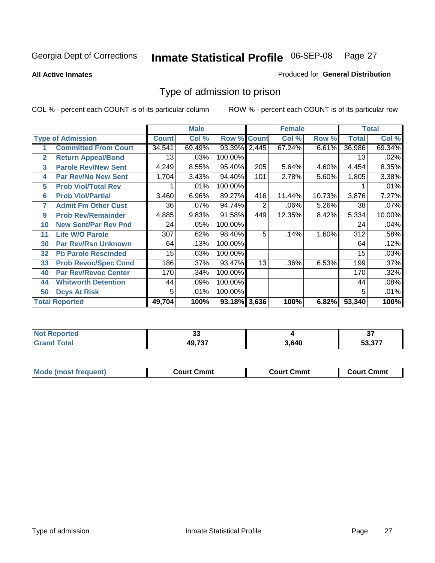### **All Active Inmates**

### Produced for **General Distribution**

# Type of admission to prison

|                |                             |              | <b>Male</b> |                    |       | <b>Female</b> |        |              | <b>Total</b> |
|----------------|-----------------------------|--------------|-------------|--------------------|-------|---------------|--------|--------------|--------------|
|                | <b>Type of Admission</b>    | <b>Count</b> | Col %       | <b>Row % Count</b> |       | Col %         | Row %  | <b>Total</b> | Col %        |
| 1              | <b>Committed From Court</b> | 34,541       | 69.49%      | 93.39% 2,445       |       | 67.24%        | 6.61%  | 36,986       | 69.34%       |
| $\overline{2}$ | <b>Return Appeal/Bond</b>   | 13           | .03%        | 100.00%            |       |               |        | 13           | .02%         |
| 3              | <b>Parole Rev/New Sent</b>  | 4,249        | 8.55%       | 95.40%             | 205   | 5.64%         | 4.60%  | 4,454        | 8.35%        |
| 4              | <b>Par Rev/No New Sent</b>  | 1,704        | 3.43%       | 94.40%             | 101   | 2.78%         | 5.60%  | 1,805        | 3.38%        |
| 5              | <b>Prob Viol/Total Rev</b>  |              | .01%        | 100.00%            |       |               |        |              | .01%         |
| 6              | <b>Prob Viol/Partial</b>    | 3,460        | 6.96%       | 89.27%             | 416   | 11.44%        | 10.73% | 3,876        | 7.27%        |
| 7              | <b>Admit Fm Other Cust</b>  | 36           | .07%        | 94.74%             | 2     | .06%          | 5.26%  | 38           | .07%         |
| 9              | <b>Prob Rev/Remainder</b>   | 4,885        | 9.83%       | 91.58%             | 449   | 12.35%        | 8.42%  | 5,334        | 10.00%       |
| 10             | <b>New Sent/Par Rev Pnd</b> | 24           | .05%        | 100.00%            |       |               |        | 24           | .04%         |
| 11             | <b>Life W/O Parole</b>      | 307          | .62%        | 98.40%             | 5     | .14%          | 1.60%  | 312          | .58%         |
| 30             | <b>Par Rev/Rsn Unknown</b>  | 64           | .13%        | 100.00%            |       |               |        | 64           | .12%         |
| 32             | <b>Pb Parole Rescinded</b>  | 15           | .03%        | 100.00%            |       |               |        | 15           | .03%         |
| 33             | <b>Prob Revoc/Spec Cond</b> | 186          | .37%        | 93.47%             | 13    | .36%          | 6.53%  | 199          | .37%         |
| 40             | <b>Par Rev/Revoc Center</b> | 170          | .34%        | 100.00%            |       |               |        | 170          | .32%         |
| 44             | <b>Whitworth Detention</b>  | 44           | .09%        | 100.00%            |       |               |        | 44           | .08%         |
| 50             | <b>Dcys At Risk</b>         | 5            | .01%        | 100.00%            |       |               |        | 5            | .01%         |
|                | <b>Total Reported</b>       | 49,704       | 100%        | 93.18%             | 3,636 | 100%          | 6.82%  | 53,340       | 100%         |

| Reported<br><b>NOT</b> | vv     |      | $\sim$<br>וט         |
|------------------------|--------|------|----------------------|
| _____                  | 10.727 | .640 | $\sim$ $\sim$ $\sim$ |

| Mod.  | ∵mmt  | Cmmt  | Շՠՠւ |
|-------|-------|-------|------|
| uent) | ∴ourt | ∴∩urt | ווח: |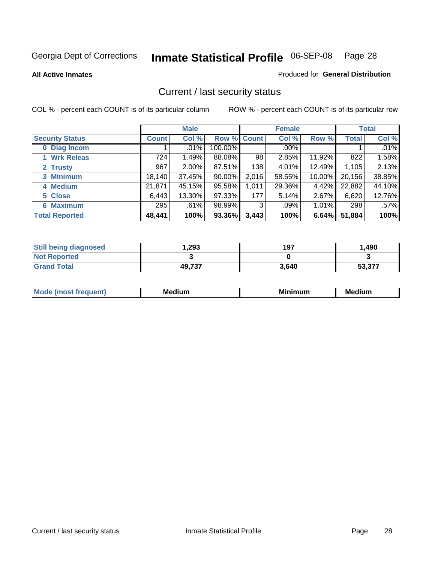**All Active Inmates**

### Produced for **General Distribution**

# Current / last security status

|                        |              | <b>Male</b> |             |       | <b>Female</b> |          |              | <b>Total</b> |
|------------------------|--------------|-------------|-------------|-------|---------------|----------|--------------|--------------|
| <b>Security Status</b> | <b>Count</b> | Col %       | Row % Count |       | Col %         | Row %    | <b>Total</b> | Col %        |
| 0 Diag Incom           |              | .01%        | 100.00%     |       | $.00\%$       |          |              | .01%         |
| 1 Wrk Releas           | 724          | 1.49%       | 88.08%      | 98    | 2.85%         | 11.92%   | 822          | 1.58%        |
| 2 Trusty               | 967          | 2.00%       | 87.51%      | 138   | 4.01%         | 12.49%   | 1,105        | 2.13%        |
| 3 Minimum              | 18,140       | 37.45%      | 90.00%      | 2,016 | 58.55%        | 10.00%   | 20,156       | 38.85%       |
| 4 Medium               | 21,871       | 45.15%      | 95.58%      | 1,011 | 29.36%        | 4.42%    | 22,882       | 44.10%       |
| 5 Close                | 6,443        | 13.30%      | 97.33%      | 177   | 5.14%         | 2.67%    | 6,620        | 12.76%       |
| <b>6 Maximum</b>       | 295          | .61%        | 98.99%      | 3     | .09%          | $1.01\%$ | 298          | .57%         |
| <b>Total Reported</b>  | 48,441       | 100%        | 93.36%      | 3,443 | 100%          | 6.64%    | 51,884       | 100%         |

| <b>Still being diagnosed</b> | .293   | 197   | 1,490  |
|------------------------------|--------|-------|--------|
| <b>Not Reported</b>          |        |       |        |
| <b>Grand Total</b>           | 49,737 | 3,640 | 53,377 |

| $M_{\Omega}$<br>יחב | M۵<br>dium | <b>BAL.</b><br>num | Mer<br>dium |
|---------------------|------------|--------------------|-------------|
|                     |            |                    |             |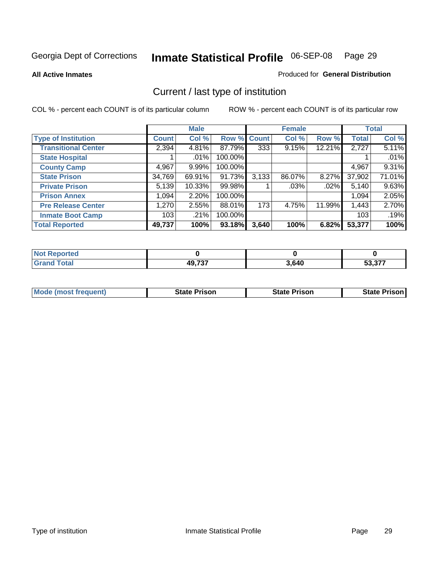**All Active Inmates**

### Produced for **General Distribution**

# Current / last type of institution

|                            |              | <b>Male</b> |         |              | <b>Female</b> |          |              | <b>Total</b> |
|----------------------------|--------------|-------------|---------|--------------|---------------|----------|--------------|--------------|
| <b>Type of Institution</b> | <b>Count</b> | Col %       | Row %   | <b>Count</b> | Col %         | Row %    | <b>Total</b> | Col %        |
| <b>Transitional Center</b> | 2,394        | 4.81%       | 87.79%  | 333          | 9.15%         | 12.21%   | 2,727        | 5.11%        |
| <b>State Hospital</b>      |              | $.01\%$     | 100.00% |              |               |          |              | .01%         |
| <b>County Camp</b>         | 4,967        | 9.99%       | 100.00% |              |               |          | 4,967        | 9.31%        |
| <b>State Prison</b>        | 34,769       | 69.91%      | 91.73%  | 3,133        | 86.07%        | $8.27\%$ | 37,902       | 71.01%       |
| <b>Private Prison</b>      | 5,139        | 10.33%      | 99.98%  |              | .03%          | .02%     | 5,140        | 9.63%        |
| <b>Prison Annex</b>        | 1,094        | 2.20%       | 100.00% |              |               |          | 1,094        | 2.05%        |
| <b>Pre Release Center</b>  | 1,270        | 2.55%       | 88.01%  | 173          | 4.75%         | 11.99%   | 1,443        | 2.70%        |
| <b>Inmate Boot Camp</b>    | 103          | .21%        | 100.00% |              |               |          | 103          | .19%         |
| <b>Total Reported</b>      | 49,737       | 100%        | 93.18%  | 3,640        | 100%          | 6.82%    | 53,377       | 100%         |

| <b>Not</b><br>Reported |        |       |        |
|------------------------|--------|-------|--------|
| <b>Grand Total</b>     | 49,737 | 3,640 | 53.377 |

| <b>Mode (most frequent)</b> | <b>State Prison</b> | <b>State Prison</b> | <b>State Prison I</b> |
|-----------------------------|---------------------|---------------------|-----------------------|
|                             |                     |                     |                       |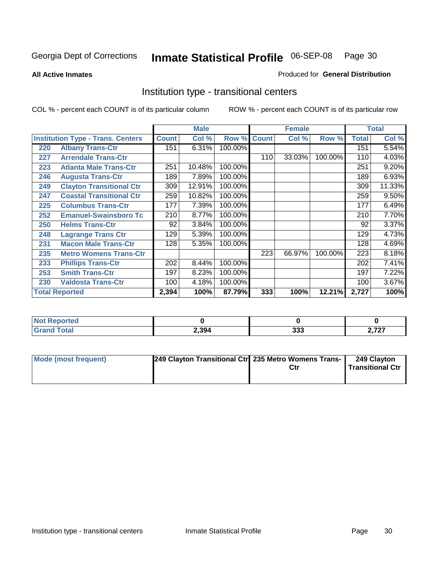**All Active Inmates**

### Produced for **General Distribution**

# Institution type - transitional centers

|     |                                          | <b>Male</b>  |        | <b>Female</b> |              |        | <b>Total</b> |              |          |
|-----|------------------------------------------|--------------|--------|---------------|--------------|--------|--------------|--------------|----------|
|     | <b>Institution Type - Trans. Centers</b> | <b>Count</b> | Col %  | Row %         | <b>Count</b> | Col %  | Row %        | <b>Total</b> | Col %    |
| 220 | <b>Albany Trans-Ctr</b>                  | 151          | 6.31%  | 100.00%       |              |        |              | 151          | 5.54%    |
| 227 | <b>Arrendale Trans-Ctr</b>               |              |        |               | 110          | 33.03% | 100.00%      | 110          | 4.03%    |
| 223 | <b>Atlanta Male Trans-Ctr</b>            | 251          | 10.48% | 100.00%       |              |        |              | 251          | 9.20%    |
| 246 | <b>Augusta Trans-Ctr</b>                 | 189          | 7.89%  | 100.00%       |              |        |              | 189          | 6.93%    |
| 249 | <b>Clayton Transitional Ctr</b>          | 309          | 12.91% | 100.00%       |              |        |              | 309          | 11.33%   |
| 247 | <b>Coastal Transitional Ctr</b>          | 259          | 10.82% | 100.00%       |              |        |              | 259          | 9.50%    |
| 225 | <b>Columbus Trans-Ctr</b>                | 177          | 7.39%  | 100.00%       |              |        |              | 177          | 6.49%    |
| 252 | <b>Emanuel-Swainsboro Tc</b>             | 210          | 8.77%  | 100.00%       |              |        |              | 210          | 7.70%    |
| 250 | <b>Helms Trans-Ctr</b>                   | 92           | 3.84%  | 100.00%       |              |        |              | 92           | 3.37%    |
| 248 | <b>Lagrange Trans Ctr</b>                | 129          | 5.39%  | 100.00%       |              |        |              | 129          | 4.73%    |
| 231 | <b>Macon Male Trans-Ctr</b>              | 128          | 5.35%  | 100.00%       |              |        |              | 128          | 4.69%    |
| 235 | <b>Metro Womens Trans-Ctr</b>            |              |        |               | 223          | 66.97% | 100.00%      | 223          | 8.18%    |
| 233 | <b>Phillips Trans-Ctr</b>                | 202          | 8.44%  | 100.00%       |              |        |              | 202          | 7.41%    |
| 253 | <b>Smith Trans-Ctr</b>                   | 197          | 8.23%  | 100.00%       |              |        |              | 197          | 7.22%    |
| 230 | <b>Valdosta Trans-Ctr</b>                | 100          | 4.18%  | 100.00%       |              |        |              | 100          | $3.67\%$ |
|     | <b>Total Reported</b>                    | 2,394        | 100%   | 87.79%        | 333          | 100%   | 12.21%       | 2,727        | 100%     |

| NO)<br><b>portea</b><br> |       |             |                                         |
|--------------------------|-------|-------------|-----------------------------------------|
| $\sim$                   | 2,394 | ົາລາ<br>ააა | $\sim$ $\sim$<br>$\sim$ 4 $\sim$<br>- 1 |

| <b>Mode (most frequent)</b> | 249 Clayton Transitional Ctrl 235 Metro Womens Trans- | Ctr | 249 Clayton<br><b>Transitional Ctr</b> |
|-----------------------------|-------------------------------------------------------|-----|----------------------------------------|
|                             |                                                       |     |                                        |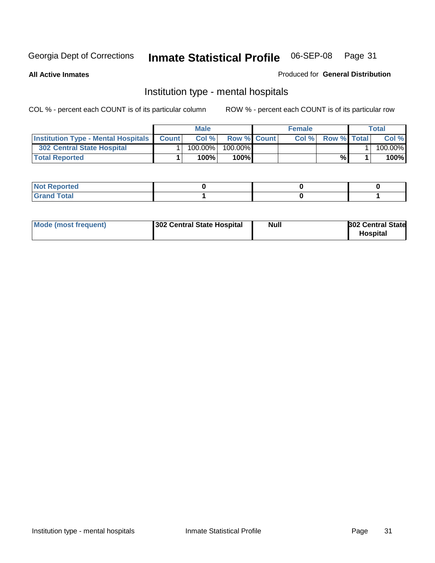**All Active Inmates**

### Produced for **General Distribution**

# Institution type - mental hospitals

|                                                  | <b>Male</b> |                    | <b>Female</b> |                    | Total   |
|--------------------------------------------------|-------------|--------------------|---------------|--------------------|---------|
| <b>Institution Type - Mental Hospitals Count</b> | Col%        | <b>Row % Count</b> | Col%          | <b>Row % Total</b> | Col %   |
| <b>302 Central State Hospital</b>                | $100.00\%$  | 100.00%            |               |                    | 100.00% |
| <b>Total Reported</b>                            | 100%        | 100%               |               | %                  | 100%    |

| Not Reported |  |  |
|--------------|--|--|
| <b>otal</b>  |  |  |

| Mode (most frequent) | 302 Central State Hospital | <b>Null</b> | <b>302 Central State</b><br><b>Hospital</b> |
|----------------------|----------------------------|-------------|---------------------------------------------|
|                      |                            |             |                                             |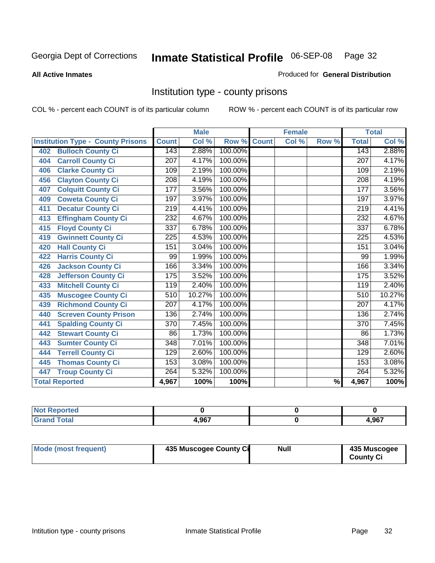#### **All Active Inmates**

### Produced for **General Distribution**

# Institution type - county prisons

|                                          |                  | <b>Male</b> |         |              | <b>Female</b>             |                          |                  | <b>Total</b> |
|------------------------------------------|------------------|-------------|---------|--------------|---------------------------|--------------------------|------------------|--------------|
| <b>Institution Type - County Prisons</b> | <b>Count</b>     | Col %       | Row %   | <b>Count</b> | $\overline{\text{Col}}$ % | Row %                    | <b>Total</b>     | Col %        |
| <b>Bulloch County Ci</b><br>402          | 143              | 2.88%       | 100.00% |              |                           |                          | 143              | 2.88%        |
| <b>Carroll County Ci</b><br>404          | $\overline{207}$ | 4.17%       | 100.00% |              |                           |                          | $\overline{207}$ | 4.17%        |
| <b>Clarke County Ci</b><br>406           | 109              | 2.19%       | 100.00% |              |                           |                          | 109              | 2.19%        |
| <b>Clayton County Ci</b><br>456          | 208              | 4.19%       | 100.00% |              |                           |                          | 208              | 4.19%        |
| <b>Colquitt County Ci</b><br>407         | 177              | 3.56%       | 100.00% |              |                           |                          | 177              | 3.56%        |
| <b>Coweta County Ci</b><br>409           | 197              | 3.97%       | 100.00% |              |                           |                          | 197              | 3.97%        |
| <b>Decatur County Ci</b><br>411          | $\overline{219}$ | 4.41%       | 100.00% |              |                           |                          | 219              | 4.41%        |
| <b>Effingham County Ci</b><br>413        | 232              | 4.67%       | 100.00% |              |                           |                          | 232              | 4.67%        |
| <b>Floyd County Ci</b><br>415            | 337              | 6.78%       | 100.00% |              |                           |                          | 337              | 6.78%        |
| <b>Gwinnett County Ci</b><br>419         | $\overline{225}$ | 4.53%       | 100.00% |              |                           |                          | 225              | 4.53%        |
| <b>Hall County Ci</b><br>420             | 151              | 3.04%       | 100.00% |              |                           |                          | 151              | 3.04%        |
| <b>Harris County Ci</b><br>422           | 99               | 1.99%       | 100.00% |              |                           |                          | 99               | 1.99%        |
| Jackson County Ci<br>426                 | 166              | 3.34%       | 100.00% |              |                           |                          | 166              | 3.34%        |
| <b>Jefferson County Ci</b><br>428        | 175              | 3.52%       | 100.00% |              |                           |                          | 175              | 3.52%        |
| <b>Mitchell County Ci</b><br>433         | 119              | 2.40%       | 100.00% |              |                           |                          | 119              | 2.40%        |
| <b>Muscogee County Ci</b><br>435         | 510              | 10.27%      | 100.00% |              |                           |                          | $\overline{510}$ | 10.27%       |
| <b>Richmond County Ci</b><br>439         | 207              | 4.17%       | 100.00% |              |                           |                          | 207              | 4.17%        |
| <b>Screven County Prison</b><br>440      | 136              | 2.74%       | 100.00% |              |                           |                          | 136              | 2.74%        |
| <b>Spalding County Ci</b><br>441         | $\overline{370}$ | 7.45%       | 100.00% |              |                           |                          | $\overline{370}$ | 7.45%        |
| <b>Stewart County Ci</b><br>442          | 86               | 1.73%       | 100.00% |              |                           |                          | 86               | 1.73%        |
| <b>Sumter County Ci</b><br>443           | 348              | 7.01%       | 100.00% |              |                           |                          | $\overline{348}$ | 7.01%        |
| <b>Terrell County Ci</b><br>444          | 129              | 2.60%       | 100.00% |              |                           |                          | 129              | 2.60%        |
| <b>Thomas County Ci</b><br>445           | 153              | 3.08%       | 100.00% |              |                           |                          | 153              | 3.08%        |
| <b>Troup County Ci</b><br>447            | 264              | 5.32%       | 100.00% |              |                           |                          | 264              | 5.32%        |
| <b>Total Reported</b>                    | 4,967            | 100%        | 100%    |              |                           | $\overline{\frac{9}{6}}$ | 4,967            | 100%         |

| τeα |                      |       |
|-----|----------------------|-------|
|     | <b>1 ሰ</b> 27<br>.JU | 4,967 |

| Mode (most frequent) | 435 Muscogee County Ci | Null | 435 Muscogee     |
|----------------------|------------------------|------|------------------|
|                      |                        |      | <b>County Ci</b> |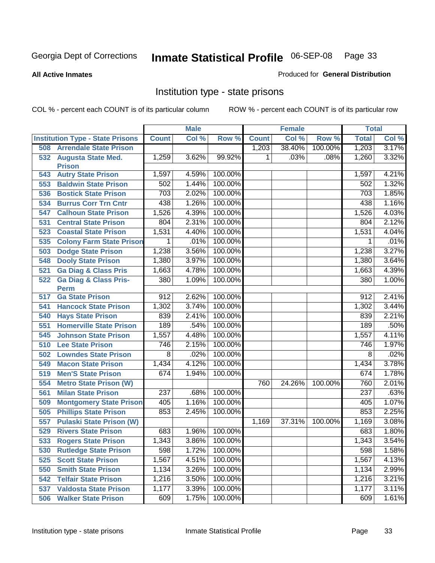### **All Active Inmates**

### Produced for **General Distribution**

# Institution type - state prisons

|     |                                            |                | <b>Male</b> |         |              | <b>Female</b> |         | <b>Total</b>   |       |
|-----|--------------------------------------------|----------------|-------------|---------|--------------|---------------|---------|----------------|-------|
|     | <b>Institution Type - State Prisons</b>    | <b>Count</b>   | Col %       | Row %   | <b>Count</b> | Col %         | Row %   | <b>Total</b>   | Col % |
| 508 | <b>Arrendale State Prison</b>              |                |             |         | 1,203        | 38.40%        | 100.00% | 1,203          | 3.17% |
| 532 | <b>Augusta State Med.</b><br><b>Prison</b> | 1,259          | 3.62%       | 99.92%  | 1            | .03%          | .08%    | 1,260          | 3.32% |
| 543 | <b>Autry State Prison</b>                  | 1,597          | 4.59%       | 100.00% |              |               |         | 1,597          | 4.21% |
| 553 | <b>Baldwin State Prison</b>                | 502            | 1.44%       | 100.00% |              |               |         | 502            | 1.32% |
| 536 | <b>Bostick State Prison</b>                | 703            | 2.02%       | 100.00% |              |               |         | 703            | 1.85% |
| 534 | <b>Burrus Corr Trn Cntr</b>                | 438            | 1.26%       | 100.00% |              |               |         | 438            | 1.16% |
| 547 | <b>Calhoun State Prison</b>                | 1,526          | 4.39%       | 100.00% |              |               |         | 1,526          | 4.03% |
| 531 | <b>Central State Prison</b>                | 804            | 2.31%       | 100.00% |              |               |         | 804            | 2.12% |
| 523 | <b>Coastal State Prison</b>                | 1,531          | 4.40%       | 100.00% |              |               |         | 1,531          | 4.04% |
| 535 | <b>Colony Farm State Prison</b>            | 1              | .01%        | 100.00% |              |               |         | 1              | .01%  |
| 503 | <b>Dodge State Prison</b>                  | 1,238          | 3.56%       | 100.00% |              |               |         | 1,238          | 3.27% |
| 548 | <b>Dooly State Prison</b>                  | 1,380          | 3.97%       | 100.00% |              |               |         | 1,380          | 3.64% |
| 521 | <b>Ga Diag &amp; Class Pris</b>            | 1,663          | 4.78%       | 100.00% |              |               |         | 1,663          | 4.39% |
| 522 | <b>Ga Diag &amp; Class Pris-</b>           | 380            | 1.09%       | 100.00% |              |               |         | 380            | 1.00% |
|     | <b>Perm</b>                                |                |             |         |              |               |         |                |       |
| 517 | <b>Ga State Prison</b>                     | 912            | 2.62%       | 100.00% |              |               |         | 912            | 2.41% |
| 541 | <b>Hancock State Prison</b>                | 1,302          | 3.74%       | 100.00% |              |               |         | 1,302          | 3.44% |
| 540 | <b>Hays State Prison</b>                   | 839            | 2.41%       | 100.00% |              |               |         | 839            | 2.21% |
| 551 | <b>Homerville State Prison</b>             | 189            | .54%        | 100.00% |              |               |         | 189            | .50%  |
| 545 | <b>Johnson State Prison</b>                | 1,557          | 4.48%       | 100.00% |              |               |         | 1,557          | 4.11% |
| 510 | <b>Lee State Prison</b>                    | 746            | 2.15%       | 100.00% |              |               |         | 746            | 1.97% |
| 502 | <b>Lowndes State Prison</b>                | $\overline{8}$ | .02%        | 100.00% |              |               |         | $\overline{8}$ | .02%  |
| 549 | <b>Macon State Prison</b>                  | 1,434          | 4.12%       | 100.00% |              |               |         | 1,434          | 3.78% |
| 519 | <b>Men'S State Prison</b>                  | 674            | 1.94%       | 100.00% |              |               |         | 674            | 1.78% |
| 554 | <b>Metro State Prison (W)</b>              |                |             |         | 760          | 24.26%        | 100.00% | 760            | 2.01% |
| 561 | <b>Milan State Prison</b>                  | 237            | .68%        | 100.00% |              |               |         | 237            | .63%  |
| 509 | <b>Montgomery State Prison</b>             | 405            | 1.16%       | 100.00% |              |               |         | 405            | 1.07% |
| 505 | <b>Phillips State Prison</b>               | 853            | 2.45%       | 100.00% |              |               |         | 853            | 2.25% |
| 557 | <b>Pulaski State Prison (W)</b>            |                |             |         | 1,169        | 37.31%        | 100.00% | 1,169          | 3.08% |
| 529 | <b>Rivers State Prison</b>                 | 683            | 1.96%       | 100.00% |              |               |         | 683            | 1.80% |
| 533 | <b>Rogers State Prison</b>                 | 1,343          | 3.86%       | 100.00% |              |               |         | 1,343          | 3.54% |
| 530 | <b>Rutledge State Prison</b>               | 598            | 1.72%       | 100.00% |              |               |         | 598            | 1.58% |
| 525 | <b>Scott State Prison</b>                  | 1,567          | 4.51%       | 100.00% |              |               |         | 1,567          | 4.13% |
| 550 | <b>Smith State Prison</b>                  | 1,134          | 3.26%       | 100.00% |              |               |         | 1,134          | 2.99% |
| 542 | <b>Telfair State Prison</b>                | 1,216          | 3.50%       | 100.00% |              |               |         | 1,216          | 3.21% |
| 537 | <b>Valdosta State Prison</b>               | 1,177          | 3.39%       | 100.00% |              |               |         | 1,177          | 3.11% |
| 506 | <b>Walker State Prison</b>                 | 609            | 1.75%       | 100.00% |              |               |         | 609            | 1.61% |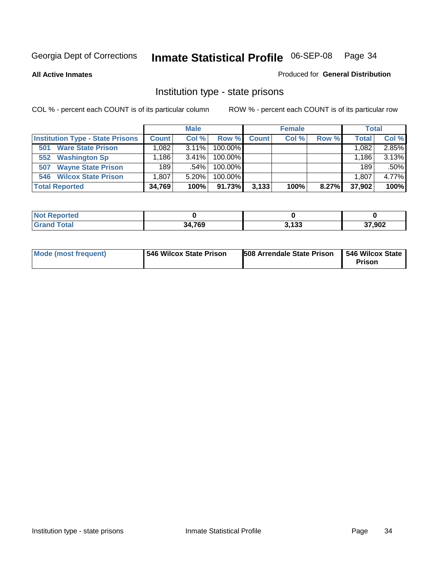**All Active Inmates**

### Produced for **General Distribution**

# Institution type - state prisons

|                                         |              | <b>Male</b> |            |              | <b>Female</b> |       | <b>Total</b> |       |
|-----------------------------------------|--------------|-------------|------------|--------------|---------------|-------|--------------|-------|
| <b>Institution Type - State Prisons</b> | <b>Count</b> | Col %       | Row %      | <b>Count</b> | Col %         | Row % | <b>Total</b> | Col % |
| <b>Ware State Prison</b><br>501         | .082         | $3.11\%$    | 100.00%    |              |               |       | 1,082        | 2.85% |
| <b>Washington Sp</b><br>552             | .186         | $3.41\%$    | $100.00\%$ |              |               |       | 1.186        | 3.13% |
| <b>Wayne State Prison</b><br>507        | 189          | $.54\%$     | 100.00%    |              |               |       | 189          | .50%  |
| <b>Wilcox State Prison</b><br>546       | 1,807        | 5.20%       | 100.00%    |              |               |       | 1,807        | 4.77% |
| <b>Total Reported</b>                   | 34,769       | 100%        | 91.73%     | 3,133        | 100%          | 8.27% | 37,902       | 100%  |

| <b>Not</b><br><b>Reported</b> |        |                      |        |
|-------------------------------|--------|----------------------|--------|
| <b>Total</b>                  | 34,769 | 2122<br><b>J.IJJ</b> | 37,902 |

| <b>Mode (most frequent)</b> | 546 Wilcox State Prison | <b>508 Arrendale State Prison</b> | 546 Wilcox State<br><b>Prison</b> |
|-----------------------------|-------------------------|-----------------------------------|-----------------------------------|
|-----------------------------|-------------------------|-----------------------------------|-----------------------------------|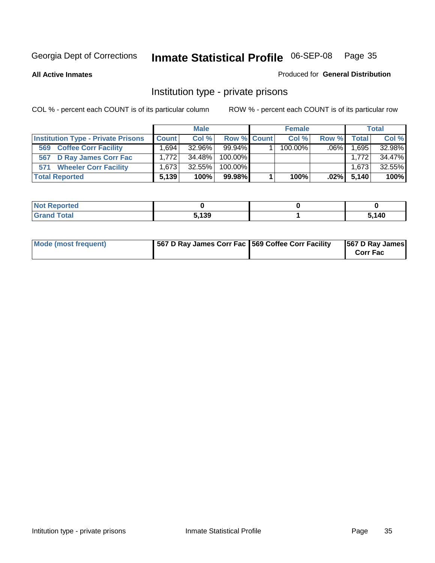**All Active Inmates**

### Produced for **General Distribution**

# Institution type - private prisons

|                                           |              | <b>Male</b> |             | <b>Female</b> |         |              | <b>Total</b> |
|-------------------------------------------|--------------|-------------|-------------|---------------|---------|--------------|--------------|
| <b>Institution Type - Private Prisons</b> | <b>Count</b> | Col%        | Row % Count | Col %         | Row %   | <b>Total</b> | Col %        |
| <b>Coffee Corr Facility</b><br>569        | .694         | 32.96%      | $99.94\%$   | $100.00\%$    | $.06\%$ | 1,695        | 32.98%       |
| 567 D Ray James Corr Fac                  | 1.772        | 34.48%      | 100.00%     |               |         | 1.772        | 34.47%       |
| 571 Wheeler Corr Facility                 | 1.6731       | 32.55%      | 100.00%     |               |         | 1,673        | 32.55%       |
| <b>Total Reported</b>                     | 5,139        | 100%        | 99.98%      | 100%          | $.02\%$ | 5,140        | 100%         |

| rted<br>NOT                      |       |       |
|----------------------------------|-------|-------|
| <b>Total</b><br>$\mathbf{v}$ and | 5.139 | 5,140 |

| <b>Mode (most frequent)</b> | 567 D Ray James Corr Fac 569 Coffee Corr Facility |  | 567 D Ray James<br><b>Corr Fac</b> |
|-----------------------------|---------------------------------------------------|--|------------------------------------|
|-----------------------------|---------------------------------------------------|--|------------------------------------|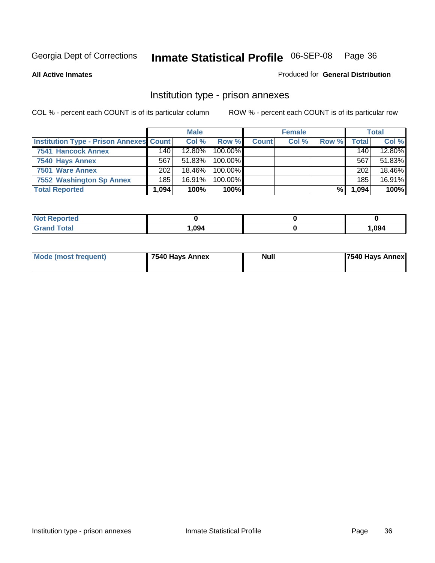**All Active Inmates**

Produced for **General Distribution**

# Institution type - prison annexes

|                                                |          | <b>Male</b> |            |              | <b>Female</b> |       |       | <b>Total</b> |
|------------------------------------------------|----------|-------------|------------|--------------|---------------|-------|-------|--------------|
| <b>Institution Type - Prison Annexes Count</b> |          | Col%        | Row %      | <b>Count</b> | Col %         | Row % | Total | Col %        |
| 7541 Hancock Annex                             | 140      | $12.80\%$   | $100.00\%$ |              |               |       | 140   | 12.80%       |
| 7540 Hays Annex                                | 567      | 51.83%      | $100.00\%$ |              |               |       | 567   | 51.83%       |
| 7501 Ware Annex                                | 202      | 18.46%      | $100.00\%$ |              |               |       | 202   | 18.46%       |
| 7552 Washington Sp Annex                       | 185      | 16.91%      | 100.00%    |              |               |       | 185   | 16.91%       |
| <b>Total Reported</b>                          | ا 094. ا | 100%        | 100%l      |              |               | %     | 1,094 | 100%         |

| <b>NOT RED</b><br>oortea |      |       |
|--------------------------|------|-------|
| <b>Total</b>             | ,094 | 1,094 |

| Mode (most frequent) | 7540 Hays Annex | <b>Null</b> | 7540 Hays Annex |
|----------------------|-----------------|-------------|-----------------|
|                      |                 |             |                 |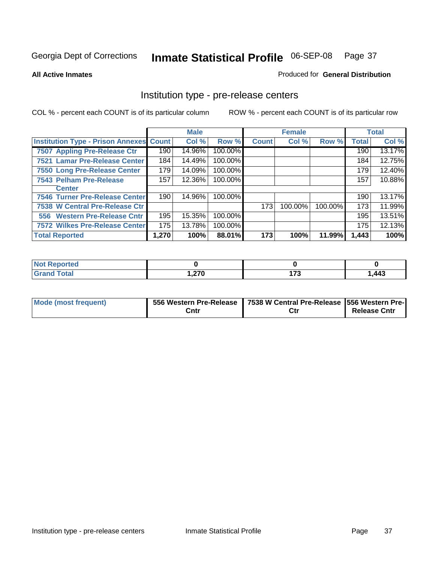### **All Active Inmates**

### Produced for **General Distribution**

## Institution type - pre-release centers

|                                                |       | <b>Male</b> |         |              | <b>Female</b> |         |              | <b>Total</b> |
|------------------------------------------------|-------|-------------|---------|--------------|---------------|---------|--------------|--------------|
| <b>Institution Type - Prison Annexes Count</b> |       | Col %       | Row %   | <b>Count</b> | Col %         | Row %   | <b>Total</b> | Col %        |
| 7507 Appling Pre-Release Ctr                   | 190   | 14.96%      | 100.00% |              |               |         | 190          | 13.17%       |
| 7521 Lamar Pre-Release Center                  | 184   | 14.49%      | 100.00% |              |               |         | 184          | 12.75%       |
| 7550 Long Pre-Release Center                   | 179   | 14.09%      | 100.00% |              |               |         | 179          | 12.40%       |
| 7543 Pelham Pre-Release                        | 157   | 12.36%      | 100.00% |              |               |         | 157          | 10.88%       |
| <b>Center</b>                                  |       |             |         |              |               |         |              |              |
| 7546 Turner Pre-Release Center                 | 190   | 14.96%      | 100.00% |              |               |         | 190          | 13.17%       |
| 7538 W Central Pre-Release Ctr                 |       |             |         | 173          | 100.00%       | 100.00% | 173          | 11.99%       |
| 556 Western Pre-Release Cntr                   | 195   | 15.35%      | 100.00% |              |               |         | 195          | 13.51%       |
| <b>7572 Wilkes Pre-Release Center</b>          | 175   | 13.78%      | 100.00% |              |               |         | 175          | 12.13%       |
| <b>Total Reported</b>                          | 1,270 | 100%        | 88.01%  | 173          | 100%          | 11.99%  | 1,443        | 100%         |

| <b>Not</b><br>Reported |               |                                |      |
|------------------------|---------------|--------------------------------|------|
| <b>Total</b>           | הדה<br>، ہے ا | $\rightarrow$<br>$\sim$ $\sim$ | .443 |

| Mode (most frequent) |      | 556 Western Pre-Release   7538 W Central Pre-Release   556 Western Pre- |                     |
|----------------------|------|-------------------------------------------------------------------------|---------------------|
|                      | Cntr |                                                                         | <b>Release Cntr</b> |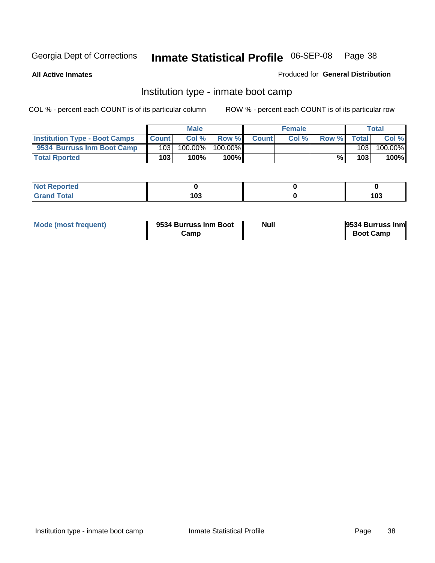**All Active Inmates**

Produced for **General Distribution**

## Institution type - inmate boot camp

|                                      |                  | <b>Male</b> |         |              | <b>Female</b> |       |       | Total   |
|--------------------------------------|------------------|-------------|---------|--------------|---------------|-------|-------|---------|
| <b>Institution Type - Boot Camps</b> | <b>Count</b>     | Col %       | Row %   | <b>Count</b> | Col%          | Row % | Total | Col %   |
| 9534 Burruss Inm Boot Camp           | 103 <sub>1</sub> | $100.00\%$  | 100.00% |              |               |       | 103   | 100.00% |
| <b>Total Rported</b>                 | 103              | 100%        | 100%    |              |               | %     | 103   | 100%    |

| <b>Reported</b><br>. |                    |     |
|----------------------|--------------------|-----|
| $A + I$<br>ι νιαι    | 1 N.O<br>נטו<br>__ | 103 |

| Mode (most frequent) | 9534 Burruss Inm Boot | Null | 9534 Burruss Inm |
|----------------------|-----------------------|------|------------------|
|                      | Camp                  |      | <b>Boot Camp</b> |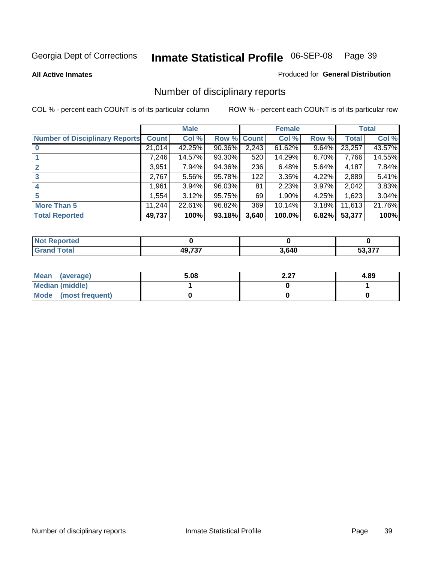### **All Active Inmates**

### Produced for **General Distribution**

## Number of disciplinary reports

|                                       |              | <b>Male</b> |                    |       | <b>Female</b> |       |              | <b>Total</b> |
|---------------------------------------|--------------|-------------|--------------------|-------|---------------|-------|--------------|--------------|
| <b>Number of Disciplinary Reports</b> | <b>Count</b> | Col %       | <b>Row % Count</b> |       | Col %         | Row % | <b>Total</b> | Col %        |
|                                       | 21,014       | 42.25%      | 90.36%             | 2,243 | 61.62%        | 9.64% | 23,257       | 43.57%       |
|                                       | 7,246        | 14.57%      | 93.30%             | 520   | 14.29%        | 6.70% | 7,766        | 14.55%       |
| $\mathbf{2}$                          | 3,951        | 7.94%       | 94.36%             | 236   | 6.48%         | 5.64% | 4,187        | 7.84%        |
| 3                                     | 2,767        | 5.56%       | 95.78%             | 122   | 3.35%         | 4.22% | 2,889        | 5.41%        |
|                                       | .961         | 3.94%       | 96.03%             | 81    | 2.23%         | 3.97% | 2,042        | 3.83%        |
| 5                                     | 1,554        | 3.12%       | 95.75%             | 69    | 1.90%         | 4.25% | 1,623        | 3.04%        |
| <b>More Than 5</b>                    | 11,244       | 22.61%      | 96.82%             | 369   | 10.14%        | 3.18% | 11,613       | 21.76%       |
| <b>Total Reported</b>                 | 49,737       | 100%        | 93.18%             | 3,640 | 100.0%        | 6.82% | 53,377       | 100%         |

| N                   |        |       |     |
|---------------------|--------|-------|-----|
| $\sim$ 10<br>______ | 10.707 | 3,640 | ^77 |

| Mean (average)       | 5.08 | דר ר<br>2.ZI | 4.89 |
|----------------------|------|--------------|------|
| Median (middle)      |      |              |      |
| Mode (most frequent) |      |              |      |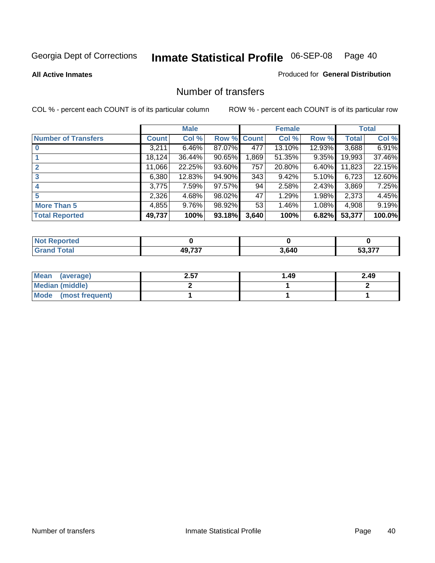### **All Active Inmates**

### Produced for **General Distribution**

## Number of transfers

|                            |         | <b>Male</b> |             |       | <b>Female</b> |          |              | <b>Total</b> |
|----------------------------|---------|-------------|-------------|-------|---------------|----------|--------------|--------------|
| <b>Number of Transfers</b> | Count l | Col %       | Row % Count |       | Col %         | Row %    | <b>Total</b> | Col %        |
|                            | 3,211   | $6.46\%$    | 87.07%      | 477   | 13.10%        | 12.93%   | 3,688        | 6.91%        |
|                            | 18,124  | 36.44%      | 90.65%      | ,869  | 51.35%        | $9.35\%$ | 19,993       | 37.46%       |
|                            | 11,066  | 22.25%      | 93.60%      | 757   | 20.80%        | $6.40\%$ | 11,823       | 22.15%       |
| 3                          | 6,380   | 12.83%      | 94.90%      | 343   | 9.42%         | $5.10\%$ | 6,723        | 12.60%       |
|                            | 3,775   | 7.59%       | 97.57%      | 94    | 2.58%         | $2.43\%$ | 3,869        | 7.25%        |
| 5                          | 2,326   | 4.68%       | 98.02%      | 47    | 1.29%         | 1.98%    | 2,373        | 4.45%        |
| <b>More Than 5</b>         | 4,855   | $9.76\%$    | 98.92%      | 53    | 1.46%         | 1.08%    | 4,908        | 9.19%        |
| <b>Total Reported</b>      | 49,737  | 100%        | 93.18%      | 3,640 | 100%          | 6.82%    | 53,377       | 100.0%       |

| N                   |        |       |     |
|---------------------|--------|-------|-----|
| $\sim$ 10<br>______ | 10.707 | 3,640 | ^77 |

| Mean (average)       | 2.57 | ∣.49 | 2.49 |
|----------------------|------|------|------|
| Median (middle)      |      |      |      |
| Mode (most frequent) |      |      |      |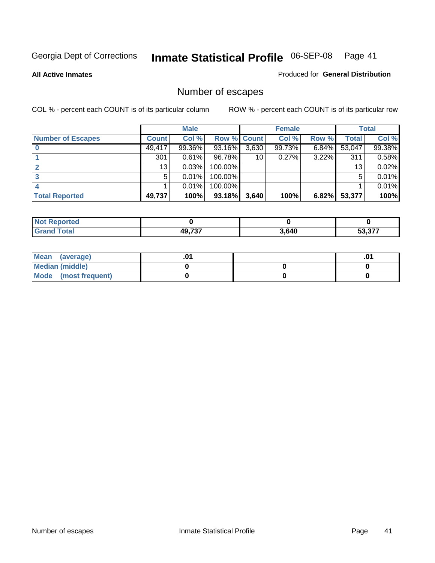**All Active Inmates**

Produced for **General Distribution**

## Number of escapes

|                          |              | <b>Male</b> |                    |       | <b>Female</b> |          |                 | <b>Total</b> |
|--------------------------|--------------|-------------|--------------------|-------|---------------|----------|-----------------|--------------|
| <b>Number of Escapes</b> | <b>Count</b> | Col %       | <b>Row % Count</b> |       | Col %         | Row %    | Total           | Col %        |
|                          | 49,417       | 99.36%      | 93.16%             | 3,630 | 99.73%        | 6.84%    | 53,047          | 99.38%       |
|                          | 301          | 0.61%       | 96.78%             | 10    | 0.27%         | $3.22\%$ | 311             | 0.58%        |
|                          | 13           | 0.03%       | 100.00%            |       |               |          | 13 <sub>1</sub> | 0.02%        |
|                          | 5            | 0.01%       | 100.00%            |       |               |          | 5               | 0.01%        |
|                          |              | 0.01%       | 100.00%            |       |               |          |                 | 0.01%        |
| <b>Total Reported</b>    | 49,737       | 100%        | 93.18%             | 3,640 | 100%          | 6.82%    | 53,377          | 100%         |

| тео |        |       |                                                   |
|-----|--------|-------|---------------------------------------------------|
|     | 10.727 | 3,640 | $F^{\wedge}$ $\wedge$ $\rightarrow$ $\rightarrow$ |

| Mean (average)         |  | ו ש. |
|------------------------|--|------|
| <b>Median (middle)</b> |  |      |
| Mode (most frequent)   |  |      |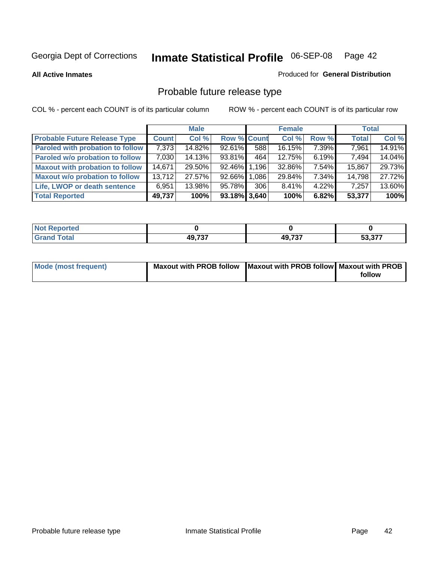**All Active Inmates**

### Produced for **General Distribution**

## Probable future release type

|                                         |              | <b>Male</b> |                    |       | <b>Female</b> |          | <b>Total</b> |        |
|-----------------------------------------|--------------|-------------|--------------------|-------|---------------|----------|--------------|--------|
| <b>Probable Future Release Type</b>     | <b>Count</b> | Col %       | <b>Row % Count</b> |       | Col %         | Row %    | <b>Total</b> | Col %  |
| <b>Paroled with probation to follow</b> | 7,373        | 14.82%      | $92.61\%$          | 588   | 16.15%        | 7.39%    | 7,961        | 14.91% |
| Paroled w/o probation to follow         | 7,030        | 14.13%      | 93.81%             | 464   | 12.75%        | 6.19%    | 7.494        | 14.04% |
| <b>Maxout with probation to follow</b>  | 14,671       | 29.50%      | 92.46% 1.196       |       | 32.86%        | 7.54%    | 15,867       | 29.73% |
| <b>Maxout w/o probation to follow</b>   | 13,712       | 27.57%      | 92.66%             | 1,086 | 29.84%        | $7.34\%$ | 14,798       | 27.72% |
| Life, LWOP or death sentence            | 6,951        | 13.98%      | 95.78%             | 306   | 8.41%         | $4.22\%$ | 7,257        | 13.60% |
| <b>Total Reported</b>                   | 49,737       | 100%        | $93.18\%$ 3,640    |       | 100%          | 6.82%    | 53,377       | 100%   |

| <i><b>sported</b></i><br>NO |               |        |         |
|-----------------------------|---------------|--------|---------|
| <b>otal</b>                 | <b>AQ 737</b> | 49,737 | につ つづつ  |
| <b>Gret</b>                 | וטופר         |        | 33.37 . |

| Mode (most frequent) | Maxout with PROB follow   Maxout with PROB follow   Maxout with PROB |        |
|----------------------|----------------------------------------------------------------------|--------|
|                      |                                                                      | follow |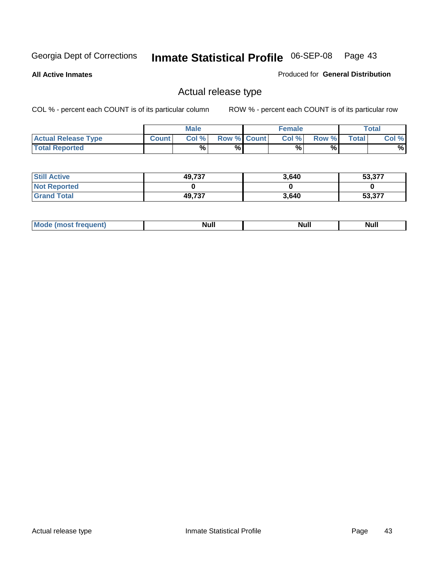**All Active Inmates**

Produced for **General Distribution**

## Actual release type

|                            |              | <b>Male</b> |                    | <b>Female</b> |       |              | $\tau$ otal |
|----------------------------|--------------|-------------|--------------------|---------------|-------|--------------|-------------|
| <b>Actual Release Type</b> | <b>Count</b> | Col %       | <b>Row % Count</b> | Col %         | Row % | <b>Total</b> | Col %       |
| <b>Total Reported</b>      |              | %           | %                  | %             | %     |              | %           |

| <b>Still Active</b> | 49,737 | 3,640 | 53,377 |
|---------------------|--------|-------|--------|
| <b>Not Reported</b> |        |       |        |
| <b>Grand Total</b>  | 49,737 | 3,640 | 53,377 |

| M<br>____<br>_____ | NI | Null | $\cdots$ |
|--------------------|----|------|----------|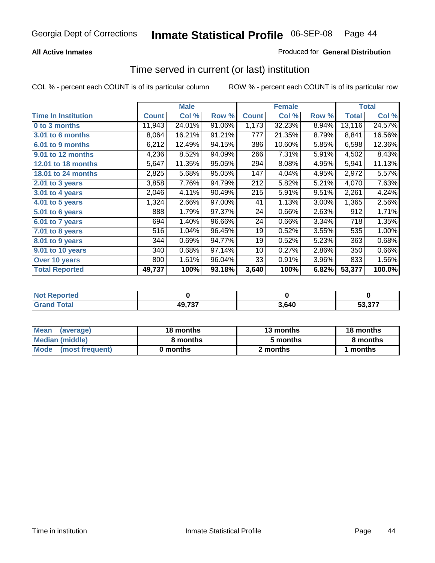### **All Active Inmates**

### Produced for **General Distribution**

## Time served in current (or last) institution

|                            |              | <b>Male</b> |        |              | <b>Female</b> |       |        | <b>Total</b> |
|----------------------------|--------------|-------------|--------|--------------|---------------|-------|--------|--------------|
| <b>Time In Institution</b> | <b>Count</b> | Col %       | Row %  | <b>Count</b> | Col %         | Row % | Total  | Col %        |
| 0 to 3 months              | 11,943       | 24.01%      | 91.06% | 1,173        | 32.23%        | 8.94% | 13,116 | 24.57%       |
| 3.01 to 6 months           | 8,064        | 16.21%      | 91.21% | 777          | 21.35%        | 8.79% | 8,841  | 16.56%       |
| 6.01 to 9 months           | 6,212        | 12.49%      | 94.15% | 386          | 10.60%        | 5.85% | 6,598  | 12.36%       |
| 9.01 to 12 months          | 4,236        | 8.52%       | 94.09% | 266          | 7.31%         | 5.91% | 4,502  | 8.43%        |
| 12.01 to 18 months         | 5,647        | 11.35%      | 95.05% | 294          | 8.08%         | 4.95% | 5,941  | 11.13%       |
| <b>18.01 to 24 months</b>  | 2,825        | 5.68%       | 95.05% | 147          | 4.04%         | 4.95% | 2,972  | 5.57%        |
| 2.01 to 3 years            | 3,858        | 7.76%       | 94.79% | 212          | 5.82%         | 5.21% | 4,070  | 7.63%        |
| 3.01 to 4 years            | 2,046        | 4.11%       | 90.49% | 215          | 5.91%         | 9.51% | 2,261  | 4.24%        |
| 4.01 to 5 years            | 1,324        | 2.66%       | 97.00% | 41           | 1.13%         | 3.00% | 1,365  | 2.56%        |
| 5.01 to 6 years            | 888          | 1.79%       | 97.37% | 24           | 0.66%         | 2.63% | 912    | 1.71%        |
| 6.01 to 7 years            | 694          | 1.40%       | 96.66% | 24           | 0.66%         | 3.34% | 718    | 1.35%        |
| 7.01 to 8 years            | 516          | 1.04%       | 96.45% | 19           | 0.52%         | 3.55% | 535    | 1.00%        |
| 8.01 to 9 years            | 344          | 0.69%       | 94.77% | 19           | 0.52%         | 5.23% | 363    | 0.68%        |
| 9.01 to 10 years           | 340          | 0.68%       | 97.14% | 10           | 0.27%         | 2.86% | 350    | 0.66%        |
| Over 10 years              | 800          | 1.61%       | 96.04% | 33           | 0.91%         | 3.96% | 833    | 1.56%        |
| <b>Total Reported</b>      | 49,737       | 100%        | 93.18% | 3,640        | 100%          | 6.82% | 53,377 | 100.0%       |

| Not l<br>Reported |        |      |     |
|-------------------|--------|------|-----|
| `otal             | 49,737 | ,640 | っフフ |

| <b>Mean</b><br>(average) | 18 months | 13 months | 18 months |  |
|--------------------------|-----------|-----------|-----------|--|
| Median (middle)          | 8 months  | 5 months  | 8 months  |  |
| Mode<br>(most frequent)  | 0 months  | 2 months  | months    |  |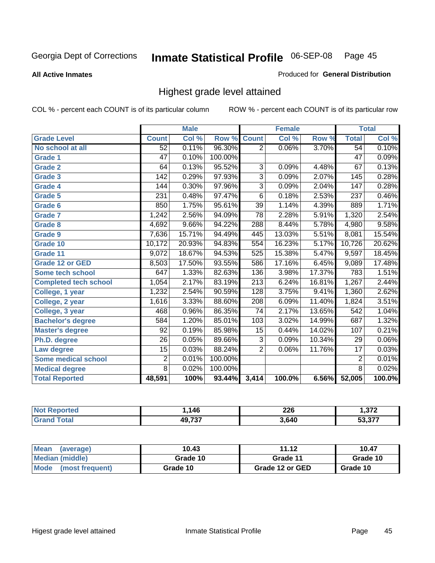**All Active Inmates**

### Produced for **General Distribution**

## Highest grade level attained

|                              |                 | <b>Male</b> |         |                  | <b>Female</b> |        |                  | <b>Total</b> |
|------------------------------|-----------------|-------------|---------|------------------|---------------|--------|------------------|--------------|
| <b>Grade Level</b>           | <b>Count</b>    | Col %       | Row %   | <b>Count</b>     | Col %         | Row %  | <b>Total</b>     | Col %        |
| No school at all             | $\overline{52}$ | 0.11%       | 96.30%  | $\overline{2}$   | 0.06%         | 3.70%  | 54               | 0.10%        |
| Grade 1                      | $\overline{47}$ | 0.10%       | 100.00% |                  |               |        | $\overline{47}$  | 0.09%        |
| <b>Grade 2</b>               | 64              | 0.13%       | 95.52%  | 3                | 0.09%         | 4.48%  | 67               | 0.13%        |
| <b>Grade 3</b>               | 142             | 0.29%       | 97.93%  | $\overline{3}$   | 0.09%         | 2.07%  | 145              | 0.28%        |
| Grade 4                      | 144             | 0.30%       | 97.96%  | $\overline{3}$   | 0.09%         | 2.04%  | $\overline{147}$ | 0.28%        |
| Grade 5                      | 231             | 0.48%       | 97.47%  | $\overline{6}$   | 0.18%         | 2.53%  | 237              | 0.46%        |
| Grade 6                      | 850             | 1.75%       | 95.61%  | $\overline{39}$  | 1.14%         | 4.39%  | 889              | 1.71%        |
| <b>Grade 7</b>               | 1,242           | 2.56%       | 94.09%  | $\overline{78}$  | 2.28%         | 5.91%  | 1,320            | 2.54%        |
| <b>Grade 8</b>               | 4,692           | 9.66%       | 94.22%  | 288              | 8.44%         | 5.78%  | 4,980            | 9.58%        |
| Grade 9                      | 7,636           | 15.71%      | 94.49%  | 445              | 13.03%        | 5.51%  | 8,081            | 15.54%       |
| Grade 10                     | 10,172          | 20.93%      | 94.83%  | 554              | 16.23%        | 5.17%  | 10,726           | 20.62%       |
| Grade 11                     | 9,072           | 18.67%      | 94.53%  | 525              | 15.38%        | 5.47%  | 9,597            | 18.45%       |
| <b>Grade 12 or GED</b>       | 8,503           | 17.50%      | 93.55%  | 586              | 17.16%        | 6.45%  | 9,089            | 17.48%       |
| <b>Some tech school</b>      | 647             | 1.33%       | 82.63%  | 136              | 3.98%         | 17.37% | 783              | 1.51%        |
| <b>Completed tech school</b> | 1,054           | 2.17%       | 83.19%  | $\overline{213}$ | 6.24%         | 16.81% | 1,267            | 2.44%        |
| College, 1 year              | 1,232           | 2.54%       | 90.59%  | 128              | 3.75%         | 9.41%  | 1,360            | 2.62%        |
| College, 2 year              | 1,616           | 3.33%       | 88.60%  | 208              | 6.09%         | 11.40% | 1,824            | 3.51%        |
| College, 3 year              | 468             | 0.96%       | 86.35%  | $\overline{74}$  | 2.17%         | 13.65% | $\overline{542}$ | 1.04%        |
| <b>Bachelor's degree</b>     | 584             | 1.20%       | 85.01%  | 103              | 3.02%         | 14.99% | 687              | 1.32%        |
| <b>Master's degree</b>       | 92              | 0.19%       | 85.98%  | 15               | 0.44%         | 14.02% | 107              | 0.21%        |
| Ph.D. degree                 | $\overline{26}$ | 0.05%       | 89.66%  | $\overline{3}$   | 0.09%         | 10.34% | 29               | $0.06\%$     |
| Law degree                   | $\overline{15}$ | 0.03%       | 88.24%  | $\overline{2}$   | 0.06%         | 11.76% | $\overline{17}$  | 0.03%        |
| <b>Some medical school</b>   | $\overline{2}$  | 0.01%       | 100.00% |                  |               |        | $\overline{2}$   | 0.01%        |
| <b>Medical degree</b>        | $\overline{8}$  | 0.02%       | 100.00% |                  |               |        | $\overline{8}$   | 0.02%        |
| <b>Total Reported</b>        | 48,591          | 100%        | 93.44%  | 3,414            | 100.0%        | 6.56%  | 52,005           | 100.0%       |

| 11C    | nne<br>ZZU<br>__ | 0.70     |
|--------|------------------|----------|
| 10.707 | : 640<br>,,v+v   | -^ ^ ¬ ¬ |

| <b>Mean</b><br>(average)       | 10.43    | 11.12           | 10.47    |
|--------------------------------|----------|-----------------|----------|
| Median (middle)                | Grade 10 | Grade 11        | Grade 10 |
| <b>Mode</b><br>(most frequent) | Grade 10 | Grade 12 or GED | Grade 10 |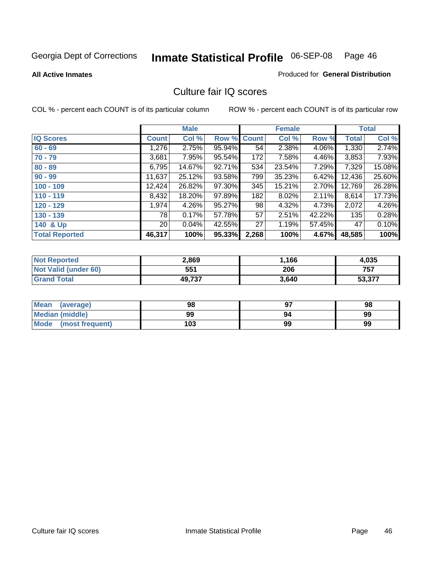**All Active Inmates**

### Produced for **General Distribution**

## Culture fair IQ scores

|                       |                 | <b>Male</b> |             |       | <b>Female</b> |        |              | <b>Total</b> |
|-----------------------|-----------------|-------------|-------------|-------|---------------|--------|--------------|--------------|
| <b>IQ Scores</b>      | <b>Count</b>    | Col %       | Row % Count |       | Col %         | Row %  | <b>Total</b> | Col %        |
| $60 - 69$             | 1,276           | 2.75%       | 95.94%      | 54    | 2.38%         | 4.06%  | 1,330        | 2.74%        |
| $70 - 79$             | 3,681           | 7.95%       | 95.54%      | 172   | 7.58%         | 4.46%  | 3,853        | 7.93%        |
| $80 - 89$             | 6,795           | 14.67%      | 92.71%      | 534   | 23.54%        | 7.29%  | 7,329        | 15.08%       |
| $90 - 99$             | 11,637          | 25.12%      | 93.58%      | 799   | 35.23%        | 6.42%  | 12,436       | 25.60%       |
| $100 - 109$           | 12,424          | 26.82%      | 97.30%      | 345   | 15.21%        | 2.70%  | 12,769       | 26.28%       |
| $110 - 119$           | 8,432           | 18.20%      | 97.89%      | 182   | 8.02%         | 2.11%  | 8,614        | 17.73%       |
| $120 - 129$           | 1,974           | 4.26%       | 95.27%      | 98    | 4.32%         | 4.73%  | 2,072        | 4.26%        |
| $130 - 139$           | 78              | 0.17%       | 57.78%      | 57    | 2.51%         | 42.22% | 135          | 0.28%        |
| 140 & Up              | 20 <sub>1</sub> | 0.04%       | 42.55%      | 27    | 1.19%         | 57.45% | 47           | 0.10%        |
| <b>Total Reported</b> | 46,317          | 100%        | 95.33%      | 2,268 | 100%          | 4.67%  | 48,585       | 100%         |

| <b>Not Reported</b>         | 2,869  | 1,166 | 4,035  |
|-----------------------------|--------|-------|--------|
| <b>Not Valid (under 60)</b> | 551    | 206   | 757    |
| <b>Grand Total</b>          | 49,737 | 3,640 | 53,377 |

| <b>Mean</b><br>(average) | 98  | 97 | 98 |
|--------------------------|-----|----|----|
| Median (middle)          | 99  | 94 | 99 |
| Mode (most frequent)     | 103 | 99 | 99 |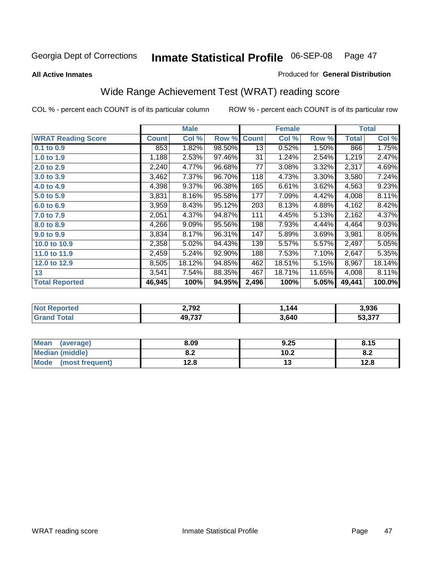### **All Active Inmates**

### Produced for **General Distribution**

## Wide Range Achievement Test (WRAT) reading score

|                           |              | <b>Male</b> |        |                 | <b>Female</b> |        |                    | <b>Total</b> |
|---------------------------|--------------|-------------|--------|-----------------|---------------|--------|--------------------|--------------|
| <b>WRAT Reading Score</b> | <b>Count</b> | Col %       | Row %  | <b>Count</b>    | Col %         | Row %  | <b>Total</b>       | Col %        |
| $0.1$ to $0.9$            | 853          | 1.82%       | 98.50% | $\overline{13}$ | 0.52%         | 1.50%  | 866                | 1.75%        |
| 1.0 to 1.9                | 1,188        | 2.53%       | 97.46% | 31              | 1.24%         | 2.54%  | 1,219              | 2.47%        |
| 2.0 to 2.9                | 2,240        | 4.77%       | 96.68% | 77              | 3.08%         | 3.32%  | 2,317              | 4.69%        |
| 3.0 to 3.9                | 3,462        | 7.37%       | 96.70% | 118             | 4.73%         | 3.30%  | 3,580              | 7.24%        |
| 4.0 to 4.9                | 4,398        | 9.37%       | 96.38% | 165             | 6.61%         | 3.62%  | 4,563              | 9.23%        |
| 5.0 to 5.9                | 3,831        | 8.16%       | 95.58% | 177             | 7.09%         | 4.42%  | 4,008              | 8.11%        |
| 6.0 to 6.9                | 3,959        | 8.43%       | 95.12% | 203             | 8.13%         | 4.88%  | 4,162              | 8.42%        |
| 7.0 to 7.9                | 2,051        | 4.37%       | 94.87% | 111             | 4.45%         | 5.13%  | 2,162              | 4.37%        |
| 8.0 to 8.9                | 4,266        | 9.09%       | 95.56% | 198             | 7.93%         | 4.44%  | 4,464              | 9.03%        |
| 9.0 to 9.9                | 3,834        | 8.17%       | 96.31% | 147             | 5.89%         | 3.69%  | 3,981              | 8.05%        |
| 10.0 to 10.9              | 2,358        | 5.02%       | 94.43% | 139             | 5.57%         | 5.57%  | $\overline{2,}497$ | 5.05%        |
| 11.0 to 11.9              | 2,459        | 5.24%       | 92.90% | 188             | 7.53%         | 7.10%  | 2,647              | 5.35%        |
| 12.0 to 12.9              | 8,505        | 18.12%      | 94.85% | 462             | 18.51%        | 5.15%  | 8,967              | 18.14%       |
| 13                        | 3,541        | 7.54%       | 88.35% | 467             | 18.71%        | 11.65% | 4,008              | 8.11%        |
| <b>Total Reported</b>     | 46,945       | 100%        | 94.95% | 2,496           | 100%          | 5.05%  | 49,441             | 100.0%       |

| 2,792 | 144   | 3.936                   |
|-------|-------|-------------------------|
| AO727 | 3.640 | <b>FO 077</b><br>ى د.د. |

| <b>Mean</b><br>(average) | 8.09       | 9.25 | 8.15 |
|--------------------------|------------|------|------|
| Median (middle)          | י ה<br>0.Z | 10.2 | O.A  |
| Mode<br>(most frequent)  | 12.8       | . .  | 12.8 |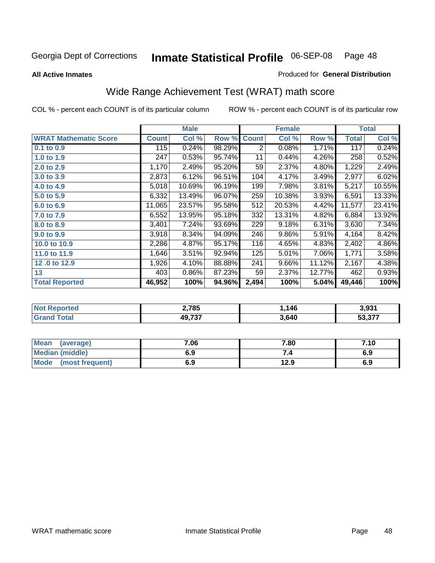**All Active Inmates**

### Produced for **General Distribution**

## Wide Range Achievement Test (WRAT) math score

|                              |              | <b>Male</b> |        |              | <b>Female</b> |        |              | <b>Total</b> |
|------------------------------|--------------|-------------|--------|--------------|---------------|--------|--------------|--------------|
| <b>WRAT Mathematic Score</b> | <b>Count</b> | Col %       | Row %  | <b>Count</b> | Col %         | Row %  | <b>Total</b> | Col %        |
| 0.1 to 0.9                   | 115          | 0.24%       | 98.29% | 2            | 0.08%         | 1.71%  | 117          | 0.24%        |
| 1.0 to 1.9                   | 247          | 0.53%       | 95.74% | 11           | 0.44%         | 4.26%  | 258          | 0.52%        |
| 2.0 to 2.9                   | 1,170        | 2.49%       | 95.20% | 59           | 2.37%         | 4.80%  | 1,229        | 2.49%        |
| 3.0 to 3.9                   | 2,873        | 6.12%       | 96.51% | 104          | 4.17%         | 3.49%  | 2,977        | 6.02%        |
| 4.0 to 4.9                   | 5,018        | 10.69%      | 96.19% | 199          | 7.98%         | 3.81%  | 5,217        | 10.55%       |
| 5.0 to 5.9                   | 6,332        | 13.49%      | 96.07% | 259          | 10.38%        | 3.93%  | 6,591        | 13.33%       |
| 6.0 to 6.9                   | 11,065       | 23.57%      | 95.58% | 512          | 20.53%        | 4.42%  | 11,577       | 23.41%       |
| 7.0 to 7.9                   | 6,552        | 13.95%      | 95.18% | 332          | 13.31%        | 4.82%  | 6,884        | 13.92%       |
| 8.0 to 8.9                   | 3,401        | 7.24%       | 93.69% | 229          | 9.18%         | 6.31%  | 3,630        | 7.34%        |
| 9.0 to 9.9                   | 3,918        | 8.34%       | 94.09% | 246          | 9.86%         | 5.91%  | 4,164        | 8.42%        |
| 10.0 to 10.9                 | 2,286        | 4.87%       | 95.17% | 116          | 4.65%         | 4.83%  | 2,402        | 4.86%        |
| 11.0 to 11.9                 | 1,646        | 3.51%       | 92.94% | 125          | 5.01%         | 7.06%  | 1,771        | 3.58%        |
| 12.0 to 12.9                 | 1,926        | 4.10%       | 88.88% | 241          | 9.66%         | 11.12% | 2,167        | 4.38%        |
| 13                           | 403          | 0.86%       | 87.23% | 59           | 2.37%         | 12.77% | 462          | 0.93%        |
| <b>Total Reported</b>        | 46,952       | 100%        | 94.96% | 2,494        | 100%          | 5.04%  | 49,446       | 100%         |

| 2,785            | . 146 | 3,931  |
|------------------|-------|--------|
| 10 727<br>49.IJI | 3,640 | より クラブ |

| Mean (average)         | 7.06 | 7.80 | 7.10 |
|------------------------|------|------|------|
| <b>Median (middle)</b> | 6.9  |      | 6.9  |
| Mode (most frequent)   | 6.9  | 12.9 | 6.9  |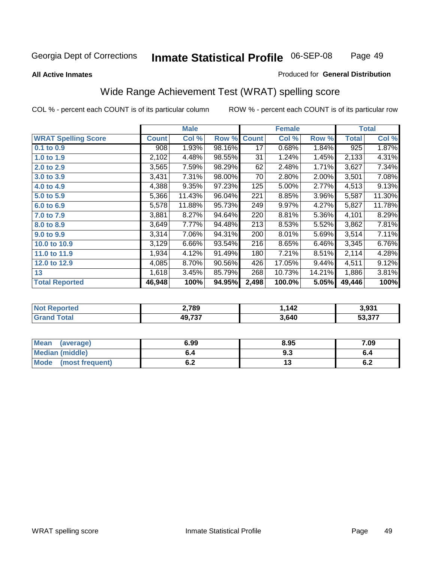### **All Active Inmates**

### Produced for **General Distribution**

## Wide Range Achievement Test (WRAT) spelling score

|                            |              | <b>Male</b> |        |              | <b>Female</b> |        |                  | <b>Total</b> |
|----------------------------|--------------|-------------|--------|--------------|---------------|--------|------------------|--------------|
| <b>WRAT Spelling Score</b> | <b>Count</b> | Col %       | Row %  | <b>Count</b> | Col %         | Row %  | <b>Total</b>     | Col %        |
| $0.1$ to $0.9$             | 908          | 1.93%       | 98.16% | 17           | 0.68%         | 1.84%  | $\overline{925}$ | 1.87%        |
| 1.0 to 1.9                 | 2,102        | 4.48%       | 98.55% | 31           | 1.24%         | 1.45%  | 2,133            | 4.31%        |
| 2.0 to 2.9                 | 3,565        | 7.59%       | 98.29% | 62           | 2.48%         | 1.71%  | 3,627            | 7.34%        |
| 3.0 to 3.9                 | 3,431        | 7.31%       | 98.00% | 70           | 2.80%         | 2.00%  | 3,501            | 7.08%        |
| 4.0 to 4.9                 | 4,388        | 9.35%       | 97.23% | 125          | 5.00%         | 2.77%  | 4,513            | 9.13%        |
| 5.0 to 5.9                 | 5,366        | 11.43%      | 96.04% | 221          | 8.85%         | 3.96%  | 5,587            | 11.30%       |
| 6.0 to 6.9                 | 5,578        | 11.88%      | 95.73% | 249          | 9.97%         | 4.27%  | 5,827            | 11.78%       |
| 7.0 to 7.9                 | 3,881        | 8.27%       | 94.64% | 220          | 8.81%         | 5.36%  | 4,101            | 8.29%        |
| 8.0 to 8.9                 | 3,649        | 7.77%       | 94.48% | 213          | 8.53%         | 5.52%  | 3,862            | 7.81%        |
| 9.0 to 9.9                 | 3,314        | 7.06%       | 94.31% | 200          | 8.01%         | 5.69%  | 3,514            | 7.11%        |
| 10.0 to 10.9               | 3,129        | 6.66%       | 93.54% | 216          | 8.65%         | 6.46%  | 3,345            | 6.76%        |
| 11.0 to 11.9               | 1,934        | 4.12%       | 91.49% | 180          | 7.21%         | 8.51%  | 2,114            | 4.28%        |
| 12.0 to 12.9               | 4,085        | 8.70%       | 90.56% | 426          | 17.05%        | 9.44%  | 4,511            | 9.12%        |
| 13                         | 1,618        | 3.45%       | 85.79% | 268          | 10.73%        | 14.21% | 1,886            | 3.81%        |
| <b>Total Reported</b>      | 46,948       | 100%        | 94.95% | 2,498        | 100.0%        | 5.05%  | 49,446           | 100%         |

| 2,789            | 112<br>▝ | 3,931  |
|------------------|----------|--------|
| 10 727<br>49.IJI | 3,640    | こへ ヘラフ |

| <b>Mean</b><br>(average)       | 6.99       | 8.95 | 7.09       |
|--------------------------------|------------|------|------------|
| <b>Median (middle)</b>         | o.4        | ৬.১  | o.4        |
| <b>Mode</b><br>(most frequent) | . .<br>U.Z | יי   | . .<br>0.Z |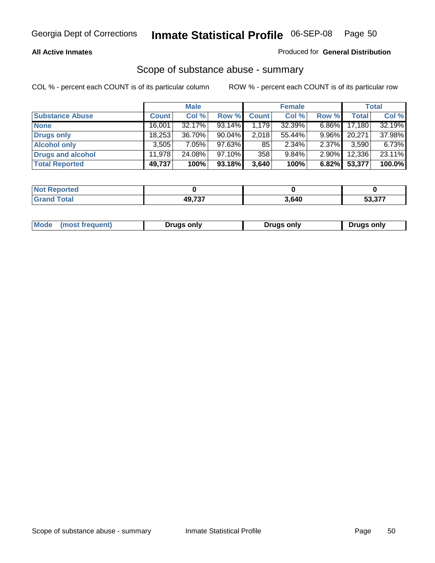### **All Active Inmates**

### Produced for **General Distribution**

## Scope of substance abuse - summary

|                        |        | <b>Male</b> |           |              | <b>Female</b> |          |              | <b>Total</b> |
|------------------------|--------|-------------|-----------|--------------|---------------|----------|--------------|--------------|
| <b>Substance Abuse</b> | Count  | Col %       | Row %     | <b>Count</b> | Col %         | Row %    | <b>Total</b> | Col %        |
| <b>None</b>            | 16,001 | 32.17%      | 93.14%    | 1,179        | 32.39%        | $6.86\%$ | 17,180       | 32.19%       |
| Drugs only             | 18,253 | 36.70%      | 90.04%    | 2,018        | 55.44%        | $9.96\%$ | 20,271       | 37.98%       |
| <b>Alcohol only</b>    | 3,505  | $7.05\%$    | 97.63%    | 85           | $2.34\%$      | 2.37%    | 3,590        | 6.73%        |
| Drugs and alcohol      | 11.978 | 24.08%      | $97.10\%$ | 358          | $9.84\%$      | $2.90\%$ | 12,336       | 23.11%       |
| <b>Total Reported</b>  | 49,737 | 100%        | 93.18%    | 3,640        | 100%          | 6.82%    | 53,377       | 100.0%       |

| <b>Not</b><br><b>rted</b><br>œoro |         |       |                      |
|-----------------------------------|---------|-------|----------------------|
| `otal                             | 10 727  | 3,640 | $\sim$ $\sim$ $\sim$ |
| ' Granu                           | וט ו סו |       | .                    |

|  | Mode<br>(most frequent) | Drugs only | Drugs only | Drugs only |
|--|-------------------------|------------|------------|------------|
|--|-------------------------|------------|------------|------------|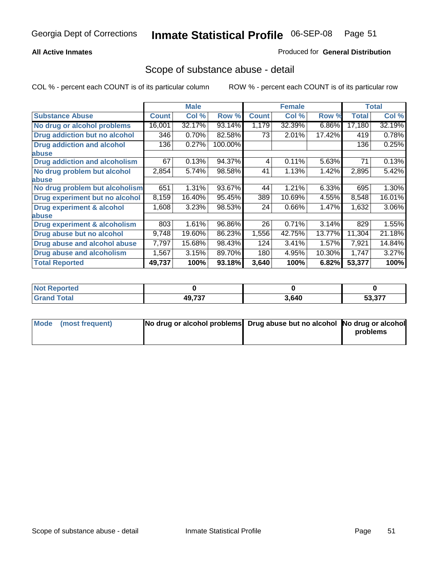### **All Active Inmates**

### Produced for **General Distribution**

## Scope of substance abuse - detail

|                                      |              | <b>Male</b> |         |              | <b>Female</b> |        |              | <b>Total</b> |
|--------------------------------------|--------------|-------------|---------|--------------|---------------|--------|--------------|--------------|
| <b>Substance Abuse</b>               | <b>Count</b> | Col %       | Row %   | <b>Count</b> | Col %         | Row %  | <b>Total</b> | Col %        |
| No drug or alcohol problems          | 16,001       | 32.17%      | 93.14%  | 1,179        | 32.39%        | 6.86%  | 17,180       | 32.19%       |
| Drug addiction but no alcohol        | 346          | 0.70%       | 82.58%  | 73           | 2.01%         | 17.42% | 419          | 0.78%        |
| <b>Drug addiction and alcohol</b>    | 136          | 0.27%       | 100.00% |              |               |        | 136          | 0.25%        |
| <b>labuse</b>                        |              |             |         |              |               |        |              |              |
| <b>Drug addiction and alcoholism</b> | 67           | 0.13%       | 94.37%  | 4            | 0.11%         | 5.63%  | 71           | 0.13%        |
| No drug problem but alcohol          | 2,854        | 5.74%       | 98.58%  | 41           | 1.13%         | 1.42%  | 2,895        | 5.42%        |
| <b>labuse</b>                        |              |             |         |              |               |        |              |              |
| No drug problem but alcoholism       | 651          | 1.31%       | 93.67%  | 44           | 1.21%         | 6.33%  | 695          | 1.30%        |
| Drug experiment but no alcohol       | 8,159        | 16.40%      | 95.45%  | 389          | 10.69%        | 4.55%  | 8,548        | 16.01%       |
| <b>Drug experiment &amp; alcohol</b> | 1,608        | 3.23%       | 98.53%  | 24           | 0.66%         | 1.47%  | 1,632        | 3.06%        |
| <b>labuse</b>                        |              |             |         |              |               |        |              |              |
| Drug experiment & alcoholism         | 803          | 1.61%       | 96.86%  | 26           | 0.71%         | 3.14%  | 829          | 1.55%        |
| Drug abuse but no alcohol            | 9,748        | 19.60%      | 86.23%  | 1,556        | 42.75%        | 13.77% | 11,304       | 21.18%       |
| Drug abuse and alcohol abuse         | 7,797        | 15.68%      | 98.43%  | 124          | 3.41%         | 1.57%  | 7,921        | 14.84%       |
| <b>Drug abuse and alcoholism</b>     | 1,567        | 3.15%       | 89.70%  | 180          | 4.95%         | 10.30% | 1,747        | 3.27%        |
| <b>Total Reported</b>                | 49,737       | 100%        | 93.18%  | 3,640        | 100%          | 6.82%  | 53,377       | 100%         |

| oortea<br><b>NOT</b> |        |       |                  |
|----------------------|--------|-------|------------------|
|                      | 10 727 | 3.640 | דדה ה־<br>J.<br> |

| Mode (most frequent) | No drug or alcohol problems Drug abuse but no alcohol No drug or alcohol |          |
|----------------------|--------------------------------------------------------------------------|----------|
|                      |                                                                          | problems |
|                      |                                                                          |          |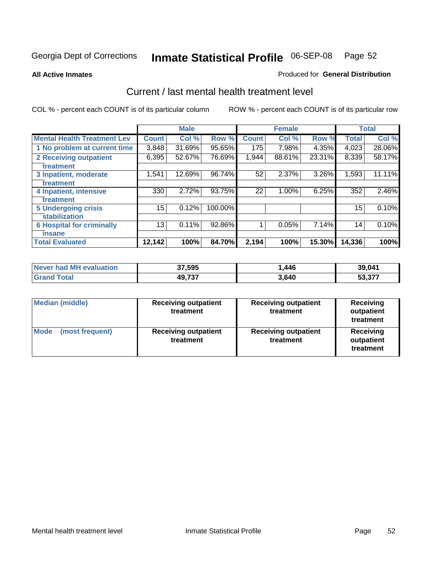**All Active Inmates**

### Produced for **General Distribution**

## Current / last mental health treatment level

|                                    |              | <b>Male</b> |         |              | <b>Female</b> |          |              | <b>Total</b> |
|------------------------------------|--------------|-------------|---------|--------------|---------------|----------|--------------|--------------|
| <b>Mental Health Treatment Lev</b> | <b>Count</b> | Col %       | Row %   | <b>Count</b> | Col %         | Row %    | <b>Total</b> | Col %        |
| 1 No problem at current time       | 3,848        | 31.69%      | 95.65%  | 175          | 7.98%         | 4.35%    | 4,023        | 28.06%       |
| 2 Receiving outpatient             | 6,395        | 52.67%      | 76.69%  | 1,944        | 88.61%        | 23.31%   | 8,339        | 58.17%       |
| treatment                          |              |             |         |              |               |          |              |              |
| 3 Inpatient, moderate              | 1,541        | 12.69%      | 96.74%  | 52           | 2.37%         | $3.26\%$ | 1,593        | 11.11%       |
| treatment                          |              |             |         |              |               |          |              |              |
| 4 Inpatient, intensive             | 330          | 2.72%       | 93.75%  | 22           | $1.00\%$      | 6.25%    | 352          | 2.46%        |
| treatment                          |              |             |         |              |               |          |              |              |
| <b>5 Undergoing crisis</b>         | 15           | 0.12%       | 100.00% |              |               |          | 15           | 0.10%        |
| stabilization                      |              |             |         |              |               |          |              |              |
| <b>6 Hospital for criminally</b>   | 13           | 0.11%       | 92.86%  | 1            | 0.05%         | 7.14%    | 14           | 0.10%        |
| insane                             |              |             |         |              |               |          |              |              |
| <b>Total Evaluated</b>             | 12,142       | 100%        | 84.70%  | 2,194        | 100%          | 15.30%   | 14,336       | 100%         |

| Never had MH evaluation | 37,595 | 446، ، | 39,041 |
|-------------------------|--------|--------|--------|
| $\tau$ otal<br>Grand    | 49,737 | 3,640  | 53,377 |

| <b>Median (middle)</b>         | <b>Receiving outpatient</b><br>treatment | <b>Receiving outpatient</b><br>treatment | <b>Receiving</b><br>outpatient<br>treatment |  |
|--------------------------------|------------------------------------------|------------------------------------------|---------------------------------------------|--|
| <b>Mode</b><br>(most frequent) | <b>Receiving outpatient</b><br>treatment | <b>Receiving outpatient</b><br>treatment | Receiving<br>outpatient<br>treatment        |  |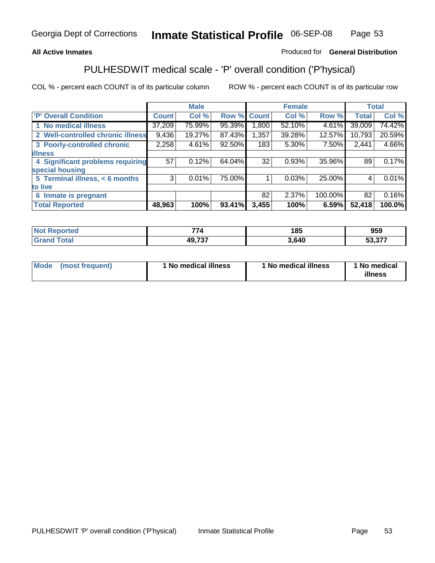### **All Active Inmates**

## Produced for **General Distribution**

## PULHESDWIT medical scale - 'P' overall condition ('P'hysical)

|                                   |              | <b>Male</b> |        |              | <b>Female</b> |         |              | <b>Total</b> |
|-----------------------------------|--------------|-------------|--------|--------------|---------------|---------|--------------|--------------|
| 'P' Overall Condition             | <b>Count</b> | Col %       | Row %  | <b>Count</b> | Col %         | Row %   | <b>Total</b> | Col %        |
| 1 No medical illness              | 37,209       | 75.99%      | 95.39% | 1,800        | 52.10%        | 4.61%   | 39,009       | 74.42%       |
| 2 Well-controlled chronic illness | 9,436        | 19.27%      | 87.43% | 1,357        | 39.28%        | 12.57%  | 10,793       | 20.59%       |
| 3 Poorly-controlled chronic       | 2,258        | 4.61%       | 92.50% | 183          | 5.30%         | 7.50%   | 2,441        | 4.66%        |
| <b>illness</b>                    |              |             |        |              |               |         |              |              |
| 4 Significant problems requiring  | 57           | 0.12%       | 64.04% | 32           | 0.93%         | 35.96%  | 89           | 0.17%        |
| special housing                   |              |             |        |              |               |         |              |              |
| 5 Terminal illness, < 6 months    | 3            | 0.01%       | 75.00% |              | 0.03%         | 25.00%  | 4            | 0.01%        |
| to live                           |              |             |        |              |               |         |              |              |
| 6 Inmate is pregnant              |              |             |        | 82           | 2.37%         | 100.00% | 82           | 0.16%        |
| <b>Total Reported</b>             | 48,963       | 100%        | 93.41% | 3,455        | 100%          | 6.59%   | 52,418       | 100.0%       |

| Not i<br><b>Reported</b> | $\rightarrow$<br>74 | 185  | 959    |
|--------------------------|---------------------|------|--------|
| <b>Grand Total</b>       | 49,737              | 640, | 53,377 |

| Mode (most frequent) | 1 No medical illness | 1 No medical illness | 1 No medical |
|----------------------|----------------------|----------------------|--------------|
|                      |                      |                      | illness      |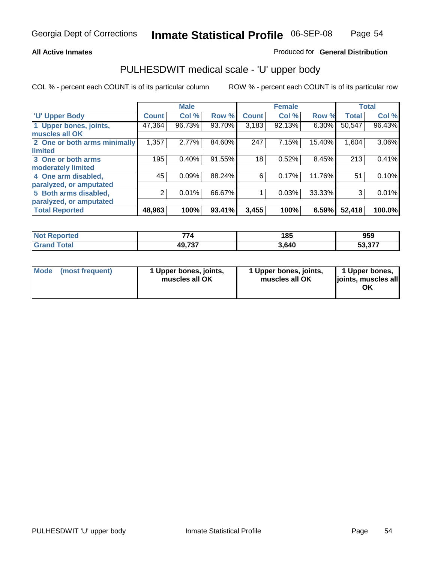### **All Active Inmates**

### Produced for **General Distribution**

## PULHESDWIT medical scale - 'U' upper body

|                              |              | <b>Male</b> |        |              | <b>Female</b> |        |              | <b>Total</b> |
|------------------------------|--------------|-------------|--------|--------------|---------------|--------|--------------|--------------|
| <b>U' Upper Body</b>         | <b>Count</b> | Col %       | Row %  | <b>Count</b> | Col %         | Row %  | <b>Total</b> | Col %        |
| 1 Upper bones, joints,       | 47,364       | 96.73%      | 93.70% | 3,183        | 92.13%        | 6.30%  | 50,547       | 96.43%       |
| muscles all OK               |              |             |        |              |               |        |              |              |
| 2 One or both arms minimally | 1,357        | 2.77%       | 84.60% | 247          | 7.15%         | 15.40% | 1,604        | 3.06%        |
| limited                      |              |             |        |              |               |        |              |              |
| 3 One or both arms           | 195          | 0.40%       | 91.55% | 18           | 0.52%         | 8.45%  | 213          | 0.41%        |
| moderately limited           |              |             |        |              |               |        |              |              |
| 4 One arm disabled,          | 45           | 0.09%       | 88.24% | 6            | 0.17%         | 11.76% | 51           | 0.10%        |
| paralyzed, or amputated      |              |             |        |              |               |        |              |              |
| 5 Both arms disabled,        | 2            | 0.01%       | 66.67% |              | 0.03%         | 33.33% | 3            | 0.01%        |
| paralyzed, or amputated      |              |             |        |              |               |        |              |              |
| <b>Total Reported</b>        | 48,963       | 100%        | 93.41% | 3,455        | 100%          | 6.59%  | 52,418       | 100.0%       |

| <b>Not Reported</b>      | 774    | 185   | 959                            |
|--------------------------|--------|-------|--------------------------------|
| $\mathsf{Total}$<br>Grar | 49,737 | 3.640 | $\sim$ $\sim$ $\sim$<br>53.377 |

| <b>Mode</b> | (most frequent) | 1 Upper bones, joints,<br>muscles all OK | 1 Upper bones, joints,<br>muscles all OK | 1 Upper bones,<br>joints, muscles all<br>ΟK |
|-------------|-----------------|------------------------------------------|------------------------------------------|---------------------------------------------|
|-------------|-----------------|------------------------------------------|------------------------------------------|---------------------------------------------|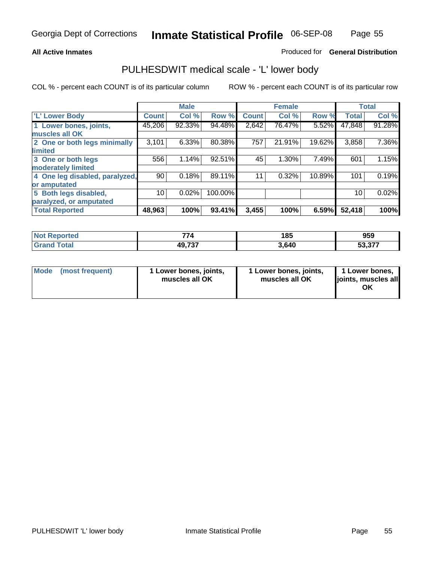### **All Active Inmates**

### Produced for **General Distribution**

## PULHESDWIT medical scale - 'L' lower body

|                                |        | <b>Male</b> |         |              | <b>Female</b> |        |              | <b>Total</b> |
|--------------------------------|--------|-------------|---------|--------------|---------------|--------|--------------|--------------|
| <b>L' Lower Body</b>           | Count! | Col %       | Row %   | <b>Count</b> | Col %         | Row %  | <b>Total</b> | Col %        |
| 1 Lower bones, joints,         | 45,206 | 92.33%      | 94.48%  | 2,642        | 76.47%        | 5.52%  | 47,848       | 91.28%       |
| muscles all OK                 |        |             |         |              |               |        |              |              |
| 2 One or both legs minimally   | 3,101  | 6.33%       | 80.38%  | 757          | 21.91%        | 19.62% | 3,858        | 7.36%        |
| limited                        |        |             |         |              |               |        |              |              |
| 3 One or both legs             | 556    | 1.14%       | 92.51%  | 45           | 1.30%         | 7.49%  | 601          | 1.15%        |
| moderately limited             |        |             |         |              |               |        |              |              |
| 4 One leg disabled, paralyzed, | 90     | 0.18%       | 89.11%  | 11           | 0.32%         | 10.89% | 101          | 0.19%        |
| or amputated                   |        |             |         |              |               |        |              |              |
| 5 Both legs disabled,          | 10     | 0.02%       | 100.00% |              |               |        | 10           | 0.02%        |
| paralyzed, or amputated        |        |             |         |              |               |        |              |              |
| <b>Total Reported</b>          | 48,963 | 100%        | 93.41%  | 3,455        | 100%          | 6.59%  | 52,418       | 100%         |

| <b>Not Reported</b>      | 774    | 185   | 959                            |
|--------------------------|--------|-------|--------------------------------|
| $\mathsf{Total}$<br>Grar | 49,737 | 3.640 | $\sim$ $\sim$ $\sim$<br>53.377 |

|  | Mode (most frequent) | 1 Lower bones, joints,<br>muscles all OK | 1 Lower bones, joints,<br>muscles all OK | 1 Lower bones,<br>joints, muscles all<br>ОK |
|--|----------------------|------------------------------------------|------------------------------------------|---------------------------------------------|
|--|----------------------|------------------------------------------|------------------------------------------|---------------------------------------------|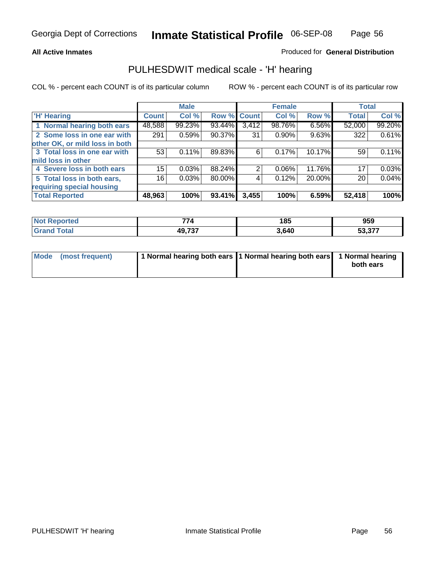### **All Active Inmates**

### Produced for **General Distribution**

## PULHESDWIT medical scale - 'H' hearing

|                                |              | <b>Male</b> |             |       | <b>Female</b> |        | <b>Total</b> |        |
|--------------------------------|--------------|-------------|-------------|-------|---------------|--------|--------------|--------|
| <b>H'</b> Hearing              | <b>Count</b> | Col %       | Row % Count |       | Col %         | Row %  | <b>Total</b> | Col %  |
| 1 Normal hearing both ears     | 48,588       | 99.23%      | 93.44%      | 3,412 | 98.76%        | 6.56%  | 52,000       | 99.20% |
| 2 Some loss in one ear with    | 291          | 0.59%       | 90.37%      | 31    | $0.90\%$      | 9.63%  | 322          | 0.61%  |
| other OK, or mild loss in both |              |             |             |       |               |        |              |        |
| 3 Total loss in one ear with   | 53           | 0.11%       | 89.83%      | 6     | 0.17%         | 10.17% | 59           | 0.11%  |
| mild loss in other             |              |             |             |       |               |        |              |        |
| 4 Severe loss in both ears     | 15           | 0.03%       | 88.24%      | 2     | $0.06\%$      | 11.76% | 17           | 0.03%  |
| 5 Total loss in both ears,     | 16           | 0.03%       | 80.00%      | 4     | 0.12%         | 20.00% | 20           | 0.04%  |
| requiring special housing      |              |             |             |       |               |        |              |        |
| <b>Total Reported</b>          | 48,963       | 100%        | 93.41%      | 3,455 | 100%          | 6.59%  | 52,418       | 100%   |

| วrted      | --<br>74                 | 185  | 959                        |
|------------|--------------------------|------|----------------------------|
| <b>ota</b> | <b>AQ 737</b><br>וט ו טד | ,640 | 27<br>-^<br><u>, וטוטי</u> |

| Mode (most frequent) | 1 Normal hearing both ears 11 Normal hearing both ears 1 Normal hearing |           |
|----------------------|-------------------------------------------------------------------------|-----------|
|                      |                                                                         | both ears |
|                      |                                                                         |           |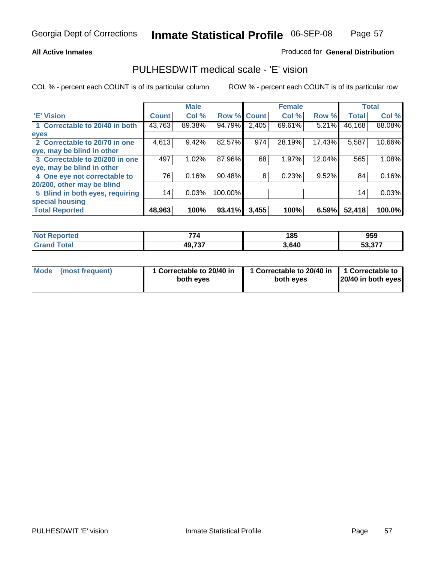### **All Active Inmates**

### Produced for **General Distribution**

## PULHESDWIT medical scale - 'E' vision

|                                 |              | <b>Male</b> |             |       | <b>Female</b> |        |              | <b>Total</b> |
|---------------------------------|--------------|-------------|-------------|-------|---------------|--------|--------------|--------------|
| 'E' Vision                      | <b>Count</b> | Col %       | Row % Count |       | Col %         | Row %  | <b>Total</b> | Col %        |
| 1 Correctable to 20/40 in both  | 43,763       | 89.38%      | 94.79%      | 2,405 | 69.61%        | 5.21%  | 46,168       | 88.08%       |
| eyes                            |              |             |             |       |               |        |              |              |
| 2 Correctable to 20/70 in one   | 4,613        | 9.42%       | 82.57%      | 974   | 28.19%        | 17.43% | 5,587        | 10.66%       |
| eye, may be blind in other      |              |             |             |       |               |        |              |              |
| 3 Correctable to 20/200 in one  | 497          | 1.02%       | 87.96%      | 68    | 1.97%         | 12.04% | 565          | 1.08%        |
| eye, may be blind in other      |              |             |             |       |               |        |              |              |
| 4 One eye not correctable to    | 76           | 0.16%       | 90.48%      | 8     | 0.23%         | 9.52%  | 84           | 0.16%        |
| 20/200, other may be blind      |              |             |             |       |               |        |              |              |
| 5 Blind in both eyes, requiring | 14           | 0.03%       | 100.00%     |       |               |        | 14           | 0.03%        |
| special housing                 |              |             |             |       |               |        |              |              |
| <b>Total Reported</b>           | 48,963       | 100%        | 93.41%      | 3,455 | 100%          | 6.59%  | 52,418       | 100.0%       |

| <b>Not Reported</b><br>. | $\rightarrow$ | 185   | 959                                                                |
|--------------------------|---------------|-------|--------------------------------------------------------------------|
|                          | 49,737        | 3,640 | $F^{\wedge}$ $\wedge$ $\rightarrow$ $\rightarrow$<br>ວວ.ວ <i>ເ</i> |

| Mode | (most frequent) | 1 Correctable to 20/40 in<br>both eves | 1 Correctable to 20/40 in   1 Correctable to<br>both eves | 20/40 in both eyes |
|------|-----------------|----------------------------------------|-----------------------------------------------------------|--------------------|
|      |                 |                                        |                                                           |                    |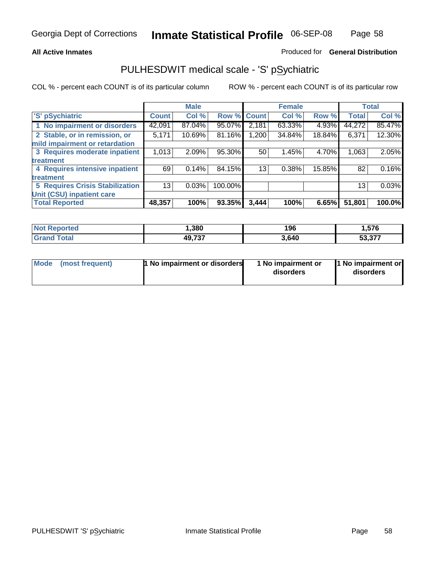### **All Active Inmates**

### Produced for **General Distribution**

## PULHESDWIT medical scale - 'S' pSychiatric

|                                        |              | <b>Male</b> |             |       | <b>Female</b> |        |              | <b>Total</b> |
|----------------------------------------|--------------|-------------|-------------|-------|---------------|--------|--------------|--------------|
| 'S' pSychiatric                        | <b>Count</b> | Col %       | Row % Count |       | Col %         | Row %  | <b>Total</b> | Col %        |
| 1 No impairment or disorders           | 42,091       | 87.04%      | 95.07%      | 2,181 | 63.33%        | 4.93%  | 44,272       | 85.47%       |
| 2 Stable, or in remission, or          | 5,171        | 10.69%      | 81.16%      | 1,200 | 34.84%        | 18.84% | 6,371        | 12.30%       |
| mild impairment or retardation         |              |             |             |       |               |        |              |              |
| 3 Requires moderate inpatient          | 1,013        | 2.09%       | 95.30%      | 50    | 1.45%         | 4.70%  | 1,063        | 2.05%        |
| treatment                              |              |             |             |       |               |        |              |              |
| 4 Requires intensive inpatient         | 69           | 0.14%       | 84.15%      | 13    | 0.38%         | 15.85% | 82           | 0.16%        |
| treatment                              |              |             |             |       |               |        |              |              |
| <b>5 Requires Crisis Stabilization</b> | 13           | 0.03%       | 100.00%     |       |               |        | 13           | 0.03%        |
| Unit (CSU) inpatient care              |              |             |             |       |               |        |              |              |
| <b>Total Reported</b>                  | 48,357       | 100%        | 93.35%      | 3,444 | 100%          | 6.65%  | 51,801       | 100.0%       |

| <b>Not Reported</b>       | , 380  | 196   | 576, ، |
|---------------------------|--------|-------|--------|
| $\mathop{\mathsf{Total}}$ | 49,737 | 3,640 | 53,377 |

| Mode (most frequent) | <b>1</b> No impairment or disorders | 1 No impairment or<br>disorders | 1 No impairment or<br>disorders |
|----------------------|-------------------------------------|---------------------------------|---------------------------------|
|                      |                                     |                                 |                                 |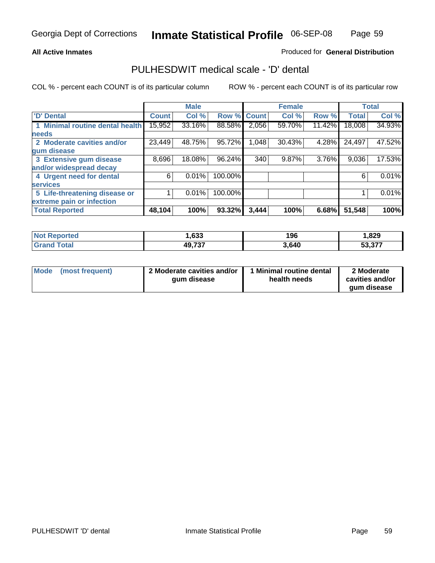### **All Active Inmates**

### Produced for **General Distribution**

## PULHESDWIT medical scale - 'D' dental

|                                 |              | <b>Male</b> |             |       | <b>Female</b> |        |              | <b>Total</b> |
|---------------------------------|--------------|-------------|-------------|-------|---------------|--------|--------------|--------------|
| 'D' Dental                      | <b>Count</b> | Col %       | Row % Count |       | Col %         | Row %  | <b>Total</b> | Col %        |
| 1 Minimal routine dental health | 15,952       | 33.16%      | 88.58%      | 2,056 | 59.70%        | 11.42% | 18,008       | 34.93%       |
| <b>needs</b>                    |              |             |             |       |               |        |              |              |
| 2 Moderate cavities and/or      | 23,449       | 48.75%      | 95.72%      | 1,048 | 30.43%        | 4.28%  | 24,497       | 47.52%       |
| gum disease                     |              |             |             |       |               |        |              |              |
| 3 Extensive gum disease         | 8,696        | 18.08%      | 96.24%      | 340   | 9.87%         | 3.76%  | 9,036        | 17.53%       |
| and/or widespread decay         |              |             |             |       |               |        |              |              |
| 4 Urgent need for dental        | 6            | 0.01%       | 100.00%     |       |               |        | 6            | 0.01%        |
| <b>services</b>                 |              |             |             |       |               |        |              |              |
| 5 Life-threatening disease or   |              | 0.01%       | 100.00%     |       |               |        |              | 0.01%        |
| extreme pain or infection       |              |             |             |       |               |        |              |              |
| <b>Total Reported</b>           | 48,104       | 100%        | 93.32%      | 3,444 | 100%          | 6.68%  | 51,548       | 100%         |

| <b>Not Reported</b> | ,633   | 196   | ,829   |
|---------------------|--------|-------|--------|
|                     | 49,737 | 3,640 | 53,377 |

| <b>Mode</b> | (most frequent) | 2 Moderate cavities and/or<br>qum disease | 1 Minimal routine dental<br>health needs | 2 Moderate<br>cavities and/or |
|-------------|-----------------|-------------------------------------------|------------------------------------------|-------------------------------|
|             |                 |                                           |                                          | aum disease                   |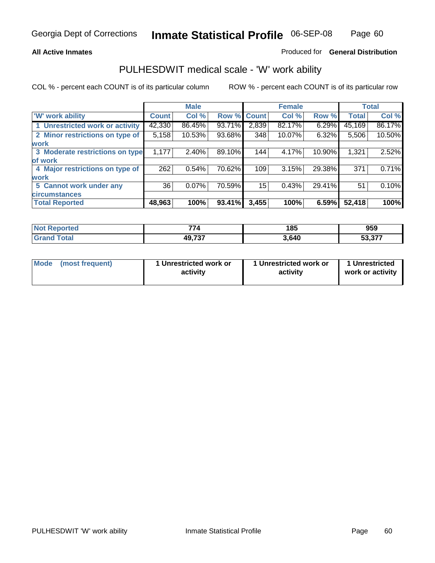### **All Active Inmates**

### Produced for **General Distribution**

## PULHESDWIT medical scale - 'W' work ability

|                                 |              | <b>Male</b> |        |              | <b>Female</b> |        |              | <b>Total</b> |
|---------------------------------|--------------|-------------|--------|--------------|---------------|--------|--------------|--------------|
| W' work ability                 | <b>Count</b> | Col %       | Row %  | <b>Count</b> | Col %         | Row %  | <b>Total</b> | Col %        |
| 1 Unrestricted work or activity | 42,330       | 86.45%      | 93.71% | 2,839        | 82.17%        | 6.29%  | 45,169       | 86.17%       |
| 2 Minor restrictions on type of | 5,158        | 10.53%      | 93.68% | 348          | 10.07%        | 6.32%  | 5,506        | 10.50%       |
| <b>work</b>                     |              |             |        |              |               |        |              |              |
| 3 Moderate restrictions on type | 1,177        | $2.40\%$    | 89.10% | 144          | 4.17%         | 10.90% | 1,321        | 2.52%        |
| of work                         |              |             |        |              |               |        |              |              |
| 4 Major restrictions on type of | 262          | 0.54%       | 70.62% | 109          | 3.15%         | 29.38% | 371          | 0.71%        |
| <b>work</b>                     |              |             |        |              |               |        |              |              |
| 5 Cannot work under any         | 36           | 0.07%       | 70.59% | 15           | 0.43%         | 29.41% | 51           | 0.10%        |
| <b>circumstances</b>            |              |             |        |              |               |        |              |              |
| <b>Total Reported</b>           | 48,963       | 100%        | 93.41% | 3,455        | 100%          | 6.59%  | 52,418       | 100%         |

| <b>Not Reported</b>          | $\rightarrow$ | 185   | 959    |
|------------------------------|---------------|-------|--------|
| <b>Total</b><br><b>Grand</b> | 49,737        | 3,640 | 53,377 |

| Mode            | 1 Unrestricted work or | 1 Unrestricted work or | 1 Unrestricted   |
|-----------------|------------------------|------------------------|------------------|
| (most frequent) | activity               | activity               | work or activity |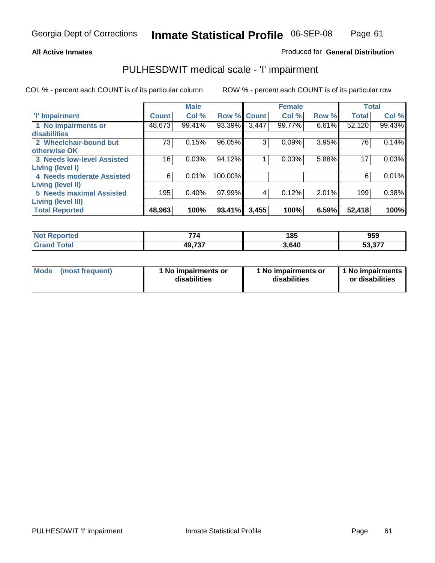### **All Active Inmates**

### Produced for **General Distribution**

## PULHESDWIT medical scale - 'I' impairment

|                                   |              | <b>Male</b> |         |              | <b>Female</b> |       |              | <b>Total</b> |
|-----------------------------------|--------------|-------------|---------|--------------|---------------|-------|--------------|--------------|
| <b>T' Impairment</b>              | <b>Count</b> | Col %       | Row %   | <b>Count</b> | Col %         | Row % | <b>Total</b> | Col %        |
| 1 No impairments or               | 48,673       | 99.41%      | 93.39%  | 3,447        | 99.77%        | 6.61% | 52,120       | 99.43%       |
| disabilities                      |              |             |         |              |               |       |              |              |
| 2 Wheelchair-bound but            | 73           | 0.15%       | 96.05%  | 3            | 0.09%         | 3.95% | 76           | 0.14%        |
| otherwise OK                      |              |             |         |              |               |       |              |              |
| <b>3 Needs low-level Assisted</b> | 16           | 0.03%       | 94.12%  |              | 0.03%         | 5.88% | 17           | 0.03%        |
| Living (level I)                  |              |             |         |              |               |       |              |              |
| 4 Needs moderate Assisted         | 6            | 0.01%       | 100.00% |              |               |       | 6            | 0.01%        |
| Living (level II)                 |              |             |         |              |               |       |              |              |
| <b>5 Needs maximal Assisted</b>   | 195          | 0.40%       | 97.99%  | 4            | 0.12%         | 2.01% | 199          | 0.38%        |
| <b>Living (level III)</b>         |              |             |         |              |               |       |              |              |
| <b>Total Reported</b>             | 48,963       | 100%        | 93.41%  | 3,455        | 100%          | 6.59% | 52,418       | 100%         |

| N <sub>0</sub><br>Reported | --             | 185   | 959               |
|----------------------------|----------------|-------|-------------------|
| <b>Total</b>               | 10 737<br>ו שו | 3,640 | いち タワン<br>53.37 i |

| Mode | (most frequent) | 1 No impairments or<br>disabilities | 1 No impairments or<br>disabilities | 1 No impairments  <br>or disabilities |
|------|-----------------|-------------------------------------|-------------------------------------|---------------------------------------|
|------|-----------------|-------------------------------------|-------------------------------------|---------------------------------------|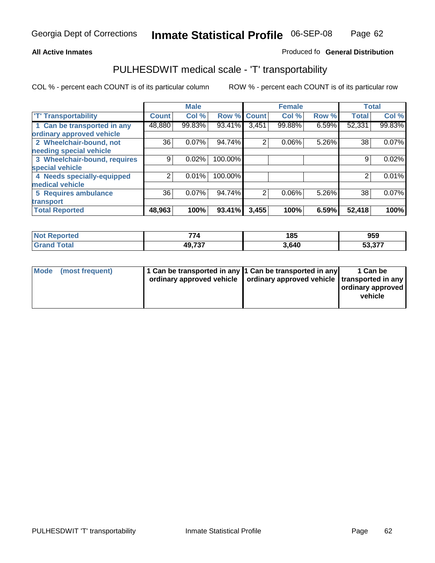#### **Inmate Statistical Profile** 06-SEP-08 Page Page 62

### **All Active Inmates Allowski** Produced fo **General Distribution**

## PULHESDWIT medical scale - 'T' transportability

|                              |              | <b>Male</b> |             |                | <b>Female</b> |       |              | <b>Total</b> |
|------------------------------|--------------|-------------|-------------|----------------|---------------|-------|--------------|--------------|
| <b>T' Transportability</b>   | <b>Count</b> | Col %       | Row % Count |                | Col %         | Row % | <b>Total</b> | Col %        |
| 1 Can be transported in any  | 48,880       | 99.83%      | 93.41%      | 3,451          | 99.88%        | 6.59% | 52,331       | 99.83%       |
| ordinary approved vehicle    |              |             |             |                |               |       |              |              |
| 2 Wheelchair-bound, not      | 36           | 0.07%       | 94.74%      | 2              | 0.06%         | 5.26% | 38           | 0.07%        |
| needing special vehicle      |              |             |             |                |               |       |              |              |
| 3 Wheelchair-bound, requires | 9            | 0.02%       | 100.00%     |                |               |       | 9            | 0.02%        |
| special vehicle              |              |             |             |                |               |       |              |              |
| 4 Needs specially-equipped   | າ            | 0.01%       | 100.00%     |                |               |       |              | 0.01%        |
| medical vehicle              |              |             |             |                |               |       |              |              |
| 5 Requires ambulance         | 36           | 0.07%       | 94.74%      | $\overline{2}$ | 0.06%         | 5.26% | 38           | $0.07\%$     |
| transport                    |              |             |             |                |               |       |              |              |
| <b>Total Reported</b>        | 48,963       | 100%        | 93.41%      | 3,455          | 100%          | 6.59% | 52,418       | 100%         |

| <b>Not</b><br>Reported        | --<br>74 | 185   | 959                                                         |
|-------------------------------|----------|-------|-------------------------------------------------------------|
| <b>Total</b><br><b>⊧Grand</b> | 49,737   | 3.640 | $F^{\wedge}$ $\wedge$ $\rightarrow$ $\rightarrow$<br>53.377 |

| Mode (most frequent) | 1 Can be transported in any 1 Can be transported in any | ordinary approved vehicle   ordinary approved vehicle   transported in any | 1 Can be<br>  ordinary approved  <br>vehicle |
|----------------------|---------------------------------------------------------|----------------------------------------------------------------------------|----------------------------------------------|
|                      |                                                         |                                                                            |                                              |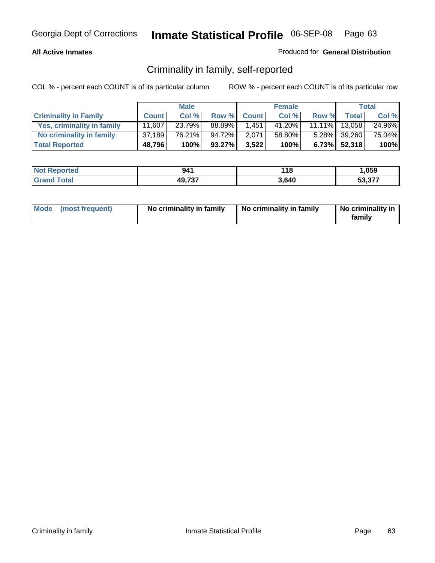### **All Active Inmates**

### Produced for **General Distribution**

## Criminality in family, self-reported

|                              |              | <b>Male</b> |        |              | <b>Female</b> |       |               | <b>Total</b> |
|------------------------------|--------------|-------------|--------|--------------|---------------|-------|---------------|--------------|
| <b>Criminality In Family</b> | <b>Count</b> | Col %       | Row %  | <b>Count</b> | Col %         | Row % | <b>Total</b>  | Col %        |
| Yes, criminality in family   | 11,607       | 23.79%      | 88.89% | 1.451        | 41.20%        |       | 11.11% 13,058 | 24.96%       |
| No criminality in family     | 37,189       | 76.21%      | 94.72% | 2,071        | 58.80%        |       | 5.28% 39,260  | 75.04%       |
| <b>Total Reported</b>        | 48,796       | 100%        | 93.27% | 3,522        | 100%          |       | 6.73% 52,318  | 100%         |

| <b>Not Reported</b>          | 941    | 18   | .059                          |
|------------------------------|--------|------|-------------------------------|
| <b>Total</b><br><b>Grand</b> | 49,737 | .640 | <b>FO 077</b><br><u>ეა,ა/</u> |

|  | Mode (most frequent) | No criminality in family | No criminality in family | No criminality in<br>family |
|--|----------------------|--------------------------|--------------------------|-----------------------------|
|--|----------------------|--------------------------|--------------------------|-----------------------------|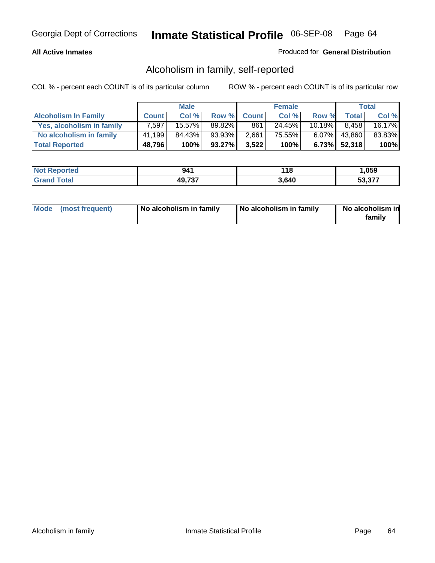### **All Active Inmates**

### Produced for **General Distribution**

## Alcoholism in family, self-reported

|                             |              | <b>Male</b> |           |              | <b>Female</b> |           |                 | Total  |
|-----------------------------|--------------|-------------|-----------|--------------|---------------|-----------|-----------------|--------|
| <b>Alcoholism In Family</b> | <b>Count</b> | Col %       | Row %     | <b>Count</b> | Col %         | Row %     | <b>Total</b>    | Col %  |
| Yes, alcoholism in family   | 7,597        | 15.57%      | 89.82%    | 861          | 24.45%        | $10.18\%$ | 8,458           | 16.17% |
| No alcoholism in family     | 41,199       | 84.43%      | 93.93%    | 2,661        | 75.55%        |           | $6.07\%$ 43,860 | 83.83% |
| <b>Total Reported</b>       | 48,796       | 100%        | $93.27\%$ | 3,522        | 100%          |           | $6.73\%$ 52,318 | 100%   |

| <b>Not Reported</b> | 941    | 18   | .059            |
|---------------------|--------|------|-----------------|
| l Grand<br>™otal    | 49,737 | .640 | にへ ヘラフ<br>33.37 |

|  | Mode (most frequent) | No alcoholism in family | No alcoholism in family | No alcoholism in<br>family |
|--|----------------------|-------------------------|-------------------------|----------------------------|
|--|----------------------|-------------------------|-------------------------|----------------------------|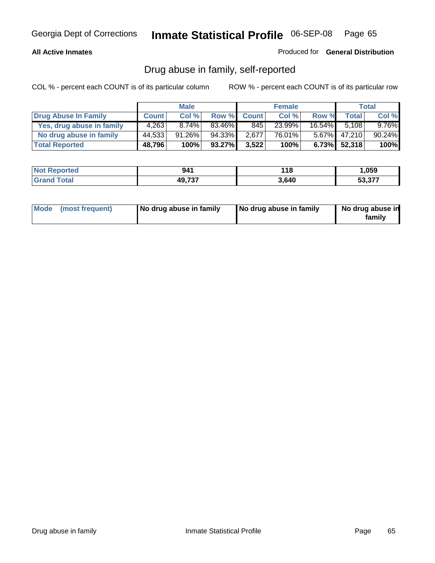### **All Active Inmates**

Produced for **General Distribution**

## Drug abuse in family, self-reported

|                           |              | <b>Male</b> |        |              | <b>Female</b> |           |                 | <b>Total</b> |
|---------------------------|--------------|-------------|--------|--------------|---------------|-----------|-----------------|--------------|
| Drug Abuse In Family      | <b>Count</b> | Col %       | Row %  | <b>Count</b> | Col %         | Row %     | Total           | Col %        |
| Yes, drug abuse in family | 4,263        | $8.74\%$    | 83.46% | 845          | 23.99%        | $16.54\%$ | 5.108           | $9.76\%$     |
| No drug abuse in family   | 44,533       | $91.26\%$   | 94.33% | 2,677        | 76.01%        | 5.67%     | 47,210          | 90.24%       |
| <b>Total Reported</b>     | 48,796       | 100%        | 93.27% | 3,522        | 100%          |           | $6.73\%$ 52,318 | 100%         |

| <b>Not Reported</b>          | 941    | 18   | .059                          |
|------------------------------|--------|------|-------------------------------|
| <b>Total</b><br><b>Grand</b> | 49,737 | .640 | <b>FO 077</b><br><u>ეა,ა/</u> |

|  | Mode (most frequent) | No drug abuse in family | No drug abuse in family | No drug abuse in<br>family |
|--|----------------------|-------------------------|-------------------------|----------------------------|
|--|----------------------|-------------------------|-------------------------|----------------------------|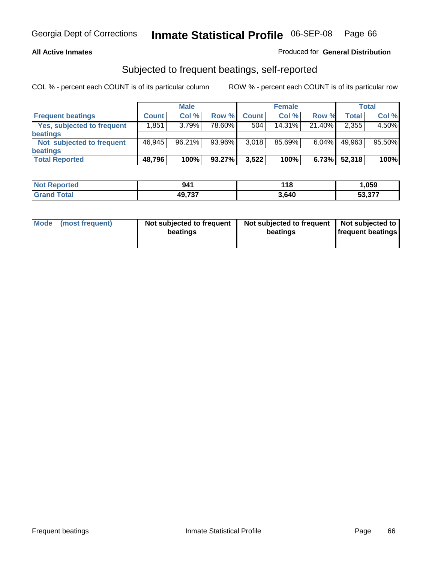### **All Active Inmates**

### Produced for **General Distribution**

## Subjected to frequent beatings, self-reported

|                                   |              | <b>Male</b> |        |              | <b>Female</b> |          |              | <b>Total</b> |
|-----------------------------------|--------------|-------------|--------|--------------|---------------|----------|--------------|--------------|
| <b>Frequent beatings</b>          | <b>Count</b> | Col%        | Row %  | <b>Count</b> | Col%          | Row %    | <b>Total</b> | Col %        |
| <b>Yes, subjected to frequent</b> | 1,851        | 3.79%       | 78.60% | 504          | $14.31\%$     | 21.40%   | 2,355        | 4.50%        |
| beatings                          |              |             |        |              |               |          |              |              |
| Not subjected to frequent         | 46,945       | 96.21%      | 93.96% | 3,018        | 85.69%        | $6.04\%$ | 49,963       | 95.50%       |
| beatings                          |              |             |        |              |               |          |              |              |
| <b>Total Reported</b>             | 48,796       | 100%        | 93.27% | 3,522        | 100%          | 6.73%    | 52,318       | 100%         |

| orted<br><b>NOT</b>   | 941    | 18    | ,059                 |
|-----------------------|--------|-------|----------------------|
| <b>Lotal</b><br>'Grai | 49,737 | 3.640 | より クラブ<br>.<br>JJ.J/ |

| <b>Mode</b><br>(most frequent) | Not subjected to frequent<br>beatings | Not subjected to frequent   Not subjected to  <br>beatings | <b>frequent beatings</b> |  |
|--------------------------------|---------------------------------------|------------------------------------------------------------|--------------------------|--|
|                                |                                       |                                                            |                          |  |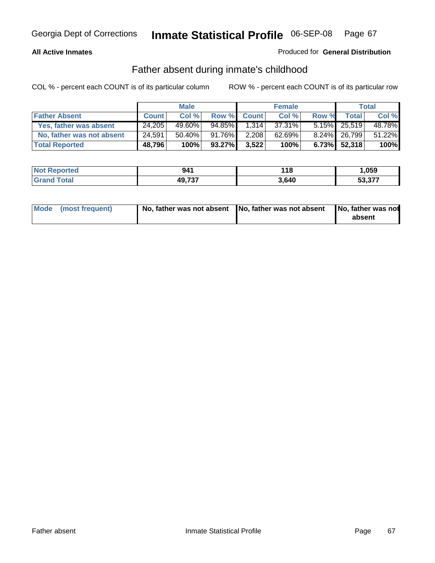### **All Active Inmates**

### Produced for **General Distribution**

## Father absent during inmate's childhood

|                           |              | <b>Male</b> |           |              | <b>Female</b> |       |                 | <b>Total</b> |
|---------------------------|--------------|-------------|-----------|--------------|---------------|-------|-----------------|--------------|
| <b>Father Absent</b>      | <b>Count</b> | Col %       | Row %     | <b>Count</b> | Col %         | Row % | <b>Total</b>    | Col %        |
| Yes, father was absent    | 24.205       | 49.60%      | 94.85%    | 1.314        | 37.31%        |       | 5.15% 25,519    | 48.78%       |
| No, father was not absent | 24,591       | 50.40%      | $91.76\%$ | 2,208        | 62.69%        |       | 8.24% 26,799    | 51.22%       |
| <b>Total Reported</b>     | 48,796       | 100%        | 93.27%    | 3,522        | 100%          |       | $6.73\%$ 52,318 | 100%         |

| <b>Not Reported</b> | 941    | ∣18   | ,059   |
|---------------------|--------|-------|--------|
| Grand Total         | 49,737 | 3.640 | 53.377 |

| Mode (most frequent) |  | 「No, father was not absent ┃No, father was not absent ┃No, father was not | absent |
|----------------------|--|---------------------------------------------------------------------------|--------|
|----------------------|--|---------------------------------------------------------------------------|--------|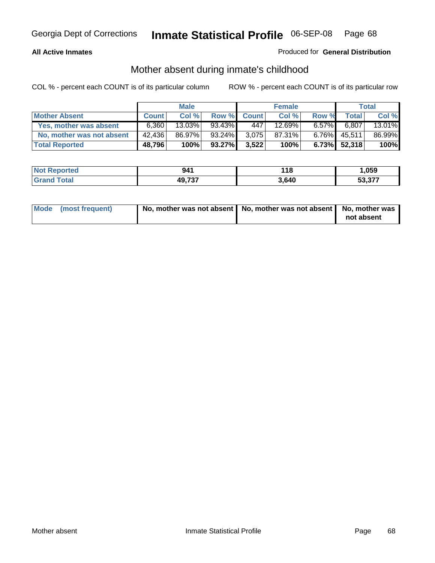### **All Active Inmates**

### Produced for **General Distribution**

## Mother absent during inmate's childhood

|                           |              | <b>Male</b> |           |              | <b>Female</b> |          |                 | Total  |
|---------------------------|--------------|-------------|-----------|--------------|---------------|----------|-----------------|--------|
| <b>Mother Absent</b>      | <b>Count</b> | Col %       | Row %     | <b>Count</b> | Col %         | Row %    | <b>Total</b>    | Col %  |
| Yes, mother was absent    | 6.360        | $13.03\%$   | 93.43%    | 447          | 12.69%        | $6.57\%$ | 6,807           | 13.01% |
| No, mother was not absent | 42.436       | 86.97%      | 93.24%    | 3.075        | 87.31%        | $6.76\%$ | 45,511          | 86.99% |
| <b>Total Reported</b>     | 48,796       | 100%        | $93.27\%$ | 3,522        | 100%          |          | $6.73\%$ 52,318 | 100%   |

| <b>Not Reported</b> | 941    | '18  | .059            |
|---------------------|--------|------|-----------------|
| l Grand<br>' Total  | 49,737 | .640 | よっ クフフ<br>33.37 |

| Mode (most frequent) | No, mother was not absent   No, mother was not absent   No, mother was | not absent |
|----------------------|------------------------------------------------------------------------|------------|
|----------------------|------------------------------------------------------------------------|------------|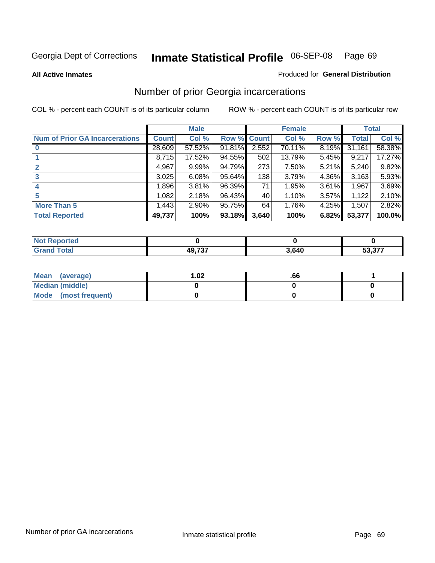**All Active Inmates**

### Produced for **General Distribution**

## Number of prior Georgia incarcerations

|                                       |              | <b>Male</b> |                    |       | <b>Female</b> |       |        | <b>Total</b> |
|---------------------------------------|--------------|-------------|--------------------|-------|---------------|-------|--------|--------------|
| <b>Num of Prior GA Incarcerations</b> | <b>Count</b> | Col %       | <b>Row % Count</b> |       | Col %         | Row % | Total  | Col %        |
| $\bf{0}$                              | 28,609       | 57.52%      | 91.81%             | 2,552 | 70.11%        | 8.19% | 31,161 | 58.38%       |
|                                       | 8,715        | 17.52%      | 94.55%             | 502   | 13.79%        | 5.45% | 9,217  | 17.27%       |
|                                       | 4,967        | 9.99%       | 94.79%             | 273   | 7.50%         | 5.21% | 5,240  | 9.82%        |
| 3                                     | 3,025        | 6.08%       | 95.64%             | 138   | 3.79%         | 4.36% | 3,163  | 5.93%        |
|                                       | 1,896        | 3.81%       | 96.39%             | 71    | 1.95%         | 3.61% | 1,967  | 3.69%        |
| 5                                     | 1,082        | 2.18%       | 96.43%             | 40    | 1.10%         | 3.57% | 1,122  | 2.10%        |
| <b>More Than 5</b>                    | 1,443        | 2.90%       | 95.75%             | 64    | 1.76%         | 4.25% | 1,507  | 2.82%        |
| <b>Total Reported</b>                 | 49,737       | 100%        | 93.18%             | 3,640 | 100%          | 6.82% | 53,377 | 100.0%       |

| <b>Not</b><br><b>rted</b> |               |       |        |
|---------------------------|---------------|-------|--------|
| <b>otal</b>               | <b>AQ 737</b> | 3,640 | 53,377 |

| Mean (average)       | l.O2 | .00 |  |
|----------------------|------|-----|--|
| Median (middle)      |      |     |  |
| Mode (most frequent) |      |     |  |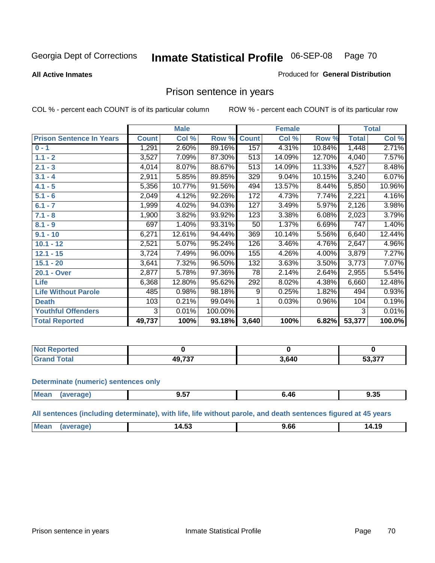### **All Active Inmates**

### Produced for **General Distribution**

## Prison sentence in years

COL % - percent each COUNT is of its particular column ROW % - percent each COUNT is of its particular row

|                                 |              | <b>Male</b> |         |              | <b>Female</b> |        |                  | <b>Total</b> |
|---------------------------------|--------------|-------------|---------|--------------|---------------|--------|------------------|--------------|
| <b>Prison Sentence In Years</b> | <b>Count</b> | Col %       | Row %   | <b>Count</b> | Col %         | Row %  | <b>Total</b>     | Col %        |
| $0 - 1$                         | 1,291        | 2.60%       | 89.16%  | 157          | 4.31%         | 10.84% | 1,448            | 2.71%        |
| $1.1 - 2$                       | 3,527        | 7.09%       | 87.30%  | 513          | 14.09%        | 12.70% | 4,040            | 7.57%        |
| $2.1 - 3$                       | 4,014        | 8.07%       | 88.67%  | 513          | 14.09%        | 11.33% | 4,527            | 8.48%        |
| $3.1 - 4$                       | 2,911        | 5.85%       | 89.85%  | 329          | 9.04%         | 10.15% | 3,240            | 6.07%        |
| $4.1 - 5$                       | 5,356        | 10.77%      | 91.56%  | 494          | 13.57%        | 8.44%  | 5,850            | 10.96%       |
| $5.1 - 6$                       | 2,049        | 4.12%       | 92.26%  | 172          | 4.73%         | 7.74%  | 2,221            | 4.16%        |
| $6.1 - 7$                       | 1,999        | 4.02%       | 94.03%  | 127          | 3.49%         | 5.97%  | 2,126            | 3.98%        |
| $7.1 - 8$                       | 1,900        | 3.82%       | 93.92%  | 123          | 3.38%         | 6.08%  | 2,023            | 3.79%        |
| $8.1 - 9$                       | 697          | 1.40%       | 93.31%  | 50           | 1.37%         | 6.69%  | $\overline{747}$ | 1.40%        |
| $9.1 - 10$                      | 6,271        | 12.61%      | 94.44%  | 369          | 10.14%        | 5.56%  | 6,640            | 12.44%       |
| $10.1 - 12$                     | 2,521        | 5.07%       | 95.24%  | 126          | 3.46%         | 4.76%  | 2,647            | 4.96%        |
| $12.1 - 15$                     | 3,724        | 7.49%       | 96.00%  | 155          | 4.26%         | 4.00%  | 3,879            | 7.27%        |
| $15.1 - 20$                     | 3,641        | 7.32%       | 96.50%  | 132          | 3.63%         | 3.50%  | 3,773            | 7.07%        |
| 20.1 - Over                     | 2,877        | 5.78%       | 97.36%  | 78           | 2.14%         | 2.64%  | 2,955            | 5.54%        |
| <b>Life</b>                     | 6,368        | 12.80%      | 95.62%  | 292          | 8.02%         | 4.38%  | 6,660            | 12.48%       |
| <b>Life Without Parole</b>      | 485          | 0.98%       | 98.18%  | 9            | 0.25%         | 1.82%  | 494              | 0.93%        |
| <b>Death</b>                    | 103          | 0.21%       | 99.04%  |              | 0.03%         | 0.96%  | 104              | 0.19%        |
| <b>Youthful Offenders</b>       | 3            | 0.01%       | 100.00% |              |               |        | 3                | 0.01%        |
| <b>Total Reported</b>           | 49,737       | 100%        | 93.18%  | 3,640        | 100%          | 6.82%  | 53,377           | 100.0%       |

| ported<br><b>NOT</b> |                     |       |        |
|----------------------|---------------------|-------|--------|
| <b>'otal</b>         | 10 727<br>.<br>- 3. | 3,640 | 53,377 |

### **Determinate (numeric) sentences only**

| Mean<br>$\cdots$ | ane | ---<br>J.JI | 40<br>____ | 9.35 |
|------------------|-----|-------------|------------|------|
|                  |     |             |            |      |

**All sentences (including determinate), with life, life without parole, and death sentences figured at 45 years**

| $^{\dagger}$ Me:<br>$\sim$<br>. .<br>. .<br>ıд<br>17. I J<br>,<br>--------<br>. |  |       |  |
|---------------------------------------------------------------------------------|--|-------|--|
|                                                                                 |  | 14.JJ |  |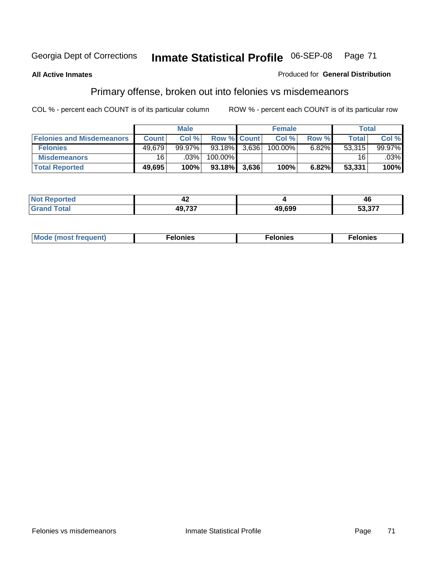### **All Active Inmates**

### Produced for **General Distribution**

## Primary offense, broken out into felonies vs misdemeanors

|                                  |              | <b>Male</b> |                    | <b>Female</b> |          | <b>Total</b> |                        |
|----------------------------------|--------------|-------------|--------------------|---------------|----------|--------------|------------------------|
| <b>Felonies and Misdemeanors</b> | <b>Count</b> | Col %       | <b>Row % Count</b> | Col%          | Row %    | Total        | Col%                   |
| <b>Felonies</b>                  | 49.679       | $99.97\%$   | $93.18\%$ 3.636    | 100.00%       | $6.82\%$ | 53.315       | 99.97%                 |
| <b>Misdemeanors</b>              | 16           | $.03\%$     | 100.00%            |               |          | 16           | $.03\%$ $\blacksquare$ |
| <b>Total Reported</b>            | 49,695       | 100%        | 93.18% 3,636       | 100%          | 6.82%    | 53,331       | 100%                   |

| <b>Not</b><br>orted<br>kepol | -14    |        | AF<br>Tu              |
|------------------------------|--------|--------|-----------------------|
| <b>Total</b><br>Gran         | 10.707 | 49.699 | <u>ra ayy</u><br>33.3 |

| Mode (most frequent) | elonies | elonies | onies<br>-е к |
|----------------------|---------|---------|---------------|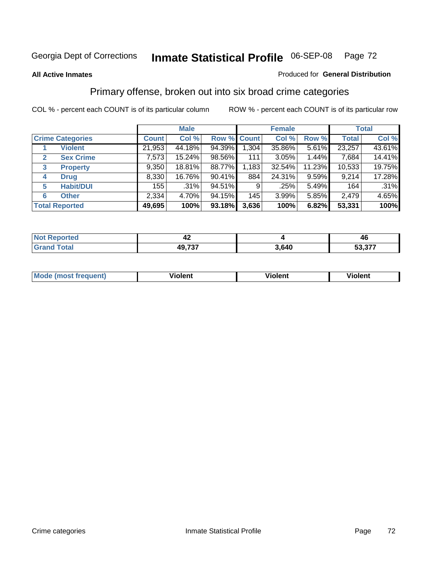### **All Active Inmates**

### Produced for **General Distribution**

## Primary offense, broken out into six broad crime categories

|                                  |              | <b>Male</b> |             |       | <b>Female</b> |          |              | <b>Total</b> |
|----------------------------------|--------------|-------------|-------------|-------|---------------|----------|--------------|--------------|
| <b>Crime Categories</b>          | <b>Count</b> | Col %       | Row % Count |       | Col %         | Row %    | <b>Total</b> | Col %        |
| <b>Violent</b>                   | 21,953       | 44.18%      | 94.39%      | 1,304 | 35.86%        | 5.61%    | 23,257       | 43.61%       |
| <b>Sex Crime</b><br>$\mathbf{2}$ | 7,573        | 15.24%      | 98.56%      | 111   | 3.05%         | 1.44%    | 7,684        | 14.41%       |
| $\mathbf{3}$<br><b>Property</b>  | 9,350        | 18.81%      | 88.77%      | 1,183 | 32.54%        | 11.23%   | 10,533       | 19.75%       |
| <b>Drug</b><br>4                 | 8,330        | 16.76%      | 90.41%      | 884   | 24.31%        | $9.59\%$ | 9,214        | 17.28%       |
| <b>Habit/DUI</b><br>5            | 155          | .31%        | 94.51%      | 9     | .25%          | 5.49%    | 164          | .31%         |
| <b>Other</b><br>6                | 2,334        | 4.70%       | $94.15\%$   | 145   | 3.99%         | 5.85%    | 2,479        | 4.65%        |
| <b>Total Reported</b>            | 49,695       | 100%        | 93.18%      | 3,636 | 100%          | 6.82%    | 53,331       | 100%         |

| − ∠  |        |       | 46        |  |
|------|--------|-------|-----------|--|
| υιαι | 49,737 | 3,640 | ^77<br>-^ |  |

| <b>Mou</b> | .<br>วient | วlent | ent |
|------------|------------|-------|-----|
|            |            |       |     |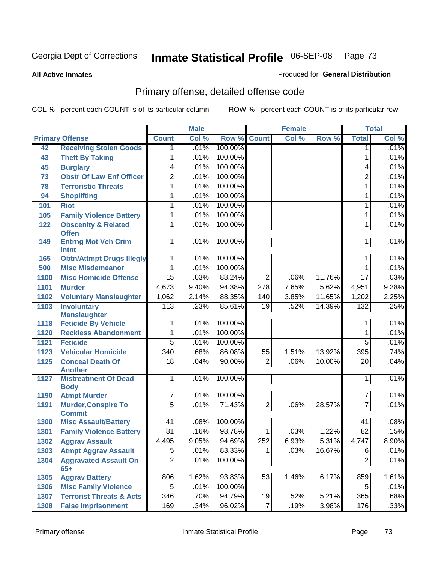**All Active Inmates**

### Produced for **General Distribution**

# Primary offense, detailed offense code

|      |                                                |                  | <b>Male</b> |         |                  | <b>Female</b> |        |                  | <b>Total</b> |
|------|------------------------------------------------|------------------|-------------|---------|------------------|---------------|--------|------------------|--------------|
|      | <b>Primary Offense</b>                         | <b>Count</b>     | Col %       | Row %   | <b>Count</b>     | Col %         | Row %  | <b>Total</b>     | Col %        |
| 42   | <b>Receiving Stolen Goods</b>                  | 1                | .01%        | 100.00% |                  |               |        | 1                | .01%         |
| 43   | <b>Theft By Taking</b>                         | 1                | .01%        | 100.00% |                  |               |        | 1                | .01%         |
| 45   | <b>Burglary</b>                                | 4                | .01%        | 100.00% |                  |               |        | 4                | .01%         |
| 73   | <b>Obstr Of Law Enf Officer</b>                | $\overline{2}$   | .01%        | 100.00% |                  |               |        | $\overline{2}$   | .01%         |
| 78   | <b>Terroristic Threats</b>                     | 1                | .01%        | 100.00% |                  |               |        | 1                | .01%         |
| 94   | <b>Shoplifting</b>                             | 1                | .01%        | 100.00% |                  |               |        | 1                | .01%         |
| 101  | <b>Riot</b>                                    | 1                | .01%        | 100.00% |                  |               |        | 1                | .01%         |
| 105  | <b>Family Violence Battery</b>                 | 1                | .01%        | 100.00% |                  |               |        | 1                | .01%         |
| 122  | <b>Obscenity &amp; Related</b><br><b>Offen</b> | 1                | .01%        | 100.00% |                  |               |        | 1                | .01%         |
| 149  | <b>Entrng Mot Veh Crim</b><br>Intnt            | 1                | .01%        | 100.00% |                  |               |        | 1                | .01%         |
| 165  | <b>Obtn/Attmpt Drugs Illegly</b>               | 1                | .01%        | 100.00% |                  |               |        | 1                | .01%         |
| 500  | <b>Misc Misdemeanor</b>                        | 1                | .01%        | 100.00% |                  |               |        | 1                | .01%         |
| 1100 | <b>Misc Homicide Offense</b>                   | $\overline{15}$  | .03%        | 88.24%  | $\overline{2}$   | .06%          | 11.76% | $\overline{17}$  | .03%         |
| 1101 | <b>Murder</b>                                  | 4,673            | 9.40%       | 94.38%  | 278              | 7.65%         | 5.62%  | 4,951            | 9.28%        |
| 1102 | <b>Voluntary Manslaughter</b>                  | 1,062            | 2.14%       | 88.35%  | 140              | 3.85%         | 11.65% | 1,202            | 2.25%        |
| 1103 | <b>Involuntary</b><br><b>Manslaughter</b>      | $\overline{113}$ | .23%        | 85.61%  | $\overline{19}$  | .52%          | 14.39% | 132              | .25%         |
| 1118 | <b>Feticide By Vehicle</b>                     | 1                | .01%        | 100.00% |                  |               |        | 1                | .01%         |
| 1120 | <b>Reckless Abandonment</b>                    | 1                | .01%        | 100.00% |                  |               |        | 1                | .01%         |
| 1121 | <b>Feticide</b>                                | $\overline{5}$   | .01%        | 100.00% |                  |               |        | $\overline{5}$   | .01%         |
| 1123 | <b>Vehicular Homicide</b>                      | $\overline{340}$ | .68%        | 86.08%  | $\overline{55}$  | 1.51%         | 13.92% | 395              | .74%         |
| 1125 | <b>Conceal Death Of</b><br><b>Another</b>      | $\overline{18}$  | .04%        | 90.00%  | $\overline{2}$   | .06%          | 10.00% | 20               | .04%         |
| 1127 | <b>Mistreatment Of Dead</b><br><b>Body</b>     | 1                | .01%        | 100.00% |                  |               |        | 1                | .01%         |
| 1190 | <b>Atmpt Murder</b>                            | 7                | .01%        | 100.00% |                  |               |        | $\overline{7}$   | .01%         |
| 1191 | <b>Murder, Conspire To</b>                     | $\overline{5}$   | .01%        | 71.43%  | $\overline{2}$   | .06%          | 28.57% | $\overline{7}$   | .01%         |
|      | <b>Commit</b>                                  |                  |             |         |                  |               |        |                  |              |
| 1300 | <b>Misc Assault/Battery</b>                    | 41               | .08%        | 100.00% |                  |               |        | 41               | .08%         |
| 1301 | <b>Family Violence Battery</b>                 | $\overline{81}$  | .16%        | 98.78%  | 1                | .03%          | 1.22%  | $\overline{82}$  | .15%         |
| 1302 | <b>Aggrav Assault</b>                          | 4,495            | 9.05%       | 94.69%  | $\overline{252}$ | 6.93%         | 5.31%  | 4,747            | 8.90%        |
| 1303 | <b>Atmpt Aggrav Assault</b>                    | $\overline{5}$   | .01%        | 83.33%  | $\mathbf{1}$     | .03%          | 16.67% | 6                | .01%         |
| 1304 | <b>Aggravated Assault On</b><br>$65+$          | $\overline{2}$   | .01%        | 100.00% |                  |               |        | $\overline{2}$   | .01%         |
| 1305 | <b>Aggrav Battery</b>                          | 806              | 1.62%       | 93.83%  | 53               | 1.46%         | 6.17%  | 859              | 1.61%        |
| 1306 | <b>Misc Family Violence</b>                    | 5                | .01%        | 100.00% |                  |               |        | 5                | .01%         |
| 1307 | <b>Terrorist Threats &amp; Acts</b>            | 346              | .70%        | 94.79%  | 19               | .52%          | 5.21%  | 365              | .68%         |
| 1308 | <b>False Imprisonment</b>                      | 169              | .34%        | 96.02%  | 7                | .19%          | 3.98%  | $\overline{176}$ | .33%         |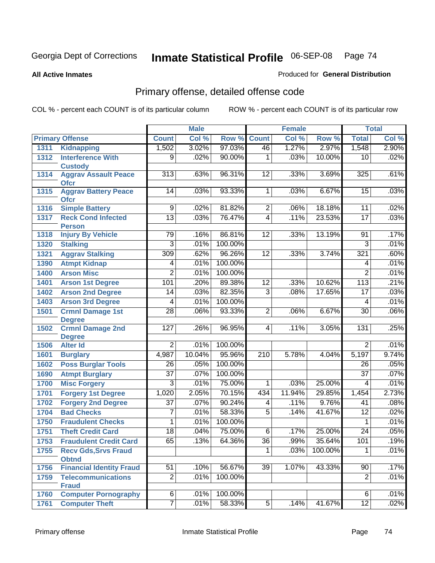**All Active Inmates**

### Produced for **General Distribution**

# Primary offense, detailed offense code

|      |                                             |                  | <b>Male</b> |         |                  | <b>Female</b> |         |                 | <b>Total</b> |
|------|---------------------------------------------|------------------|-------------|---------|------------------|---------------|---------|-----------------|--------------|
|      | <b>Primary Offense</b>                      | <b>Count</b>     | Col %       | Row %   | <b>Count</b>     | Col %         | Row %   | <b>Total</b>    | Col %        |
| 1311 | <b>Kidnapping</b>                           | 1,502            | 3.02%       | 97.03%  | 46               | 1.27%         | 2.97%   | 1,548           | 2.90%        |
| 1312 | <b>Interference With</b><br><b>Custody</b>  | 9                | .02%        | 90.00%  | 1                | .03%          | 10.00%  | 10              | .02%         |
| 1314 | <b>Aggrav Assault Peace</b><br><b>Ofcr</b>  | $\overline{313}$ | .63%        | 96.31%  | 12               | .33%          | 3.69%   | 325             | .61%         |
| 1315 | <b>Aggrav Battery Peace</b><br><b>Ofcr</b>  | 14               | .03%        | 93.33%  | $\overline{1}$   | .03%          | 6.67%   | 15              | .03%         |
| 1316 | <b>Simple Battery</b>                       | 9                | .02%        | 81.82%  | $\overline{2}$   | .06%          | 18.18%  | 11              | .02%         |
| 1317 | <b>Reck Cond Infected</b><br><b>Person</b>  | $\overline{13}$  | .03%        | 76.47%  | $\overline{4}$   | .11%          | 23.53%  | 17              | .03%         |
| 1318 | <b>Injury By Vehicle</b>                    | 79               | .16%        | 86.81%  | 12               | .33%          | 13.19%  | 91              | .17%         |
| 1320 | <b>Stalking</b>                             | $\overline{3}$   | .01%        | 100.00% |                  |               |         | $\overline{3}$  | .01%         |
| 1321 | <b>Aggrav Stalking</b>                      | 309              | .62%        | 96.26%  | $\overline{12}$  | .33%          | 3.74%   | 321             | .60%         |
| 1390 | <b>Atmpt Kidnap</b>                         | 4                | .01%        | 100.00% |                  |               |         | 4               | .01%         |
| 1400 | <b>Arson Misc</b>                           | $\overline{2}$   | .01%        | 100.00% |                  |               |         | $\overline{2}$  | .01%         |
| 1401 | <b>Arson 1st Degree</b>                     | 101              | .20%        | 89.38%  | 12               | .33%          | 10.62%  | 113             | .21%         |
| 1402 | <b>Arson 2nd Degree</b>                     | $\overline{14}$  | .03%        | 82.35%  | $\overline{3}$   | .08%          | 17.65%  | $\overline{17}$ | .03%         |
| 1403 | <b>Arson 3rd Degree</b>                     | 4                | .01%        | 100.00% |                  |               |         | 4               | .01%         |
| 1501 | <b>Crmnl Damage 1st</b><br><b>Degree</b>    | $\overline{28}$  | .06%        | 93.33%  | $\overline{2}$   | .06%          | 6.67%   | $\overline{30}$ | .06%         |
| 1502 | <b>Crmnl Damage 2nd</b><br><b>Degree</b>    | 127              | .26%        | 96.95%  | $\overline{4}$   | .11%          | 3.05%   | 131             | .25%         |
| 1506 | <b>Alter Id</b>                             | $\overline{2}$   | .01%        | 100.00% |                  |               |         | $\overline{2}$  | .01%         |
| 1601 | <b>Burglary</b>                             | 4,987            | 10.04%      | 95.96%  | $\overline{210}$ | 5.78%         | 4.04%   | 5,197           | 9.74%        |
| 1602 | <b>Poss Burglar Tools</b>                   | $\overline{26}$  | .05%        | 100.00% |                  |               |         | $\overline{26}$ | .05%         |
| 1690 | <b>Atmpt Burglary</b>                       | $\overline{37}$  | .07%        | 100.00% |                  |               |         | $\overline{37}$ | .07%         |
| 1700 | <b>Misc Forgery</b>                         | $\overline{3}$   | .01%        | 75.00%  | 1                | .03%          | 25.00%  | 4               | .01%         |
| 1701 | <b>Forgery 1st Degree</b>                   | 1,020            | 2.05%       | 70.15%  | 434              | 11.94%        | 29.85%  | 1,454           | 2.73%        |
| 1702 | <b>Forgery 2nd Degree</b>                   | $\overline{37}$  | .07%        | 90.24%  | 4                | .11%          | 9.76%   | $\overline{41}$ | .08%         |
| 1704 | <b>Bad Checks</b>                           | 7                | .01%        | 58.33%  | $\overline{5}$   | .14%          | 41.67%  | $\overline{12}$ | .02%         |
| 1750 | <b>Fraudulent Checks</b>                    | 1                | .01%        | 100.00% |                  |               |         | 1               | .01%         |
| 1751 | <b>Theft Credit Card</b>                    | $\overline{18}$  | .04%        | 75.00%  | $\overline{6}$   | .17%          | 25.00%  | $\overline{24}$ | .05%         |
| 1753 | <b>Fraudulent Credit Card</b>               | 65               | .13%        | 64.36%  | $\overline{36}$  | .99%          | 35.64%  | 101             | .19%         |
| 1755 | <b>Recv Gds, Srvs Fraud</b><br><b>Obtnd</b> |                  |             |         | 1                | .03%          | 100.00% | 1               | .01%         |
| 1756 | <b>Financial Identity Fraud</b>             | $\overline{51}$  | .10%        | 56.67%  | $\overline{39}$  | 1.07%         | 43.33%  | $\overline{90}$ | .17%         |
| 1759 | <b>Telecommunications</b><br><b>Fraud</b>   | $\overline{2}$   | .01%        | 100.00% |                  |               |         | $\overline{2}$  | .01%         |
| 1760 | <b>Computer Pornography</b>                 | $\overline{6}$   | .01%        | 100.00% |                  |               |         | 6               | .01%         |
| 1761 | <b>Computer Theft</b>                       | $\overline{7}$   | .01%        | 58.33%  | $\overline{5}$   | .14%          | 41.67%  | $\overline{12}$ | .02%         |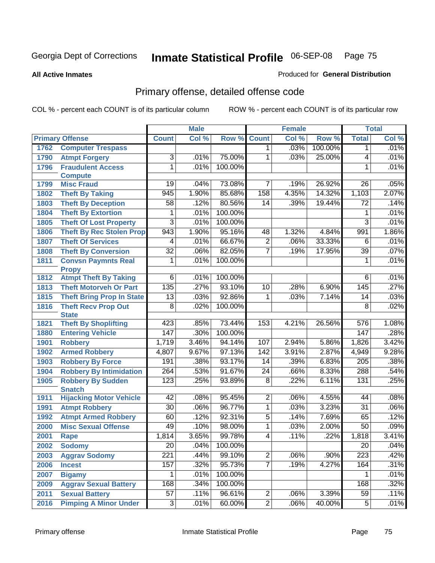**All Active Inmates**

### Produced for **General Distribution**

# Primary offense, detailed offense code

|      |                                                 |                  | <b>Male</b>  |         |                 | <b>Female</b> |         |                         | <b>Total</b> |
|------|-------------------------------------------------|------------------|--------------|---------|-----------------|---------------|---------|-------------------------|--------------|
|      | <b>Primary Offense</b>                          | <b>Count</b>     | Col %        | Row %   | <b>Count</b>    | Col %         | Row %   | <b>Total</b>            | Col %        |
| 1762 | <b>Computer Trespass</b>                        |                  |              |         | 1               | .03%          | 100.00% | 1                       | .01%         |
| 1790 | <b>Atmpt Forgery</b>                            | 3                | .01%         | 75.00%  | 1               | .03%          | 25.00%  | 4                       | .01%         |
| 1796 | <b>Fraudulent Access</b>                        | 1                | .01%         | 100.00% |                 |               |         | 1                       | .01%         |
|      | <b>Compute</b>                                  |                  |              |         |                 |               |         |                         |              |
| 1799 | <b>Misc Fraud</b>                               | 19               | .04%         | 73.08%  | 7               | .19%          | 26.92%  | 26                      | .05%         |
| 1802 | <b>Theft By Taking</b>                          | 945              | 1.90%        | 85.68%  | 158             | 4.35%         | 14.32%  | 1,103                   | 2.07%        |
| 1803 | <b>Theft By Deception</b>                       | 58               | .12%         | 80.56%  | 14              | .39%          | 19.44%  | $\overline{72}$         | .14%         |
| 1804 | <b>Theft By Extortion</b>                       | 1                | .01%         | 100.00% |                 |               |         | 1                       | .01%         |
| 1805 | <b>Theft Of Lost Property</b>                   | $\overline{3}$   | .01%         | 100.00% |                 |               |         | $\overline{3}$          | .01%         |
| 1806 | <b>Theft By Rec Stolen Prop</b>                 | 943              | 1.90%        | 95.16%  | 48              | 1.32%         | 4.84%   | 991                     | 1.86%        |
| 1807 | <b>Theft Of Services</b>                        | 4                | .01%         | 66.67%  | $\overline{2}$  | .06%          | 33.33%  | $\overline{6}$          | .01%         |
| 1808 | <b>Theft By Conversion</b>                      | $\overline{32}$  | .06%         | 82.05%  | $\overline{7}$  | .19%          | 17.95%  | $\overline{39}$         | .07%         |
| 1811 | <b>Convsn Paymnts Real</b>                      | 1                | .01%         | 100.00% |                 |               |         | 1                       | .01%         |
|      | <b>Propy</b>                                    |                  |              |         |                 |               |         |                         |              |
| 1812 | <b>Atmpt Theft By Taking</b>                    | $\overline{6}$   | .01%         | 100.00% |                 |               |         | $6\overline{6}$         | .01%         |
| 1813 | <b>Theft Motorveh Or Part</b>                   | 135              | .27%         | 93.10%  | 10              | .28%          | 6.90%   | 145                     | .27%         |
| 1815 | <b>Theft Bring Prop In State</b>                | $\overline{13}$  | .03%         | 92.86%  | 1               | .03%          | 7.14%   | 14                      | .03%         |
| 1816 | <b>Theft Recv Prop Out</b>                      | $\overline{8}$   | .02%         | 100.00% |                 |               |         | $\overline{8}$          | .02%         |
|      | <b>State</b>                                    | 423              |              | 73.44%  | 153             |               | 26.56%  |                         | 1.08%        |
| 1821 | <b>Theft By Shoplifting</b>                     | 147              | .85%<br>.30% | 100.00% |                 | 4.21%         |         | $\overline{576}$<br>147 | .28%         |
| 1880 | <b>Entering Vehicle</b>                         |                  |              |         |                 |               |         |                         |              |
| 1901 | <b>Robbery</b>                                  | 1,719            | 3.46%        | 94.14%  | 107             | 2.94%         | 5.86%   | 1,826                   | 3.42%        |
| 1902 | <b>Armed Robbery</b>                            | 4,807            | 9.67%        | 97.13%  | 142             | 3.91%         | 2.87%   | 4,949                   | 9.28%        |
| 1903 | <b>Robbery By Force</b>                         | 191              | .38%         | 93.17%  | $\overline{14}$ | .39%          | 6.83%   | $\overline{205}$        | .38%         |
| 1904 | <b>Robbery By Intimidation</b>                  | 264              | .53%         | 91.67%  | $\overline{24}$ | .66%          | 8.33%   | 288                     | .54%         |
| 1905 | <b>Robbery By Sudden</b>                        | 123              | .25%         | 93.89%  | $\overline{8}$  | .22%          | 6.11%   | 131                     | .25%         |
| 1911 | <b>Snatch</b><br><b>Hijacking Motor Vehicle</b> | $\overline{42}$  | .08%         | 95.45%  | $\overline{2}$  | .06%          | 4.55%   | 44                      | .08%         |
| 1991 | <b>Atmpt Robbery</b>                            | $\overline{30}$  | .06%         | 96.77%  | $\overline{1}$  | .03%          | 3.23%   | $\overline{31}$         | .06%         |
| 1992 | <b>Atmpt Armed Robbery</b>                      | 60               | .12%         | 92.31%  | $\overline{5}$  | .14%          | 7.69%   | 65                      | .12%         |
| 2000 | <b>Misc Sexual Offense</b>                      | 49               | .10%         | 98.00%  | $\overline{1}$  | .03%          | 2.00%   | 50                      | .09%         |
| 2001 | Rape                                            | 1,814            | 3.65%        | 99.78%  | $\overline{4}$  | .11%          | .22%    | 1,818                   | 3.41%        |
| 2002 | <b>Sodomy</b>                                   | 20               | .04%         | 100.00% |                 |               |         | 20                      | .04%         |
| 2003 | <b>Aggrav Sodomy</b>                            | $\overline{221}$ | .44%         | 99.10%  | $\overline{2}$  | .06%          | .90%    | $\overline{223}$        | .42%         |
| 2006 | <b>Incest</b>                                   | 157              | .32%         | 95.73%  | $\overline{7}$  | .19%          | 4.27%   | 164                     | .31%         |
| 2007 | <b>Bigamy</b>                                   | 1                | .01%         | 100.00% |                 |               |         |                         | .01%         |
| 2009 | <b>Aggrav Sexual Battery</b>                    | 168              | .34%         | 100.00% |                 |               |         | 168                     | .32%         |
| 2011 |                                                 | $\overline{57}$  | .11%         | 96.61%  | $\overline{2}$  | .06%          | 3.39%   | 59                      | .11%         |
|      | <b>Sexual Battery</b>                           |                  |              |         | $\overline{2}$  | .06%          |         |                         |              |
| 2016 | <b>Pimping A Minor Under</b>                    | 3                | .01%         | 60.00%  |                 |               | 40.00%  | 5                       | .01%         |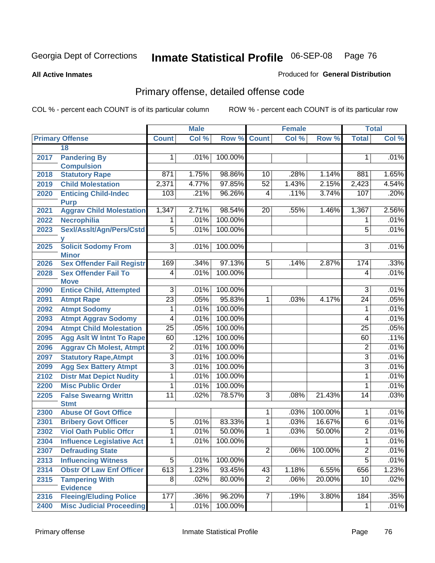**All Active Inmates**

### Produced for **General Distribution**

# Primary offense, detailed offense code

|      |                                            |                 | <b>Male</b> |             |                | <b>Female</b> |         |                 | <b>Total</b> |
|------|--------------------------------------------|-----------------|-------------|-------------|----------------|---------------|---------|-----------------|--------------|
|      | <b>Primary Offense</b>                     | <b>Count</b>    | Col %       | Row % Count |                | Col %         | Row %   | <b>Total</b>    | Col %        |
|      | 18                                         |                 |             |             |                |               |         |                 |              |
| 2017 | <b>Pandering By</b>                        | 1.              | .01%        | 100.00%     |                |               |         | 1               | .01%         |
|      | <b>Compulsion</b>                          |                 |             |             |                |               |         |                 |              |
| 2018 | <b>Statutory Rape</b>                      | 871             | 1.75%       | 98.86%      | 10             | .28%          | 1.14%   | 881             | 1.65%        |
| 2019 | <b>Child Molestation</b>                   | 2,371           | 4.77%       | 97.85%      | 52             | 1.43%         | 2.15%   | 2,423           | 4.54%        |
| 2020 | <b>Enticing Child-Indec</b><br><b>Purp</b> | 103             | .21%        | 96.26%      | 4              | .11%          | 3.74%   | 107             | .20%         |
| 2021 | <b>Aggrav Child Molestation</b>            | 1,347           | 2.71%       | 98.54%      | 20             | .55%          | 1.46%   | 1,367           | 2.56%        |
| 2022 | Necrophilia                                | $\mathbf 1$     | .01%        | 100.00%     |                |               |         | 1               | .01%         |
| 2023 | Sexl/Asslt/Agn/Pers/Cstd                   | $\overline{5}$  | .01%        | 100.00%     |                |               |         | $\overline{5}$  | .01%         |
|      |                                            |                 |             |             |                |               |         |                 |              |
| 2025 | <b>Solicit Sodomy From</b><br><b>Minor</b> | $\overline{3}$  | .01%        | 100.00%     |                |               |         | $\overline{3}$  | .01%         |
| 2026 | <b>Sex Offender Fail Registr</b>           | 169             | .34%        | 97.13%      | $\overline{5}$ | .14%          | 2.87%   | 174             | .33%         |
| 2028 | <b>Sex Offender Fail To</b><br><b>Move</b> | 4               | .01%        | 100.00%     |                |               |         | 4               | .01%         |
| 2090 | <b>Entice Child, Attempted</b>             | $\overline{3}$  | .01%        | 100.00%     |                |               |         | $\overline{3}$  | .01%         |
| 2091 | <b>Atmpt Rape</b>                          | $\overline{23}$ | .05%        | 95.83%      | 1              | .03%          | 4.17%   | $\overline{24}$ | .05%         |
| 2092 | <b>Atmpt Sodomy</b>                        | 1               | .01%        | 100.00%     |                |               |         | 1               | .01%         |
| 2093 | <b>Atmpt Aggrav Sodomy</b>                 | $\overline{4}$  | .01%        | 100.00%     |                |               |         | 4               | .01%         |
| 2094 | <b>Atmpt Child Molestation</b>             | $\overline{25}$ | .05%        | 100.00%     |                |               |         | 25              | .05%         |
| 2095 | <b>Agg Aslt W Intnt To Rape</b>            | 60              | .12%        | 100.00%     |                |               |         | 60              | .11%         |
| 2096 | <b>Aggrav Ch Molest, Atmpt</b>             | $\overline{2}$  | .01%        | 100.00%     |                |               |         | $\overline{2}$  | .01%         |
| 2097 | <b>Statutory Rape, Atmpt</b>               | $\overline{3}$  | .01%        | 100.00%     |                |               |         | 3               | .01%         |
| 2099 | <b>Agg Sex Battery Atmpt</b>               | $\overline{3}$  | .01%        | 100.00%     |                |               |         | $\overline{3}$  | .01%         |
| 2102 | <b>Distr Mat Depict Nudity</b>             | $\overline{1}$  | .01%        | 100.00%     |                |               |         | 1               | .01%         |
| 2200 | <b>Misc Public Order</b>                   | 1               | .01%        | 100.00%     |                |               |         | 1               | .01%         |
| 2205 | <b>False Swearng Writtn</b>                | $\overline{11}$ | .02%        | 78.57%      | $\overline{3}$ | .08%          | 21.43%  | 14              | .03%         |
|      | <b>Stmt</b>                                |                 |             |             |                |               |         |                 |              |
| 2300 | <b>Abuse Of Govt Office</b>                |                 |             |             | 1              | .03%          | 100.00% | 1               | .01%         |
| 2301 | <b>Bribery Govt Officer</b>                | $\overline{5}$  | .01%        | 83.33%      | $\overline{1}$ | .03%          | 16.67%  | $\overline{6}$  | .01%         |
| 2302 | <b>Viol Oath Public Offer</b>              | $\overline{1}$  | .01%        | 50.00%      | 1              | .03%          | 50.00%  | $\overline{2}$  | .01%         |
| 2304 | <b>Influence Legislative Act</b>           | 1               | $.01\%$     | 100.00%     |                |               |         | 1               | .01%         |
| 2307 | <b>Defrauding State</b>                    |                 |             |             | $\overline{2}$ | .06%          | 100.00% | $\overline{2}$  | .01%         |
| 2313 | <b>Influencing Witness</b>                 | $\overline{5}$  | .01%        | 100.00%     |                |               |         | $\overline{5}$  | .01%         |
| 2314 | <b>Obstr Of Law Enf Officer</b>            | 613             | 1.23%       | 93.45%      | 43             | 1.18%         | 6.55%   | 656             | 1.23%        |
| 2315 | <b>Tampering With</b>                      | $\overline{8}$  | .02%        | 80.00%      | $\overline{2}$ | .06%          | 20.00%  | 10              | .02%         |
|      | <b>Evidence</b>                            |                 |             |             |                |               |         |                 |              |
| 2316 | <b>Fleeing/Eluding Police</b>              | 177             | .36%        | 96.20%      | $\overline{7}$ | .19%          | 3.80%   | 184             | .35%         |
| 2400 | <b>Misc Judicial Proceeding</b>            | $\mathbf 1$     | .01%        | 100.00%     |                |               |         | 1               | .01%         |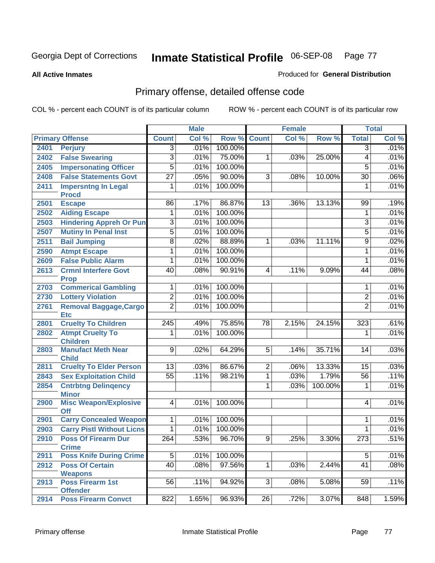**All Active Inmates**

### Produced for **General Distribution**

# Primary offense, detailed offense code

|      |                                             |                  | <b>Male</b> |         |                 | <b>Female</b> |         |                 | <b>Total</b> |
|------|---------------------------------------------|------------------|-------------|---------|-----------------|---------------|---------|-----------------|--------------|
|      | <b>Primary Offense</b>                      | <b>Count</b>     | Col %       | Row %   | <b>Count</b>    | Col %         | Row %   | <b>Total</b>    | Col %        |
| 2401 | <b>Perjury</b>                              | $\overline{3}$   | .01%        | 100.00% |                 |               |         | 3               | .01%         |
| 2402 | <b>False Swearing</b>                       | $\overline{3}$   | .01%        | 75.00%  | 1               | .03%          | 25.00%  | 4               | .01%         |
| 2405 | <b>Impersonating Officer</b>                | $\overline{5}$   | .01%        | 100.00% |                 |               |         | $\overline{5}$  | .01%         |
| 2408 | <b>False Statements Govt</b>                | $\overline{27}$  | .05%        | 90.00%  | $\overline{3}$  | .08%          | 10.00%  | $\overline{30}$ | .06%         |
| 2411 | <b>Impersntng In Legal</b>                  | 1                | .01%        | 100.00% |                 |               |         | 1               | .01%         |
|      | <b>Procd</b>                                |                  |             |         |                 |               |         |                 |              |
| 2501 | <b>Escape</b>                               | $\overline{86}$  | .17%        | 86.87%  | 13              | .36%          | 13.13%  | 99              | .19%         |
| 2502 | <b>Aiding Escape</b>                        | 1                | .01%        | 100.00% |                 |               |         | 1               | .01%         |
| 2503 | <b>Hindering Appreh Or Pun</b>              | $\overline{3}$   | .01%        | 100.00% |                 |               |         | 3               | .01%         |
| 2507 | <b>Mutiny In Penal Inst</b>                 | $\overline{5}$   | .01%        | 100.00% |                 |               |         | $\overline{5}$  | .01%         |
| 2511 | <b>Bail Jumping</b>                         | $\overline{8}$   | .02%        | 88.89%  | 1               | .03%          | 11.11%  | 9               | .02%         |
| 2590 | <b>Atmpt Escape</b>                         | 1                | .01%        | 100.00% |                 |               |         | 1               | .01%         |
| 2609 | <b>False Public Alarm</b>                   | 1                | .01%        | 100.00% |                 |               |         | 1               | .01%         |
| 2613 | <b>Crmnl Interfere Govt</b>                 | 40               | .08%        | 90.91%  | $\overline{4}$  | .11%          | 9.09%   | 44              | .08%         |
|      | <b>Prop</b>                                 |                  |             |         |                 |               |         |                 |              |
| 2703 | <b>Commerical Gambling</b>                  | 1                | .01%        | 100.00% |                 |               |         | 1               | .01%         |
| 2730 | <b>Lottery Violation</b>                    | $\overline{2}$   | .01%        | 100.00% |                 |               |         | $\overline{2}$  | .01%         |
| 2761 | <b>Removal Baggage, Cargo</b>               | $\overline{2}$   | .01%        | 100.00% |                 |               |         | $\overline{2}$  | .01%         |
| 2801 | <b>Etc</b><br><b>Cruelty To Children</b>    | $\overline{245}$ | .49%        | 75.85%  | $\overline{78}$ | 2.15%         | 24.15%  | 323             | .61%         |
| 2802 | <b>Atmpt Cruelty To</b>                     | 1                | .01%        | 100.00% |                 |               |         | 1               | .01%         |
|      | <b>Children</b>                             |                  |             |         |                 |               |         |                 |              |
| 2803 | <b>Manufact Meth Near</b>                   | $\overline{9}$   | .02%        | 64.29%  | $\overline{5}$  | .14%          | 35.71%  | 14              | .03%         |
|      | <b>Child</b>                                |                  |             |         |                 |               |         |                 |              |
| 2811 | <b>Cruelty To Elder Person</b>              | $\overline{13}$  | .03%        | 86.67%  | $\overline{2}$  | .06%          | 13.33%  | 15              | .03%         |
| 2843 | <b>Sex Exploitation Child</b>               | $\overline{55}$  | .11%        | 98.21%  | 1               | .03%          | 1.79%   | 56              | .11%         |
| 2854 | <b>Cntrbtng Delingency</b>                  |                  |             |         | 1               | .03%          | 100.00% | 1               | .01%         |
|      | <b>Minor</b>                                |                  |             |         |                 |               |         |                 |              |
| 2900 | <b>Misc Weapon/Explosive</b>                | $\overline{4}$   | .01%        | 100.00% |                 |               |         | 4               | .01%         |
| 2901 | <b>Off</b><br><b>Carry Concealed Weapon</b> | 1                | .01%        | 100.00% |                 |               |         | 1               | .01%         |
| 2903 | <b>Carry Pistl Without Licns</b>            | 1                | .01%        | 100.00% |                 |               |         | 1               | .01%         |
| 2910 | <b>Poss Of Firearm Dur</b>                  | $\overline{264}$ | .53%        | 96.70%  | 9               | .25%          | 3.30%   | 273             | .51%         |
|      | <b>Crime</b>                                |                  |             |         |                 |               |         |                 |              |
| 2911 | <b>Poss Knife During Crime</b>              | $\overline{5}$   | .01%        | 100.00% |                 |               |         | $\overline{5}$  | .01%         |
| 2912 | <b>Poss Of Certain</b>                      | 40               | .08%        | 97.56%  | 1               | .03%          | 2.44%   | $\overline{41}$ | .08%         |
|      | <b>Weapons</b>                              |                  |             |         |                 |               |         |                 |              |
| 2913 | <b>Poss Firearm 1st</b>                     | 56               | .11%        | 94.92%  | $\overline{3}$  | .08%          | 5.08%   | 59              | .11%         |
|      | <b>Offender</b>                             |                  |             |         |                 |               |         |                 |              |
| 2914 | <b>Poss Firearm Convct</b>                  | 822              | 1.65%       | 96.93%  | 26              | .72%          | 3.07%   | 848             | 1.59%        |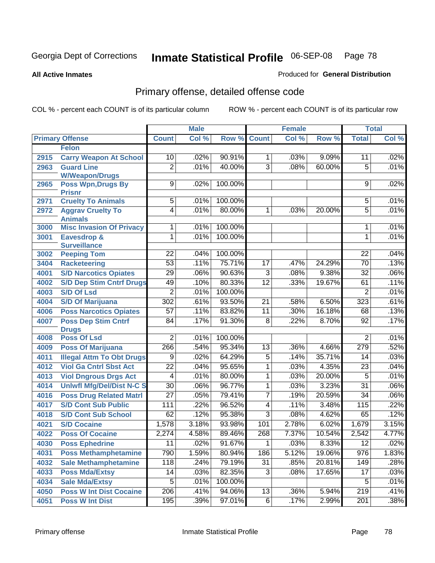**All Active Inmates**

### Produced for **General Distribution**

# Primary offense, detailed offense code

|      |                                            |                 | <b>Male</b> |         |                 | <b>Female</b> |        |                  | <b>Total</b> |
|------|--------------------------------------------|-----------------|-------------|---------|-----------------|---------------|--------|------------------|--------------|
|      | <b>Primary Offense</b>                     | <b>Count</b>    | Col %       | Row %   | <b>Count</b>    | Col %         | Row %  | <b>Total</b>     | Col %        |
|      | <b>Felon</b>                               |                 |             |         |                 |               |        |                  |              |
| 2915 | <b>Carry Weapon At School</b>              | 10              | .02%        | 90.91%  | $\mathbf{1}$    | .03%          | 9.09%  | 11               | .02%         |
| 2963 | <b>Guard Line</b>                          | $\overline{2}$  | .01%        | 40.00%  | $\overline{3}$  | .08%          | 60.00% | 5                | .01%         |
|      | <b>W/Weapon/Drugs</b>                      |                 |             |         |                 |               |        |                  |              |
| 2965 | <b>Poss Wpn, Drugs By</b>                  | $\overline{9}$  | .02%        | 100.00% |                 |               |        | 9                | .02%         |
| 2971 | <b>Prisnr</b><br><b>Cruelty To Animals</b> | $\overline{5}$  | .01%        | 100.00% |                 |               |        | 5                | .01%         |
| 2972 | <b>Aggrav Cruelty To</b>                   | $\overline{4}$  | .01%        | 80.00%  | $\overline{1}$  | .03%          | 20.00% | $\overline{5}$   | .01%         |
|      | <b>Animals</b>                             |                 |             |         |                 |               |        |                  |              |
| 3000 | <b>Misc Invasion Of Privacy</b>            | 1               | .01%        | 100.00% |                 |               |        | 1                | .01%         |
| 3001 | Eavesdrop &                                | 1               | .01%        | 100.00% |                 |               |        | 1                | .01%         |
|      | <b>Surveillance</b>                        |                 |             |         |                 |               |        |                  |              |
| 3002 | <b>Peeping Tom</b>                         | 22              | .04%        | 100.00% |                 |               |        | 22               | .04%         |
| 3404 | <b>Racketeering</b>                        | $\overline{53}$ | .11%        | 75.71%  | $\overline{17}$ | .47%          | 24.29% | $\overline{70}$  | .13%         |
| 4001 | <b>S/D Narcotics Opiates</b>               | 29              | .06%        | 90.63%  | $\overline{3}$  | .08%          | 9.38%  | $\overline{32}$  | .06%         |
| 4002 | <b>S/D Dep Stim Cntrf Drugs</b>            | 49              | .10%        | 80.33%  | $\overline{12}$ | .33%          | 19.67% | 61               | .11%         |
| 4003 | <b>S/D Of Lsd</b>                          | $\overline{2}$  | .01%        | 100.00% |                 |               |        | 2                | .01%         |
| 4004 | <b>S/D Of Marijuana</b>                    | 302             | .61%        | 93.50%  | $\overline{21}$ | .58%          | 6.50%  | $\overline{323}$ | .61%         |
| 4006 | <b>Poss Narcotics Opiates</b>              | $\overline{57}$ | .11%        | 83.82%  | $\overline{11}$ | .30%          | 16.18% | 68               | .13%         |
| 4007 | <b>Poss Dep Stim Cntrf</b>                 | $\overline{84}$ | .17%        | 91.30%  | $\overline{8}$  | .22%          | 8.70%  | 92               | .17%         |
|      | <b>Drugs</b>                               |                 |             |         |                 |               |        |                  |              |
| 4008 | <b>Poss Of Lsd</b>                         | $\overline{2}$  | .01%        | 100.00% |                 |               |        | 2                | .01%         |
| 4009 | <b>Poss Of Marijuana</b>                   | 266             | .54%        | 95.34%  | 13              | .36%          | 4.66%  | 279              | .52%         |
| 4011 | <b>Illegal Attm To Obt Drugs</b>           | 9               | .02%        | 64.29%  | $\overline{5}$  | .14%          | 35.71% | 14               | .03%         |
| 4012 | <b>Viol Ga Cntrl Sbst Act</b>              | $\overline{22}$ | .04%        | 95.65%  | 1               | .03%          | 4.35%  | $\overline{23}$  | .04%         |
| 4013 | <b>Viol Dngrous Drgs Act</b>               | 4               | .01%        | 80.00%  | 1               | .03%          | 20.00% | $\overline{5}$   | .01%         |
| 4014 | <b>Uniwfl Mfg/Del/Dist N-C S</b>           | $\overline{30}$ | .06%        | 96.77%  | 1               | .03%          | 3.23%  | $\overline{31}$  | .06%         |
| 4016 | <b>Poss Drug Related Matri</b>             | $\overline{27}$ | .05%        | 79.41%  | 7               | .19%          | 20.59% | $\overline{34}$  | .06%         |
| 4017 | <b>S/D Cont Sub Public</b>                 | 111             | .22%        | 96.52%  | $\overline{4}$  | .11%          | 3.48%  | 115              | .22%         |
| 4018 | <b>S/D Cont Sub School</b>                 | 62              | .12%        | 95.38%  | $\overline{3}$  | .08%          | 4.62%  | 65               | .12%         |
| 4021 | <b>S/D Cocaine</b>                         | 1,578           | 3.18%       | 93.98%  | 101             | 2.78%         | 6.02%  | 1,679            | 3.15%        |
| 4022 | <b>Poss Of Cocaine</b>                     | 2,274           | 4.58%       | 89.46%  | 268             | 7.37%         | 10.54% | 2,542            | 4.77%        |
| 4030 | <b>Poss Ephedrine</b>                      | $\overline{11}$ | .02%        | 91.67%  | $\overline{1}$  | .03%          | 8.33%  | $\overline{12}$  | .02%         |
| 4031 | <b>Poss Methamphetamine</b>                | 790             | 1.59%       | 80.94%  | 186             | 5.12%         | 19.06% | 976              | 1.83%        |
| 4032 | <b>Sale Methamphetamine</b>                | 118             | .24%        | 79.19%  | 31              | .85%          | 20.81% | 149              | .28%         |
| 4033 | <b>Poss Mda/Extsy</b>                      | 14              | .03%        | 82.35%  | $\overline{3}$  | .08%          | 17.65% | 17               | .03%         |
| 4034 | <b>Sale Mda/Extsy</b>                      | $\overline{5}$  | .01%        | 100.00% |                 |               |        | 5                | .01%         |
| 4050 | <b>Poss W Int Dist Cocaine</b>             | 206             | .41%        | 94.06%  | 13              | .36%          | 5.94%  | 219              | .41%         |
| 4051 | <b>Poss W Int Dist</b>                     | 195             | .39%        | 97.01%  | 6               | .17%          | 2.99%  | 201              | .38%         |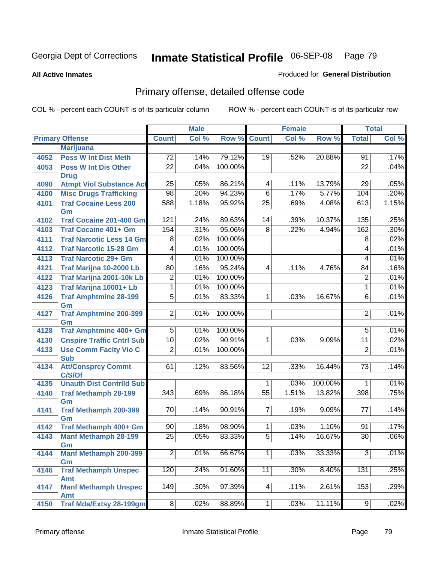**All Active Inmates**

### Produced for **General Distribution**

# Primary offense, detailed offense code

|      |                                            |                  | <b>Male</b> |                    |                 | <b>Female</b> |         |                     | <b>Total</b> |
|------|--------------------------------------------|------------------|-------------|--------------------|-----------------|---------------|---------|---------------------|--------------|
|      | <b>Primary Offense</b>                     | <b>Count</b>     | Col %       | <b>Row % Count</b> |                 | Col %         | Row %   | <b>Total</b>        | Col %        |
|      | <b>Marijuana</b>                           |                  |             |                    |                 |               |         |                     |              |
| 4052 | <b>Poss W Int Dist Meth</b>                | 72               | .14%        | 79.12%             | 19              | .52%          | 20.88%  | 91                  | .17%         |
| 4053 | <b>Poss W Int Dis Other</b>                | $\overline{22}$  | .04%        | 100.00%            |                 |               |         | $\overline{22}$     | .04%         |
|      | <b>Drug</b>                                |                  |             |                    |                 |               |         |                     |              |
| 4090 | <b>Atmpt Viol Substance Act</b>            | $\overline{25}$  | .05%        | 86.21%             | 4               | .11%          | 13.79%  | 29                  | .05%         |
| 4100 | <b>Misc Drugs Trafficking</b>              | $\overline{98}$  | .20%        | 94.23%             | $\overline{6}$  | .17%          | 5.77%   | 104                 | .20%         |
| 4101 | <b>Traf Cocaine Less 200</b>               | 588              | 1.18%       | 95.92%             | $\overline{25}$ | .69%          | 4.08%   | 613                 | 1.15%        |
|      | Gm                                         |                  |             |                    |                 |               |         |                     |              |
| 4102 | <b>Traf Cocaine 201-400 Gm</b>             | 121              | .24%        | 89.63%             | 14              | .39%          | 10.37%  | 135                 | .25%         |
| 4103 | <b>Traf Cocaine 401+ Gm</b>                | 154              | .31%        | 95.06%             | $\overline{8}$  | .22%          | 4.94%   | 162                 | .30%         |
| 4111 | <b>Traf Narcotic Less 14 Gm</b>            | $\overline{8}$   | .02%        | 100.00%            |                 |               |         | $\overline{8}$      | .02%         |
| 4112 | <b>Traf Narcotic 15-28 Gm</b>              | $\overline{4}$   | .01%        | 100.00%            |                 |               |         | $\overline{4}$      | .01%         |
| 4113 | <b>Traf Narcotic 29+ Gm</b>                | $\overline{4}$   | .01%        | 100.00%            |                 |               |         | 4                   | .01%         |
| 4121 | Traf Marijna 10-2000 Lb                    | 80               | .16%        | 95.24%             | $\overline{4}$  | .11%          | 4.76%   | 84                  | .16%         |
| 4122 | Traf Marijna 2001-10k Lb                   | $\overline{2}$   | .01%        | 100.00%            |                 |               |         | $\overline{2}$      | .01%         |
| 4123 | Traf Marijna 10001+ Lb                     | $\overline{1}$   | .01%        | 100.00%            |                 |               |         | $\overline{1}$      | .01%         |
| 4126 | <b>Traf Amphtmine 28-199</b>               | $\overline{5}$   | .01%        | 83.33%             | 1               | .03%          | 16.67%  | $\overline{6}$      | .01%         |
|      | Gm                                         |                  |             |                    |                 |               |         |                     |              |
| 4127 | <b>Traf Amphtmine 200-399</b>              | $\overline{2}$   | .01%        | 100.00%            |                 |               |         | $\overline{2}$      | .01%         |
|      | Gm<br><b>Traf Amphtmine 400+ Gm</b>        |                  |             |                    |                 |               |         |                     | .01%         |
| 4128 |                                            | $\overline{5}$   | .01%        | 100.00%            |                 |               |         | $\overline{5}$      |              |
| 4130 | <b>Cnspire Traffic Cntrl Sub</b>           | $\overline{10}$  | .02%        | 90.91%             | 1               | .03%          | 9.09%   | $\overline{11}$     | .02%         |
| 4133 | <b>Use Comm Facity Vio C</b><br><b>Sub</b> | $\overline{2}$   | .01%        | 100.00%            |                 |               |         | $\overline{2}$      | .01%         |
| 4134 | <b>Att/Consprcy Commt</b>                  | 61               | .12%        | 83.56%             | $\overline{12}$ | .33%          | 16.44%  | 73                  | .14%         |
|      | C/S/Of                                     |                  |             |                    |                 |               |         |                     |              |
| 4135 | <b>Unauth Dist Contrild Sub</b>            |                  |             |                    | 1               | .03%          | 100.00% | 1                   | .01%         |
| 4140 | <b>Traf Methamph 28-199</b>                | 343              | .69%        | 86.18%             | $\overline{55}$ | 1.51%         | 13.82%  | 398                 | .75%         |
|      | Gm                                         |                  |             |                    |                 |               |         |                     |              |
| 4141 | Traf Methamph 200-399                      | 70               | .14%        | 90.91%             | $\overline{7}$  | .19%          | 9.09%   | 77                  | .14%         |
|      | Gm                                         |                  |             |                    |                 |               |         |                     |              |
| 4142 | Traf Methamph 400+ Gm                      | 90               | .18%        | 98.90%             | 1               | .03%          | 1.10%   | 91                  | .17%         |
| 4143 | <b>Manf Methamph 28-199</b>                | $\overline{25}$  | .05%        | 83.33%             | $\overline{5}$  | .14%          | 16.67%  | $\overline{30}$     | .06%         |
|      | Gm                                         |                  |             |                    |                 |               |         |                     |              |
| 4144 | <b>Manf Methamph 200-399</b>               | $\overline{2}$   | .01%        | 66.67%             | $\overline{1}$  | .03%          | 33.33%  | $\overline{\omega}$ | .01%         |
| 4146 | Gm<br><b>Traf Methamph Unspec</b>          | $\overline{120}$ | .24%        | 91.60%             | $\overline{11}$ | .30%          | 8.40%   | 131                 | .25%         |
|      | Amt                                        |                  |             |                    |                 |               |         |                     |              |
| 4147 | <b>Manf Methamph Unspec</b>                | $\overline{149}$ | .30%        | 97.39%             | $\vert 4 \vert$ | .11%          | 2.61%   | 153                 | .29%         |
|      | <b>Amt</b>                                 |                  |             |                    |                 |               |         |                     |              |
| 4150 | <b>Traf Mda/Extsy 28-199gm</b>             | $\overline{8}$   | .02%        | 88.89%             | 1               | .03%          | 11.11%  | 9                   | .02%         |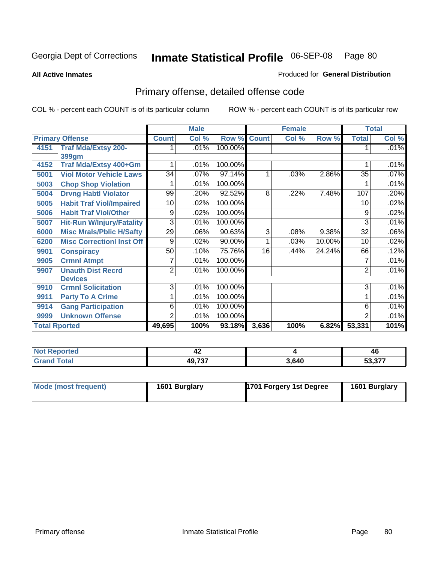**All Active Inmates**

#### Produced for **General Distribution**

# Primary offense, detailed offense code

|                      |                                  |                 | <b>Male</b> |         | <b>Female</b>  |       |        | <b>Total</b>   |         |
|----------------------|----------------------------------|-----------------|-------------|---------|----------------|-------|--------|----------------|---------|
|                      | <b>Primary Offense</b>           | <b>Count</b>    | Col %       | Row %   | <b>Count</b>   | Col % | Row %  | <b>Total</b>   | Col %   |
| 4151                 | <b>Traf Mda/Extsy 200-</b>       |                 | .01%        | 100.00% |                |       |        |                | $.01\%$ |
|                      | 399gm                            |                 |             |         |                |       |        |                |         |
| 4152                 | Traf Mda/Extsy 400+Gm            |                 | .01%        | 100.00% |                |       |        |                | .01%    |
| 5001                 | <b>Viol Motor Vehicle Laws</b>   | $\overline{34}$ | .07%        | 97.14%  |                | .03%  | 2.86%  | 35             | .07%    |
| 5003                 | <b>Chop Shop Violation</b>       |                 | .01%        | 100.00% |                |       |        |                | .01%    |
| 5004                 | <b>Drvng Habtl Violator</b>      | 99              | .20%        | 92.52%  | 8              | .22%  | 7.48%  | 107            | .20%    |
| 5005                 | <b>Habit Traf Viol/Impaired</b>  | 10              | .02%        | 100.00% |                |       |        | 10             | .02%    |
| 5006                 | <b>Habit Traf Viol/Other</b>     | 9               | .02%        | 100.00% |                |       |        | 9              | .02%    |
| 5007                 | <b>Hit-Run W/Injury/Fatality</b> | 3               | .01%        | 100.00% |                |       |        | 3              | .01%    |
| 6000                 | <b>Misc Mrals/Pblic H/Safty</b>  | $\overline{29}$ | .06%        | 90.63%  | $\overline{3}$ | .08%  | 9.38%  | 32             | .06%    |
| 6200                 | <b>Misc Correctionl Inst Off</b> | 9               | .02%        | 90.00%  | 1              | .03%  | 10.00% | 10             | .02%    |
| 9901                 | <b>Conspiracy</b>                | 50              | .10%        | 75.76%  | 16             | .44%  | 24.24% | 66             | .12%    |
| 9905                 | <b>Crmnl Atmpt</b>               |                 | .01%        | 100.00% |                |       |        | 7              | .01%    |
| 9907                 | <b>Unauth Dist Recrd</b>         | $\overline{2}$  | .01%        | 100.00% |                |       |        | $\overline{2}$ | .01%    |
|                      | <b>Devices</b>                   |                 |             |         |                |       |        |                |         |
| 9910                 | <b>Crmnl Solicitation</b>        | $\overline{3}$  | .01%        | 100.00% |                |       |        | $\overline{3}$ | .01%    |
| 9911                 | <b>Party To A Crime</b>          |                 | .01%        | 100.00% |                |       |        | 1              | .01%    |
| 9914                 | <b>Gang Participation</b>        | 6               | .01%        | 100.00% |                |       |        | 6              | .01%    |
| 9999                 | <b>Unknown Offense</b>           | $\overline{2}$  | .01%        | 100.00% |                |       |        | $\overline{2}$ | .01%    |
| <b>Total Rported</b> |                                  | 49,695          | 100%        | 93.18%  | 3,636          | 100%  | 6.82%  | 53,331         | 101%    |

| Not F<br>Reported      | - 14         |       | 46                                  |
|------------------------|--------------|-------|-------------------------------------|
| <b>Total</b><br>'Gran. | ィヘ フヘフ<br>лu | 3,640 | $\sim$ $\sim$ $\sim$<br>1.31 ه<br>ື |

| Mode (most frequent) | 1601 Burglary | 1701 Forgery 1st Degree | 1601 Burglary |
|----------------------|---------------|-------------------------|---------------|
|                      |               |                         |               |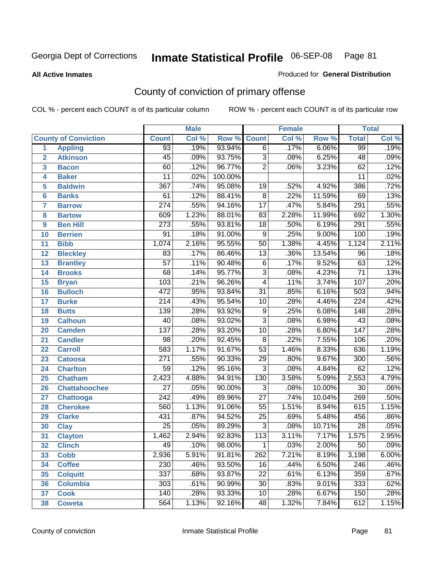#### **All Active Inmates**

### Produced for **General Distribution**

# County of conviction of primary offense

|                         |                             |                  | <b>Male</b> |         | <b>Female</b>   |       |          | <b>Total</b>     |         |
|-------------------------|-----------------------------|------------------|-------------|---------|-----------------|-------|----------|------------------|---------|
|                         | <b>County of Conviction</b> | <b>Count</b>     | Col %       | Row %   | <b>Count</b>    | Col % | Row %    | <b>Total</b>     | Col %   |
| 1                       | <b>Appling</b>              | $\overline{93}$  | .19%        | 93.94%  | $\overline{6}$  | .17%  | 6.06%    | 99               | .19%    |
| $\overline{2}$          | <b>Atkinson</b>             | 45               | .09%        | 93.75%  | $\overline{3}$  | .08%  | 6.25%    | 48               | .09%    |
| $\overline{\mathbf{3}}$ | <b>Bacon</b>                | 60               | .12%        | 96.77%  | $\overline{2}$  | .06%  | 3.23%    | 62               | .12%    |
| 4                       | <b>Baker</b>                | 11               | .02%        | 100.00% |                 |       |          | 11               | .02%    |
| 5                       | <b>Baldwin</b>              | 367              | .74%        | 95.08%  | 19              | .52%  | 4.92%    | 386              | .72%    |
| 6                       | <b>Banks</b>                | 61               | .12%        | 88.41%  | $\overline{8}$  | .22%  | 11.59%   | 69               | .13%    |
| 7                       | <b>Barrow</b>               | $\overline{274}$ | .55%        | 94.16%  | $\overline{17}$ | .47%  | 5.84%    | $\overline{291}$ | .55%    |
| 8                       | <b>Bartow</b>               | 609              | 1.23%       | 88.01%  | 83              | 2.28% | 11.99%   | 692              | 1.30%   |
| 9                       | <b>Ben Hill</b>             | $\overline{273}$ | .55%        | 93.81%  | $\overline{18}$ | .50%  | 6.19%    | 291              | .55%    |
| 10                      | <b>Berrien</b>              | 91               | .18%        | 91.00%  | $\overline{9}$  | .25%  | 9.00%    | 100              | .19%    |
| 11                      | <b>Bibb</b>                 | 1,074            | 2.16%       | 95.55%  | $\overline{50}$ | 1.38% | 4.45%    | 1,124            | 2.11%   |
| 12                      | <b>Bleckley</b>             | $\overline{83}$  | .17%        | 86.46%  | $\overline{13}$ | .36%  | 13.54%   | $\overline{96}$  | .18%    |
| $\overline{13}$         | <b>Brantley</b>             | $\overline{57}$  | .11%        | 90.48%  | $\overline{6}$  | .17%  | 9.52%    | 63               | .12%    |
| 14                      | <b>Brooks</b>               | $\overline{68}$  | .14%        | 95.77%  | $\overline{3}$  | .08%  | 4.23%    | $\overline{71}$  | .13%    |
| 15                      | <b>Bryan</b>                | 103              | .21%        | 96.26%  | $\overline{4}$  | .11%  | 3.74%    | 107              | .20%    |
| 16                      | <b>Bulloch</b>              | 472              | .95%        | 93.84%  | $\overline{31}$ | .85%  | 6.16%    | 503              | .94%    |
| 17                      | <b>Burke</b>                | $\overline{214}$ | .43%        | 95.54%  | $\overline{10}$ | .28%  | 4.46%    | $\overline{224}$ | .42%    |
| 18                      | <b>Butts</b>                | 139              | .28%        | 93.92%  | $\overline{9}$  | .25%  | 6.08%    | $\overline{148}$ | .28%    |
| 19                      | <b>Calhoun</b>              | 40               | .08%        | 93.02%  | $\overline{3}$  | .08%  | 6.98%    | 43               | .08%    |
| 20                      | <b>Camden</b>               | 137              | .28%        | 93.20%  | $\overline{10}$ | .28%  | 6.80%    | $\overline{147}$ | .28%    |
| 21                      | <b>Candler</b>              | $\overline{98}$  | .20%        | 92.45%  | $\overline{8}$  | .22%  | 7.55%    | 106              | .20%    |
| 22                      | <b>Carroll</b>              | 583              | 1.17%       | 91.67%  | $\overline{53}$ | 1.46% | 8.33%    | 636              | 1.19%   |
| 23                      | <b>Catoosa</b>              | $\overline{271}$ | .55%        | 90.33%  | 29              | .80%  | 9.67%    | 300              | .56%    |
| 24                      | <b>Charlton</b>             | $\overline{59}$  | .12%        | 95.16%  | $\overline{3}$  | .08%  | 4.84%    | 62               | .12%    |
| 25                      | <b>Chatham</b>              | 2,423            | 4.88%       | 94.91%  | 130             | 3.58% | 5.09%    | 2,553            | 4.79%   |
| 26                      | <b>Chattahoochee</b>        | $\overline{27}$  | .05%        | 90.00%  | $\overline{3}$  | .08%  | 10.00%   | $\overline{30}$  | .06%    |
| 27                      | <b>Chattooga</b>            | $\overline{242}$ | .49%        | 89.96%  | $\overline{27}$ | .74%  | 10.04%   | 269              | .50%    |
| 28                      | <b>Cherokee</b>             | 560              | 1.13%       | 91.06%  | $\overline{55}$ | 1.51% | 8.94%    | 615              | 1.15%   |
| 29                      | <b>Clarke</b>               | 431              | .87%        | 94.52%  | $\overline{25}$ | .69%  | 5.48%    | 456              | .86%    |
| 30                      | <b>Clay</b>                 | $\overline{25}$  | .05%        | 89.29%  | $\overline{3}$  | .08%  | 10.71%   | $\overline{28}$  | .05%    |
| 31                      | <b>Clayton</b>              | 1,462            | 2.94%       | 92.83%  | 113             | 3.11% | 7.17%    | 1,575            | 2.95%   |
| 32                      | <b>Clinch</b>               | 49               | .10%        | 98.00%  | 1               | .03%  | $2.00\%$ | 50               | $.09\%$ |
| 33                      | <b>Cobb</b>                 | 2,936            | 5.91%       | 91.81%  | 262             | 7.21% | 8.19%    | 3,198            | 6.00%   |
| 34                      | <b>Coffee</b>               | 230              | .46%        | 93.50%  | 16              | .44%  | 6.50%    | 246              | .46%    |
| 35                      | <b>Colquitt</b>             | $\overline{337}$ | .68%        | 93.87%  | 22              | .61%  | 6.13%    | 359              | .67%    |
| 36                      | <b>Columbia</b>             | 303              | .61%        | 90.99%  | 30              | .83%  | 9.01%    | 333              | .62%    |
| 37                      | <b>Cook</b>                 | 140              | .28%        | 93.33%  | 10              | .28%  | 6.67%    | 150              | .28%    |
| 38                      | <b>Coweta</b>               | 564              | 1.13%       | 92.16%  | 48              | 1.32% | 7.84%    | 612              | 1.15%   |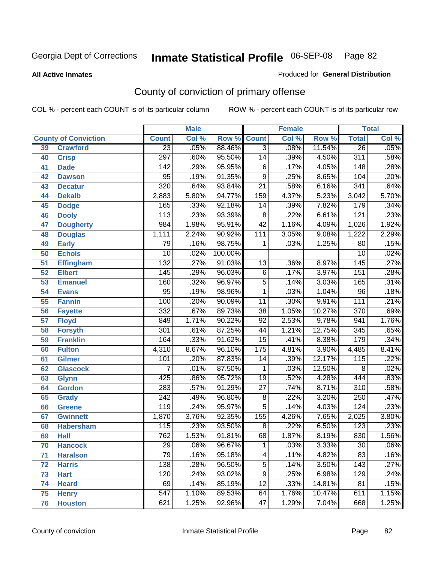**All Active Inmates**

### Produced for **General Distribution**

# County of conviction of primary offense

|    |                             |                  | <b>Male</b> |         | <b>Female</b>   |       |          | <b>Total</b>     |         |
|----|-----------------------------|------------------|-------------|---------|-----------------|-------|----------|------------------|---------|
|    | <b>County of Conviction</b> | <b>Count</b>     | Col %       | Row %   | <b>Count</b>    | Col % | Row %    | <b>Total</b>     | Col %   |
| 39 | <b>Crawford</b>             | $\overline{23}$  | .05%        | 88.46%  | $\overline{3}$  | .08%  | 11.54%   | $\overline{26}$  | .05%    |
| 40 | <b>Crisp</b>                | 297              | .60%        | 95.50%  | 14              | .39%  | 4.50%    | 311              | .58%    |
| 41 | <b>Dade</b>                 | $\overline{142}$ | .29%        | 95.95%  | 6               | .17%  | 4.05%    | 148              | .28%    |
| 42 | <b>Dawson</b>               | 95               | .19%        | 91.35%  | $\overline{9}$  | .25%  | 8.65%    | 104              | .20%    |
| 43 | <b>Decatur</b>              | 320              | .64%        | 93.84%  | $\overline{21}$ | .58%  | 6.16%    | 341              | .64%    |
| 44 | <b>Dekalb</b>               | 2,883            | 5.80%       | 94.77%  | 159             | 4.37% | 5.23%    | 3,042            | 5.70%   |
| 45 | <b>Dodge</b>                | $\overline{165}$ | .33%        | 92.18%  | 14              | .39%  | 7.82%    | 179              | .34%    |
| 46 | <b>Dooly</b>                | 113              | .23%        | 93.39%  | 8               | .22%  | 6.61%    | 121              | .23%    |
| 47 | <b>Dougherty</b>            | 984              | 1.98%       | 95.91%  | $\overline{42}$ | 1.16% | 4.09%    | 1,026            | 1.92%   |
| 48 | <b>Douglas</b>              | 1,111            | 2.24%       | 90.92%  | 111             | 3.05% | 9.08%    | 1,222            | 2.29%   |
| 49 | <b>Early</b>                | 79               | .16%        | 98.75%  | 1               | .03%  | 1.25%    | $\overline{80}$  | .15%    |
| 50 | <b>Echols</b>               | $\overline{10}$  | .02%        | 100.00% |                 |       |          | 10               | .02%    |
| 51 | <b>Effingham</b>            | 132              | .27%        | 91.03%  | 13              | .36%  | 8.97%    | $\overline{145}$ | .27%    |
| 52 | <b>Elbert</b>               | 145              | .29%        | 96.03%  | $\overline{6}$  | .17%  | 3.97%    | 151              | .28%    |
| 53 | <b>Emanuel</b>              | 160              | .32%        | 96.97%  | $\overline{5}$  | .14%  | 3.03%    | 165              | .31%    |
| 54 | <b>Evans</b>                | $\overline{95}$  | .19%        | 98.96%  | $\mathbf{1}$    | .03%  | 1.04%    | 96               | .18%    |
| 55 | <b>Fannin</b>               | 100              | .20%        | 90.09%  | 11              | .30%  | 9.91%    | $\overline{111}$ | .21%    |
| 56 | <b>Fayette</b>              | 332              | .67%        | 89.73%  | 38              | 1.05% | 10.27%   | $\overline{370}$ | .69%    |
| 57 | <b>Floyd</b>                | 849              | 1.71%       | 90.22%  | $\overline{92}$ | 2.53% | 9.78%    | 941              | 1.76%   |
| 58 | <b>Forsyth</b>              | 301              | .61%        | 87.25%  | 44              | 1.21% | 12.75%   | 345              | .65%    |
| 59 | <b>Franklin</b>             | 164              | .33%        | 91.62%  | $\overline{15}$ | .41%  | 8.38%    | 179              | .34%    |
| 60 | <b>Fulton</b>               | 4,310            | 8.67%       | 96.10%  | 175             | 4.81% | 3.90%    | 4,485            | 8.41%   |
| 61 | Gilmer                      | 101              | .20%        | 87.83%  | 14              | .39%  | 12.17%   | 115              | .22%    |
| 62 | <b>Glascock</b>             | 7                | .01%        | 87.50%  | 1               | .03%  | 12.50%   | 8                | .02%    |
| 63 | <b>Glynn</b>                | 425              | .86%        | 95.72%  | $\overline{19}$ | .52%  | 4.28%    | 444              | .83%    |
| 64 | <b>Gordon</b>               | 283              | .57%        | 91.29%  | $\overline{27}$ | .74%  | 8.71%    | $\overline{310}$ | .58%    |
| 65 | <b>Grady</b>                | $\overline{242}$ | .49%        | 96.80%  | 8               | .22%  | 3.20%    | 250              | .47%    |
| 66 | <b>Greene</b>               | 119              | .24%        | 95.97%  | $\overline{5}$  | .14%  | 4.03%    | 124              | .23%    |
| 67 | <b>Gwinnett</b>             | 1,870            | 3.76%       | 92.35%  | 155             | 4.26% | 7.65%    | 2,025            | 3.80%   |
| 68 | <b>Habersham</b>            | 115              | .23%        | 93.50%  | $\overline{8}$  | .22%  | 6.50%    | 123              | .23%    |
| 69 | <b>Hall</b>                 | 762              | 1.53%       | 91.81%  | 68              | 1.87% | 8.19%    | 830              | 1.56%   |
| 70 | <b>Hancock</b>              | 29               | .06%        | 96.67%  | 1               | .03%  | $3.33\%$ | 30               | $.06\%$ |
| 71 | <b>Haralson</b>             | $\overline{79}$  | .16%        | 95.18%  | 4               | .11%  | 4.82%    | 83               | .16%    |
| 72 | <b>Harris</b>               | 138              | .28%        | 96.50%  | $\overline{5}$  | .14%  | 3.50%    | 143              | .27%    |
| 73 | <b>Hart</b>                 | 120              | .24%        | 93.02%  | $\overline{9}$  | .25%  | 6.98%    | 129              | .24%    |
| 74 | <b>Heard</b>                | 69               | .14%        | 85.19%  | 12              | .33%  | 14.81%   | 81               | .15%    |
| 75 | <b>Henry</b>                | $\overline{547}$ | 1.10%       | 89.53%  | 64              | 1.76% | 10.47%   | 611              | 1.15%   |
| 76 | <b>Houston</b>              | 621              | 1.25%       | 92.96%  | $\overline{47}$ | 1.29% | 7.04%    | 668              | 1.25%   |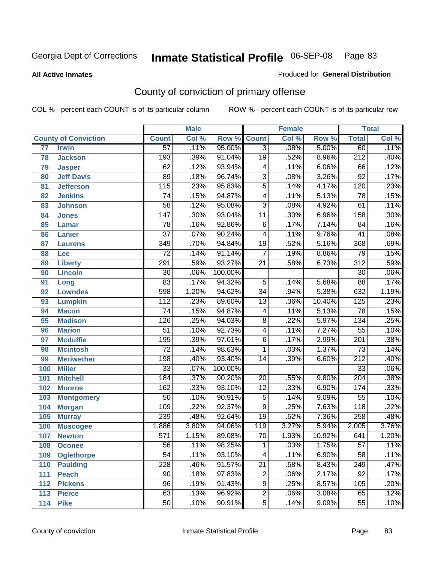#### **All Active Inmates**

### Produced for **General Distribution**

# County of conviction of primary offense

|     |                             |                  | <b>Male</b> |         |                          | <b>Female</b> |        | <b>Total</b>     |       |
|-----|-----------------------------|------------------|-------------|---------|--------------------------|---------------|--------|------------------|-------|
|     | <b>County of Conviction</b> | <b>Count</b>     | Col %       | Row %   | <b>Count</b>             | Col %         | Row %  | <b>Total</b>     | Col % |
| 77  | <b>Irwin</b>                | $\overline{57}$  | .11%        | 95.00%  | $\overline{3}$           | .08%          | 5.00%  | 60               | .11%  |
| 78  | <b>Jackson</b>              | 193              | .39%        | 91.04%  | $\overline{19}$          | .52%          | 8.96%  | $\overline{212}$ | .40%  |
| 79  | <b>Jasper</b>               | 62               | .12%        | 93.94%  | 4                        | .11%          | 6.06%  | 66               | .12%  |
| 80  | <b>Jeff Davis</b>           | 89               | .18%        | 96.74%  | $\overline{3}$           | .08%          | 3.26%  | $\overline{92}$  | .17%  |
| 81  | <b>Jefferson</b>            | $\overline{115}$ | .23%        | 95.83%  | $\overline{5}$           | .14%          | 4.17%  | 120              | .23%  |
| 82  | <b>Jenkins</b>              | $\overline{74}$  | .15%        | 94.87%  | $\overline{4}$           | .11%          | 5.13%  | 78               | .15%  |
| 83  | <b>Johnson</b>              | $\overline{58}$  | .12%        | 95.08%  | $\overline{3}$           | .08%          | 4.92%  | 61               | .11%  |
| 84  | <b>Jones</b>                | $\overline{147}$ | .30%        | 93.04%  | 11                       | .30%          | 6.96%  | 158              | .30%  |
| 85  | <b>Lamar</b>                | $\overline{78}$  | .16%        | 92.86%  | $\overline{6}$           | .17%          | 7.14%  | $\overline{84}$  | .16%  |
| 86  | <b>Lanier</b>               | $\overline{37}$  | .07%        | 90.24%  | $\overline{\mathcal{A}}$ | .11%          | 9.76%  | $\overline{41}$  | .08%  |
| 87  | <b>Laurens</b>              | 349              | .70%        | 94.84%  | $\overline{19}$          | .52%          | 5.16%  | 368              | .69%  |
| 88  | Lee                         | $\overline{72}$  | .14%        | 91.14%  | 7                        | .19%          | 8.86%  | $\overline{79}$  | .15%  |
| 89  | <b>Liberty</b>              | 291              | .59%        | 93.27%  | $\overline{21}$          | .58%          | 6.73%  | $\overline{312}$ | .59%  |
| 90  | <b>Lincoln</b>              | $\overline{30}$  | .06%        | 100.00% |                          |               |        | $\overline{30}$  | .06%  |
| 91  | Long                        | $\overline{83}$  | .17%        | 94.32%  | $\overline{5}$           | .14%          | 5.68%  | 88               | .17%  |
| 92  | <b>Lowndes</b>              | 598              | 1.20%       | 94.62%  | $\overline{34}$          | .94%          | 5.38%  | 632              | 1.19% |
| 93  | <b>Lumpkin</b>              | $\overline{112}$ | .23%        | 89.60%  | $\overline{13}$          | .36%          | 10.40% | 125              | .23%  |
| 94  | <b>Macon</b>                | $\overline{74}$  | .15%        | 94.87%  | $\overline{\mathbf{4}}$  | .11%          | 5.13%  | $\overline{78}$  | .15%  |
| 95  | <b>Madison</b>              | $\overline{126}$ | .25%        | 94.03%  | $\overline{8}$           | .22%          | 5.97%  | 134              | .25%  |
| 96  | <b>Marion</b>               | $\overline{51}$  | .10%        | 92.73%  | $\overline{\mathcal{A}}$ | .11%          | 7.27%  | $\overline{55}$  | .10%  |
| 97  | <b>Mcduffie</b>             | $\overline{195}$ | .39%        | 97.01%  | $\overline{6}$           | .17%          | 2.99%  | $\overline{201}$ | .38%  |
| 98  | <b>Mcintosh</b>             | $\overline{72}$  | .14%        | 98.63%  | 1                        | .03%          | 1.37%  | $\overline{73}$  | .14%  |
| 99  | <b>Meriwether</b>           | 198              | .40%        | 93.40%  | 14                       | .39%          | 6.60%  | $\overline{212}$ | .40%  |
| 100 | <b>Miller</b>               | $\overline{33}$  | .07%        | 100.00% |                          |               |        | $\overline{33}$  | .06%  |
| 101 | <b>Mitchell</b>             | 184              | .37%        | 90.20%  | $\overline{20}$          | .55%          | 9.80%  | $\overline{204}$ | .38%  |
| 102 | <b>Monroe</b>               | 162              | .33%        | 93.10%  | $\overline{12}$          | .33%          | 6.90%  | 174              | .33%  |
| 103 | <b>Montgomery</b>           | 50               | .10%        | 90.91%  | $\overline{5}$           | .14%          | 9.09%  | $\overline{55}$  | .10%  |
| 104 | <b>Morgan</b>               | 109              | .22%        | 92.37%  | $\overline{9}$           | .25%          | 7.63%  | $\overline{118}$ | .22%  |
| 105 | <b>Murray</b>               | 239              | .48%        | 92.64%  | $\overline{19}$          | .52%          | 7.36%  | 258              | .48%  |
| 106 | <b>Muscogee</b>             | 1,886            | 3.80%       | 94.06%  | $\overline{119}$         | 3.27%         | 5.94%  | 2,005            | 3.76% |
| 107 | <b>Newton</b>               | $\overline{571}$ | 1.15%       | 89.08%  | $\overline{70}$          | 1.93%         | 10.92% | 641              | 1.20% |
| 108 | <b>Oconee</b>               | 56               | .11%        | 98.25%  | 1                        | .03%          | 1.75%  | 57               | .11%  |
| 109 | <b>Oglethorpe</b>           | $\overline{54}$  | .11%        | 93.10%  | $\overline{4}$           | .11%          | 6.90%  | $\overline{58}$  | .11%  |
| 110 | <b>Paulding</b>             | 228              | .46%        | 91.57%  | $\overline{21}$          | .58%          | 8.43%  | 249              | .47%  |
| 111 | <b>Peach</b>                | $\overline{90}$  | .18%        | 97.83%  | $\overline{c}$           | .06%          | 2.17%  | 92               | .17%  |
| 112 | <b>Pickens</b>              | 96               | .19%        | 91.43%  | 9                        | .25%          | 8.57%  | 105              | .20%  |
| 113 | <b>Pierce</b>               | 63               | .13%        | 96.92%  | $\overline{2}$           | .06%          | 3.08%  | 65               | .12%  |
| 114 | <b>Pike</b>                 | 50               | .10%        | 90.91%  | $\overline{5}$           | .14%          | 9.09%  | 55               | .10%  |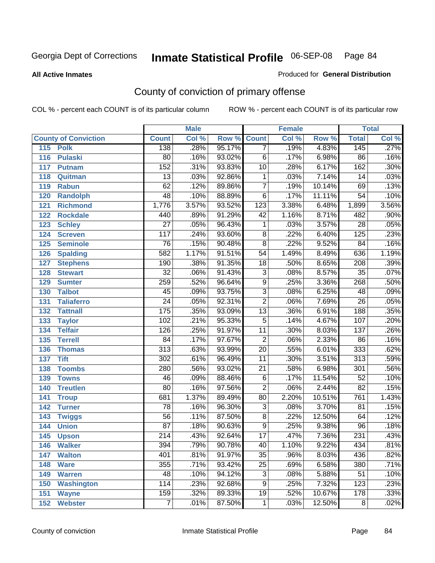**All Active Inmates**

### Produced for **General Distribution**

# County of conviction of primary offense

|                             |                  | <b>Male</b> |                    |                 | <b>Female</b> |        |                  | <b>Total</b> |
|-----------------------------|------------------|-------------|--------------------|-----------------|---------------|--------|------------------|--------------|
| <b>County of Conviction</b> | <b>Count</b>     | Col %       | <b>Row % Count</b> |                 | Col %         | Row %  | <b>Total</b>     | Col %        |
| 115<br><b>Polk</b>          | 138              | .28%        | 95.17%             | $\overline{7}$  | .19%          | 4.83%  | 145              | .27%         |
| 116<br><b>Pulaski</b>       | $\overline{80}$  | .16%        | 93.02%             | $\overline{6}$  | .17%          | 6.98%  | 86               | .16%         |
| 117<br><b>Putnam</b>        | 152              | .31%        | 93.83%             | 10              | .28%          | 6.17%  | 162              | .30%         |
| 118<br>Quitman              | $\overline{13}$  | .03%        | 92.86%             | $\mathbf 1$     | .03%          | 7.14%  | 14               | .03%         |
| 119<br><b>Rabun</b>         | 62               | .12%        | 89.86%             | $\overline{7}$  | .19%          | 10.14% | 69               | .13%         |
| 120<br><b>Randolph</b>      | 48               | .10%        | 88.89%             | $\overline{6}$  | .17%          | 11.11% | $\overline{54}$  | .10%         |
| <b>Richmond</b><br>121      | 1,776            | 3.57%       | 93.52%             | 123             | 3.38%         | 6.48%  | 1,899            | 3.56%        |
| 122<br><b>Rockdale</b>      | 440              | .89%        | 91.29%             | 42              | 1.16%         | 8.71%  | 482              | .90%         |
| 123<br><b>Schley</b>        | $\overline{27}$  | .05%        | 96.43%             | $\mathbf 1$     | .03%          | 3.57%  | $\overline{28}$  | .05%         |
| 124<br><b>Screven</b>       | $\overline{117}$ | .24%        | 93.60%             | $\overline{8}$  | .22%          | 6.40%  | 125              | .23%         |
| 125<br><b>Seminole</b>      | 76               | .15%        | 90.48%             | $\overline{8}$  | .22%          | 9.52%  | $\overline{84}$  | .16%         |
| 126<br><b>Spalding</b>      | 582              | 1.17%       | 91.51%             | 54              | 1.49%         | 8.49%  | 636              | 1.19%        |
| 127<br><b>Stephens</b>      | 190              | .38%        | 91.35%             | $\overline{18}$ | .50%          | 8.65%  | 208              | .39%         |
| 128<br><b>Stewart</b>       | $\overline{32}$  | .06%        | 91.43%             | $\overline{3}$  | .08%          | 8.57%  | $\overline{35}$  | .07%         |
| 129<br><b>Sumter</b>        | 259              | .52%        | 96.64%             | $\overline{9}$  | .25%          | 3.36%  | 268              | .50%         |
| <b>Talbot</b><br>130        | 45               | .09%        | 93.75%             | $\overline{3}$  | .08%          | 6.25%  | 48               | .09%         |
| 131<br><b>Taliaferro</b>    | $\overline{24}$  | .05%        | 92.31%             | $\overline{2}$  | .06%          | 7.69%  | $\overline{26}$  | .05%         |
| <b>Tattnall</b><br>132      | 175              | .35%        | 93.09%             | $\overline{13}$ | .36%          | 6.91%  | 188              | .35%         |
| 133<br><b>Taylor</b>        | 102              | .21%        | 95.33%             | $\overline{5}$  | .14%          | 4.67%  | 107              | .20%         |
| <b>Telfair</b><br>134       | 126              | .25%        | 91.97%             | 11              | .30%          | 8.03%  | $\overline{137}$ | .26%         |
| 135<br><b>Terrell</b>       | 84               | .17%        | 97.67%             | $\overline{2}$  | .06%          | 2.33%  | 86               | .16%         |
| 136<br><b>Thomas</b>        | $\overline{313}$ | .63%        | 93.99%             | $\overline{20}$ | .55%          | 6.01%  | 333              | .62%         |
| 137<br><b>Tift</b>          | 302              | .61%        | 96.49%             | $\overline{11}$ | .30%          | 3.51%  | $\overline{313}$ | .59%         |
| <b>Toombs</b><br>138        | 280              | .56%        | 93.02%             | 21              | .58%          | 6.98%  | $\overline{301}$ | .56%         |
| 139<br><b>Towns</b>         | 46               | .09%        | 88.46%             | $\overline{6}$  | .17%          | 11.54% | $\overline{52}$  | .10%         |
| <b>Treutlen</b><br>140      | $\overline{80}$  | .16%        | 97.56%             | $\overline{2}$  | .06%          | 2.44%  | $\overline{82}$  | .15%         |
| 141<br><b>Troup</b>         | 681              | 1.37%       | 89.49%             | $\overline{80}$ | 2.20%         | 10.51% | 761              | 1.43%        |
| 142<br><b>Turner</b>        | 78               | .16%        | 96.30%             | $\overline{3}$  | .08%          | 3.70%  | 81               | .15%         |
| 143<br><b>Twiggs</b>        | $\overline{56}$  | .11%        | 87.50%             | $\overline{8}$  | .22%          | 12.50% | 64               | .12%         |
| 144<br><b>Union</b>         | $\overline{87}$  | .18%        | 90.63%             | $\overline{9}$  | .25%          | 9.38%  | $\overline{96}$  | .18%         |
| 145<br><b>Upson</b>         | $\overline{214}$ | .43%        | 92.64%             | $\overline{17}$ | .47%          | 7.36%  | $\overline{231}$ | .43%         |
| 146<br><b>Walker</b>        | 394              | .79%        | 90.78%             | 40              | 1.10%         | 9.22%  | 434              | $.81\%$      |
| 147<br><b>Walton</b>        | 401              | .81%        | 91.97%             | $\overline{35}$ | .96%          | 8.03%  | 436              | .82%         |
| 148<br><b>Ware</b>          | 355              | .71%        | 93.42%             | $\overline{25}$ | .69%          | 6.58%  | 380              | .71%         |
| 149<br><b>Warren</b>        | 48               | .10%        | 94.12%             | 3               | .08%          | 5.88%  | 51               | .10%         |
| Washington<br>150           | 114              | .23%        | 92.68%             | 9               | .25%          | 7.32%  | 123              | .23%         |
| 151<br><b>Wayne</b>         | 159              | .32%        | 89.33%             | 19              | .52%          | 10.67% | $\overline{178}$ | .33%         |
| <b>Webster</b><br>152       | $\overline{7}$   | .01%        | 87.50%             | $\mathbf{1}$    | .03%          | 12.50% | 8                | .02%         |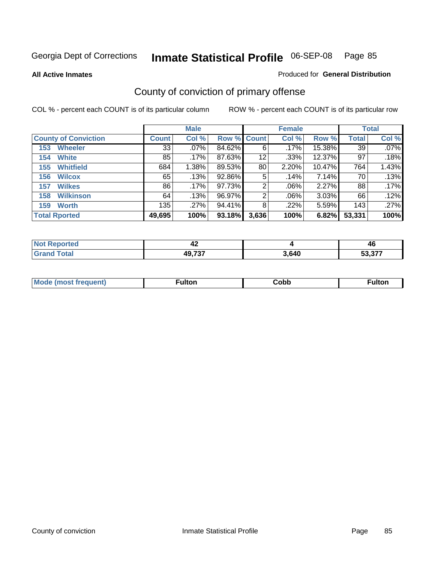**All Active Inmates**

### Produced for **General Distribution**

# County of conviction of primary offense

|                             | <b>Male</b>  |         |             | <b>Female</b>     |         |        | <b>Total</b> |         |
|-----------------------------|--------------|---------|-------------|-------------------|---------|--------|--------------|---------|
| <b>County of Conviction</b> | <b>Count</b> | Col %   | Row % Count |                   | Col %   | Row %  | <b>Total</b> | Col %   |
| <b>Wheeler</b><br>153       | 33           | $.07\%$ | 84.62%      | 6                 | .17%    | 15.38% | 39           | $.07\%$ |
| <b>White</b><br>154         | 85           | .17%    | 87.63%      | $12 \overline{ }$ | .33%    | 12.37% | 97           | .18%    |
| <b>Whitfield</b><br>155     | 684          | 1.38%   | 89.53%      | 80                | 2.20%   | 10.47% | 764          | 1.43%   |
| <b>Wilcox</b><br>156        | 65           | .13%    | 92.86%      | 5                 | .14%    | 7.14%  | 70           | .13%    |
| <b>Wilkes</b><br>157        | 86           | .17%    | 97.73%      | 2                 | $.06\%$ | 2.27%  | 88           | .17%    |
| <b>Wilkinson</b><br>158     | 64           | .13%    | 96.97%      | 2                 | $.06\%$ | 3.03%  | 66           | $.12\%$ |
| <b>Worth</b><br>159         | 135          | .27%    | 94.41%      | 8                 | $.22\%$ | 5.59%  | 143          | $.27\%$ |
| <b>Total Rported</b>        | 49,695       | 100%    | 93.18%      | 3,636             | 100%    | 6.82%  | 53,331       | 100%    |

| Reported<br><b>NOT</b> | . .<br>,,<br>44 |       | 46    |
|------------------------|-----------------|-------|-------|
| <b>ota</b>             | 49,737          | 3,640 | - 277 |

| Mc | ™ulton | Cobb |  |
|----|--------|------|--|
|    |        |      |  |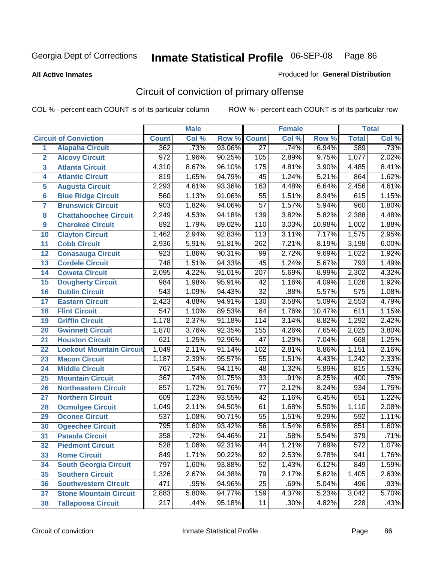**All Active Inmates**

#### Produced for **General Distribution**

# Circuit of conviction of primary offense

|                         |                                 |                  | <b>Male</b> |        |                  | <b>Female</b> |        |                  | <b>Total</b> |
|-------------------------|---------------------------------|------------------|-------------|--------|------------------|---------------|--------|------------------|--------------|
|                         | <b>Circuit of Conviction</b>    | <b>Count</b>     | Col %       | Row %  | <b>Count</b>     | Col %         | Row %  | <b>Total</b>     | Col %        |
| 1                       | <b>Alapaha Circuit</b>          | 362              | .73%        | 93.06% | $\overline{27}$  | .74%          | 6.94%  | 389              | .73%         |
| $\overline{2}$          | <b>Alcovy Circuit</b>           | $\overline{972}$ | 1.96%       | 90.25% | 105              | 2.89%         | 9.75%  | 1,077            | 2.02%        |
| $\overline{\mathbf{3}}$ | <b>Atlanta Circuit</b>          | 4,310            | 8.67%       | 96.10% | $\overline{175}$ | 4.81%         | 3.90%  | 4,485            | 8.41%        |
| 4                       | <b>Atlantic Circuit</b>         | 819              | 1.65%       | 94.79% | $\overline{45}$  | 1.24%         | 5.21%  | 864              | 1.62%        |
| 5                       | <b>Augusta Circuit</b>          | 2,293            | 4.61%       | 93.36% | 163              | 4.48%         | 6.64%  | 2,456            | 4.61%        |
| $6\phantom{a}$          | <b>Blue Ridge Circuit</b>       | 560              | 1.13%       | 91.06% | $\overline{55}$  | 1.51%         | 8.94%  | 615              | 1.15%        |
| $\overline{7}$          | <b>Brunswick Circuit</b>        | 903              | 1.82%       | 94.06% | $\overline{57}$  | 1.57%         | 5.94%  | 960              | 1.80%        |
| 8                       | <b>Chattahoochee Circuit</b>    | 2,249            | 4.53%       | 94.18% | 139              | 3.82%         | 5.82%  | 2,388            | 4.48%        |
| 9                       | <b>Cherokee Circuit</b>         | 892              | 1.79%       | 89.02% | 110              | 3.03%         | 10.98% | 1,002            | 1.88%        |
| 10                      | <b>Clayton Circuit</b>          | 1,462            | 2.94%       | 92.83% | 113              | 3.11%         | 7.17%  | 1,575            | 2.95%        |
| 11                      | <b>Cobb Circuit</b>             | 2,936            | 5.91%       | 91.81% | 262              | 7.21%         | 8.19%  | 3,198            | 6.00%        |
| 12                      | <b>Conasauga Circuit</b>        | 923              | 1.86%       | 90.31% | 99               | 2.72%         | 9.69%  | 1,022            | 1.92%        |
| 13                      | <b>Cordele Circuit</b>          | 748              | 1.51%       | 94.33% | $\overline{45}$  | 1.24%         | 5.67%  | 793              | 1.49%        |
| 14                      | <b>Coweta Circuit</b>           | 2,095            | 4.22%       | 91.01% | 207              | 5.69%         | 8.99%  | 2,302            | 4.32%        |
| 15                      | <b>Dougherty Circuit</b>        | 984              | 1.98%       | 95.91% | 42               | 1.16%         | 4.09%  | 1,026            | 1.92%        |
| 16                      | <b>Dublin Circuit</b>           | 543              | 1.09%       | 94.43% | $\overline{32}$  | .88%          | 5.57%  | $\overline{575}$ | 1.08%        |
| 17                      | <b>Eastern Circuit</b>          | 2,423            | 4.88%       | 94.91% | 130              | 3.58%         | 5.09%  | 2,553            | 4.79%        |
| 18                      | <b>Flint Circuit</b>            | $\overline{547}$ | 1.10%       | 89.53% | 64               | 1.76%         | 10.47% | 611              | 1.15%        |
| 19                      | <b>Griffin Circuit</b>          | 1,178            | 2.37%       | 91.18% | 114              | 3.14%         | 8.82%  | 1,292            | 2.42%        |
| 20                      | <b>Gwinnett Circuit</b>         | 1,870            | 3.76%       | 92.35% | 155              | 4.26%         | 7.65%  | 2,025            | 3.80%        |
| 21                      | <b>Houston Circuit</b>          | 621              | 1.25%       | 92.96% | $\overline{47}$  | 1.29%         | 7.04%  | 668              | 1.25%        |
| 22                      | <b>Lookout Mountain Circuit</b> | 1,049            | 2.11%       | 91.14% | 102              | 2.81%         | 8.86%  | 1,151            | 2.16%        |
| 23                      | <b>Macon Circuit</b>            | 1,187            | 2.39%       | 95.57% | 55               | 1.51%         | 4.43%  | 1,242            | 2.33%        |
| 24                      | <b>Middle Circuit</b>           | 767              | 1.54%       | 94.11% | 48               | 1.32%         | 5.89%  | 815              | 1.53%        |
| 25                      | <b>Mountain Circuit</b>         | $\overline{367}$ | .74%        | 91.75% | $\overline{33}$  | .91%          | 8.25%  | 400              | .75%         |
| 26                      | <b>Northeastern Circuit</b>     | 857              | 1.72%       | 91.76% | $\overline{77}$  | 2.12%         | 8.24%  | 934              | 1.75%        |
| 27                      | <b>Northern Circuit</b>         | 609              | 1.23%       | 93.55% | $\overline{42}$  | 1.16%         | 6.45%  | 651              | 1.22%        |
| 28                      | <b>Ocmulgee Circuit</b>         | 1,049            | 2.11%       | 94.50% | 61               | 1.68%         | 5.50%  | 1,110            | 2.08%        |
| 29                      | <b>Oconee Circuit</b>           | $\overline{537}$ | 1.08%       | 90.71% | $\overline{55}$  | 1.51%         | 9.29%  | 592              | 1.11%        |
| 30                      | <b>Ogeechee Circuit</b>         | 795              | 1.60%       | 93.42% | $\overline{56}$  | 1.54%         | 6.58%  | 851              | 1.60%        |
| 31                      | <b>Pataula Circuit</b>          | 358              | .72%        | 94.46% | 21               | .58%          | 5.54%  | 379              | .71%         |
| 32                      | <b>Piedmont Circuit</b>         | $\overline{528}$ | 1.06%       | 92.31% | 44               | 1.21%         | 7.69%  | $\overline{572}$ | 1.07%        |
| 33                      | <b>Rome Circuit</b>             | 849              | 1.71%       | 90.22% | $\overline{92}$  | 2.53%         | 9.78%  | 941              | 1.76%        |
| 34                      | <b>South Georgia Circuit</b>    | 797              | 1.60%       | 93.88% | $\overline{52}$  | 1.43%         | 6.12%  | 849              | 1.59%        |
| 35                      | <b>Southern Circuit</b>         | 1,326            | 2.67%       | 94.38% | 79               | 2.17%         | 5.62%  | 1,405            | 2.63%        |
| 36                      | <b>Southwestern Circuit</b>     | 471              | .95%        | 94.96% | 25               | .69%          | 5.04%  | 496              | .93%         |
| 37                      | <b>Stone Mountain Circuit</b>   | 2,883            | 5.80%       | 94.77% | 159              | 4.37%         | 5.23%  | 3,042            | 5.70%        |
| 38                      | <b>Tallapoosa Circuit</b>       | $\overline{217}$ | .44%        | 95.18% | 11               | .30%          | 4.82%  | 228              | .43%         |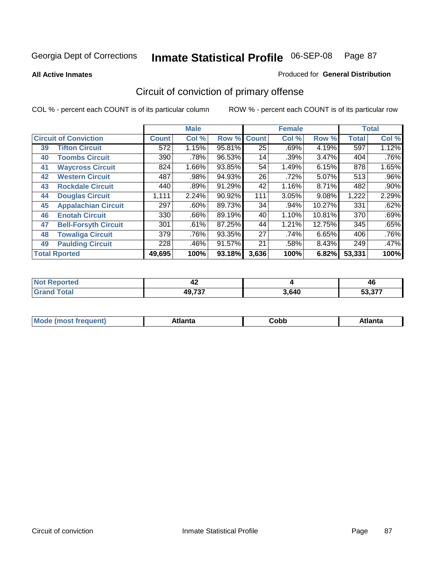**All Active Inmates**

### Produced for **General Distribution**

# Circuit of conviction of primary offense

|                              |                             |              | <b>Male</b> |        |                 | <b>Female</b> |        |              | <b>Total</b> |  |
|------------------------------|-----------------------------|--------------|-------------|--------|-----------------|---------------|--------|--------------|--------------|--|
| <b>Circuit of Conviction</b> |                             | <b>Count</b> | Col %       | Row %  | <b>Count</b>    | Col %         | Row %  | <b>Total</b> | Col %        |  |
| 39                           | <b>Tifton Circuit</b>       | 572          | 1.15%       | 95.81% | $\overline{25}$ | .69%          | 4.19%  | 597          | 1.12%        |  |
| 40                           | <b>Toombs Circuit</b>       | 390          | .78%        | 96.53% | 14              | .39%          | 3.47%  | 404          | .76%         |  |
| 41                           | <b>Waycross Circuit</b>     | 824          | 1.66%       | 93.85% | 54              | 1.49%         | 6.15%  | 878          | 1.65%        |  |
| 42                           | <b>Western Circuit</b>      | 487          | $.98\%$     | 94.93% | 26              | .72%          | 5.07%  | 513          | $.96\%$      |  |
| 43                           | <b>Rockdale Circuit</b>     | 440          | .89%        | 91.29% | 42              | 1.16%         | 8.71%  | 482          | .90%         |  |
| 44                           | <b>Douglas Circuit</b>      | 1,111        | 2.24%       | 90.92% | 111             | 3.05%         | 9.08%  | 1,222        | 2.29%        |  |
| 45                           | <b>Appalachian Circuit</b>  | 297          | $.60\%$     | 89.73% | 34              | .94%          | 10.27% | 331          | .62%         |  |
| 46                           | <b>Enotah Circuit</b>       | 330          | .66%        | 89.19% | 40              | 1.10%         | 10.81% | 370          | .69%         |  |
| 47                           | <b>Bell-Forsyth Circuit</b> | 301          | .61%        | 87.25% | 44              | 1.21%         | 12.75% | 345          | .65%         |  |
| 48                           | <b>Towaliga Circuit</b>     | 379          | .76%        | 93.35% | 27              | .74%          | 6.65%  | 406          | .76%         |  |
| 49                           | <b>Paulding Circuit</b>     | 228          | .46%        | 91.57% | 21              | .58%          | 8.43%  | 249          | .47%         |  |
|                              | <b>Total Rported</b>        | 49,695       | 100%        | 93.18% | 3,636           | 100%          | 6.82%  | 53,331       | 100%         |  |

| N<br>тео | 4∠     |       | 46            |
|----------|--------|-------|---------------|
|          | 49,737 | 3,640 | <b>FO 077</b> |

| M, | $+1 - - + -$<br>annu -<br>uu | ∶obb<br>- - - - - | .<br>чна<br>- --------- |
|----|------------------------------|-------------------|-------------------------|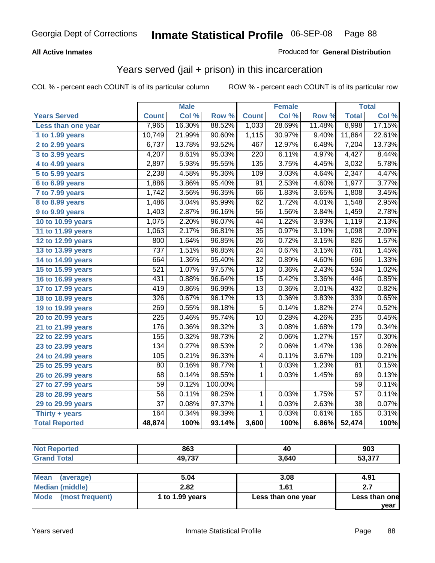### **All Active Inmates**

### Produced for **General Distribution**

# Years served (jail + prison) in this incarceration

COL % - percent each COUNT is of its particular column ROW % - percent each COUNT is of its particular row

|                              | <b>Male</b>      |        | <b>Female</b> |                  |        | <b>Total</b> |                 |        |
|------------------------------|------------------|--------|---------------|------------------|--------|--------------|-----------------|--------|
| <b>Years Served</b>          | <b>Count</b>     | Col %  | Row %         | <b>Count</b>     | Col %  | Row %        | <b>Total</b>    | Col %  |
| Less than one year           | 7,965            | 16.30% | 88.52%        | 1,033            | 28.69% | 11.48%       | 8,998           | 17.15% |
| 1 to 1.99 years              | 10,749           | 21.99% | 90.60%        | 1,115            | 30.97% | 9.40%        | 11,864          | 22.61% |
| 2 to 2.99 years              | 6,737            | 13.78% | 93.52%        | 467              | 12.97% | 6.48%        | 7,204           | 13.73% |
| $3$ to 3.99 years            | 4,207            | 8.61%  | 95.03%        | $\overline{220}$ | 6.11%  | 4.97%        | 4,427           | 8.44%  |
| 4 to 4.99 years              | 2,897            | 5.93%  | 95.55%        | $\overline{135}$ | 3.75%  | 4.45%        | 3,032           | 5.78%  |
| 5 to 5.99 years              | 2,238            | 4.58%  | 95.36%        | 109              | 3.03%  | 4.64%        | 2,347           | 4.47%  |
| 6 to 6.99 years              | 1,886            | 3.86%  | 95.40%        | $\overline{91}$  | 2.53%  | 4.60%        | 1,977           | 3.77%  |
| $\overline{7}$ to 7.99 years | 1,742            | 3.56%  | 96.35%        | 66               | 1.83%  | 3.65%        | 1,808           | 3.45%  |
| 8 to 8.99 years              | 1,486            | 3.04%  | 95.99%        | 62               | 1.72%  | 4.01%        | 1,548           | 2.95%  |
| 9 to 9.99 years              | 1,403            | 2.87%  | 96.16%        | $\overline{56}$  | 1.56%  | 3.84%        | 1,459           | 2.78%  |
| 10 to 10.99 years            | 1,075            | 2.20%  | 96.07%        | 44               | 1.22%  | 3.93%        | 1,119           | 2.13%  |
| 11 to 11.99 years            | 1,063            | 2.17%  | 96.81%        | $\overline{35}$  | 0.97%  | 3.19%        | 1,098           | 2.09%  |
| 12 to 12.99 years            | 800              | 1.64%  | 96.85%        | $\overline{26}$  | 0.72%  | 3.15%        | 826             | 1.57%  |
| 13 to 13.99 years            | $\overline{737}$ | 1.51%  | 96.85%        | $\overline{24}$  | 0.67%  | 3.15%        | 761             | 1.45%  |
| 14 to 14.99 years            | 664              | 1.36%  | 95.40%        | $\overline{32}$  | 0.89%  | 4.60%        | 696             | 1.33%  |
| 15 to 15.99 years            | $\overline{521}$ | 1.07%  | 97.57%        | 13               | 0.36%  | 2.43%        | 534             | 1.02%  |
| 16 to 16.99 years            | 431              | 0.88%  | 96.64%        | $\overline{15}$  | 0.42%  | 3.36%        | 446             | 0.85%  |
| 17 to 17.99 years            | 419              | 0.86%  | 96.99%        | $\overline{13}$  | 0.36%  | 3.01%        | 432             | 0.82%  |
| 18 to 18.99 years            | $\overline{32}6$ | 0.67%  | 96.17%        | 13               | 0.36%  | 3.83%        | 339             | 0.65%  |
| 19 to 19.99 years            | 269              | 0.55%  | 98.18%        | $\overline{5}$   | 0.14%  | 1.82%        | 274             | 0.52%  |
| 20 to 20.99 years            | $\overline{225}$ | 0.46%  | 95.74%        | 10               | 0.28%  | 4.26%        | 235             | 0.45%  |
| 21 to 21.99 years            | 176              | 0.36%  | 98.32%        | $\overline{3}$   | 0.08%  | 1.68%        | 179             | 0.34%  |
| 22 to 22.99 years            | 155              | 0.32%  | 98.73%        | $\overline{2}$   | 0.06%  | 1.27%        | 157             | 0.30%  |
| 23 to 23.99 years            | 134              | 0.27%  | 98.53%        | $\overline{2}$   | 0.06%  | 1.47%        | 136             | 0.26%  |
| 24 to 24.99 years            | 105              | 0.21%  | 96.33%        | 4                | 0.11%  | 3.67%        | 109             | 0.21%  |
| 25 to 25.99 years            | 80               | 0.16%  | 98.77%        | $\mathbf{1}$     | 0.03%  | 1.23%        | 81              | 0.15%  |
| 26 to 26.99 years            | 68               | 0.14%  | 98.55%        | 1                | 0.03%  | 1.45%        | 69              | 0.13%  |
| 27 to 27.99 years            | $\overline{59}$  | 0.12%  | 100.00%       |                  |        |              | 59              | 0.11%  |
| 28 to 28.99 years            | $\overline{56}$  | 0.11%  | 98.25%        | $\mathbf 1$      | 0.03%  | 1.75%        | $\overline{57}$ | 0.11%  |
| 29 to 29.99 years            | $\overline{37}$  | 0.08%  | 97.37%        | $\mathbf{1}$     | 0.03%  | 2.63%        | $\overline{38}$ | 0.07%  |
| Thirty + years               | 164              | 0.34%  | 99.39%        | $\mathbf{1}$     | 0.03%  | 0.61%        | 165             | 0.31%  |
| <b>Total Reported</b>        | 48,874           | 100%   | 93.14%        | 3,600            | 100%   | 6.86%        | 52,474          | 100%   |

| <b>Not Reported</b>            | 863             | 40                 | 903           |
|--------------------------------|-----------------|--------------------|---------------|
| <b>Grand Total</b>             | 49,737          | 3,640              | 53,377        |
|                                |                 |                    |               |
| <b>Mean</b><br>(average)       | 5.04            | 3.08               | 4.91          |
| <b>Median (middle)</b>         | 2.82            | 1.61               | 2.7           |
| <b>Mode</b><br>(most frequent) | 1 to 1.99 years | Less than one year | Less than one |

**year**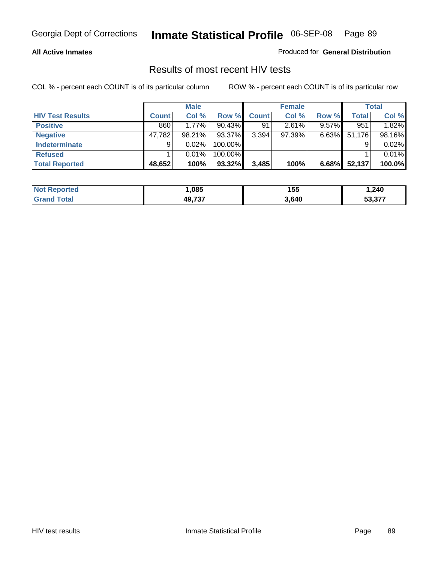### **All Active Inmates**

Produced for **General Distribution**

### Results of most recent HIV tests

|                         |              | <b>Male</b> |         |              | <b>Female</b> |          |        | <b>Total</b> |
|-------------------------|--------------|-------------|---------|--------------|---------------|----------|--------|--------------|
| <b>HIV Test Results</b> | <b>Count</b> | Col %       | Row %   | <b>Count</b> | Col %         | Row %    | Total  | Col %        |
| <b>Positive</b>         | 860          | $1.77\%$    | 90.43%  | 91           | 2.61%         | $9.57\%$ | 951    | 1.82%        |
| <b>Negative</b>         | 47,782       | 98.21%      | 93.37%  | 3,394        | $97.39\%$     | $6.63\%$ | 51,176 | 98.16%       |
| Indeterminate           | 9            | 0.02%       | 100.00% |              |               |          |        | 0.02%        |
| <b>Refused</b>          |              | 0.01%       | 100.00% |              |               |          |        | 0.01%        |
| <b>Total Reported</b>   | 48,652       | 100%        | 93.32%  | 3,485        | 100%          | 6.68%    | 52,137 | 100.0%       |

| <b>Not</b><br>rted          | .085   | 155   | 240. ا                                            |
|-----------------------------|--------|-------|---------------------------------------------------|
| <b>otal</b><br><b>Grand</b> | 10 727 | 3,640 | $F^{\wedge}$ $\wedge$ $\rightarrow$ $\rightarrow$ |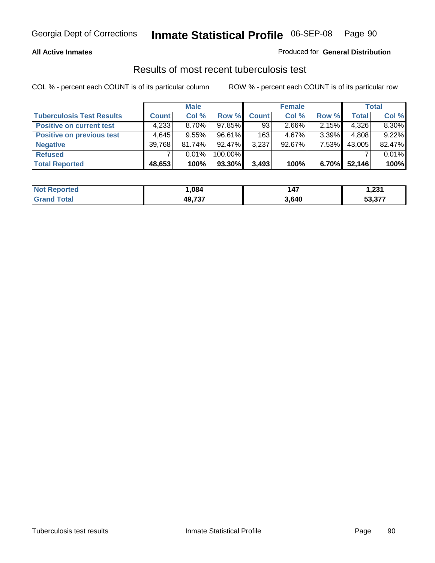### **All Active Inmates**

### Produced for **General Distribution**

### Results of most recent tuberculosis test

|                                  |              | <b>Male</b> |         |              | <b>Female</b> |          |              | Total    |
|----------------------------------|--------------|-------------|---------|--------------|---------------|----------|--------------|----------|
| <b>Tuberculosis Test Results</b> | <b>Count</b> | Col %       | Row %   | <b>Count</b> | Col %         | Row %    | <b>Total</b> | Col %    |
| <b>Positive on current test</b>  | 4,233        | $8.70\%$    | 97.85%  | 93           | $2.66\%$      | 2.15%    | 4,326        | $8.30\%$ |
| <b>Positive on previous test</b> | 4.645        | $9.55\%$    | 96.61%  | 163          | $4.67\%$      | $3.39\%$ | 4,808        | 9.22%    |
| <b>Negative</b>                  | 39,768       | $81.74\%$   | 92.47%  | 3,237        | $92.67\%$     | 7.53%    | 43,005       | 82.47%   |
| <b>Refused</b>                   |              | 0.01%       | 100.00% |              |               |          |              | 0.01%    |
| <b>Total Reported</b>            | 48,653       | 100%        | 93.30%  | 3,493        | 100%          | $6.70\%$ | 52,146       | 100%     |

| <b>Not</b>       | .084          | 147   | l 221     |
|------------------|---------------|-------|-----------|
| <b>Reported</b>  |               |       | ا تـــ    |
| ' Grand<br>™otar | <b>49 737</b> | 3,640 | $E_2 277$ |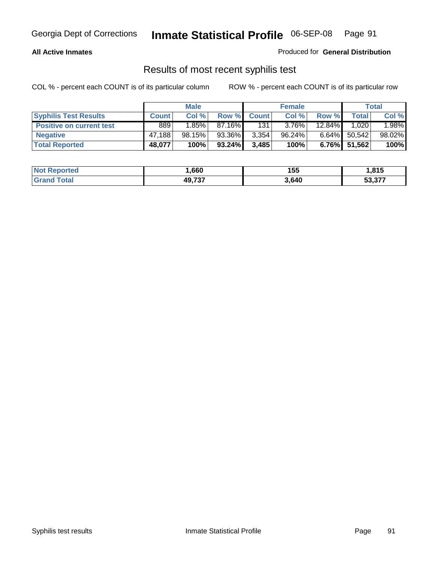### **All Active Inmates**

Produced for **General Distribution**

### Results of most recent syphilis test

|                                 | <b>Male</b>  |          |           |              | <b>Female</b> |          | Total           |        |
|---------------------------------|--------------|----------|-----------|--------------|---------------|----------|-----------------|--------|
| <b>Syphilis Test Results</b>    | <b>Count</b> | Col %    | Row %     | <b>Count</b> | Col %         | Row %    | <b>Total</b>    | Col %  |
| <b>Positive on current test</b> | 889          | $1.85\%$ | 87.16%I   | 131          | $3.76\%$      | 12.84%   | 1,020           | 1.98%  |
| <b>Negative</b>                 | 47.188       | 98.15%   | 93.36%    | 3,354        | 96.24%        | $6.64\%$ | 50,542          | 98.02% |
| <b>Total Reported</b>           | 48,077       | 100%     | $93.24\%$ | 3,485        | 100%          |          | $6.76\%$ 51,562 | 100%   |

| <b>Not Reported</b> | .660   | 155   | 815.ء  |
|---------------------|--------|-------|--------|
| <b>Grand Total</b>  | 49,737 | 3,640 | 53,377 |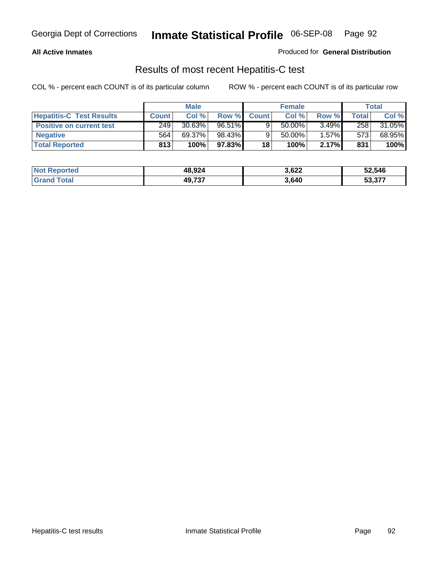### **All Active Inmates**

Produced for **General Distribution**

### Results of most recent Hepatitis-C test

|                                 | <b>Male</b>  |        | <b>Female</b> |              |           | Total    |             |        |
|---------------------------------|--------------|--------|---------------|--------------|-----------|----------|-------------|--------|
| <b>Hepatitis-C Test Results</b> | <b>Count</b> | Col %  | Row %I        | <b>Count</b> | Col %     | Row %    | $\tau$ otal | Col %  |
| <b>Positive on current test</b> | 249          | 30.63% | $96.51\%$     |              | $50.00\%$ | $3.49\%$ | 258         | 31.05% |
| <b>Negative</b>                 | 564          | 69.37% | 98.43%        |              | 50.00%    | $1.57\%$ | 573         | 68.95% |
| <b>Total Reported</b>           | 813          | 100%   | 97.83%        | 18           | 100%      | 2.17%    | 831         | 100%   |

| <b>Not Reported</b> | 48,924 | 3,622 | 52,546 |
|---------------------|--------|-------|--------|
| <b>Grand Total</b>  | 49,737 | 3,640 | 53,377 |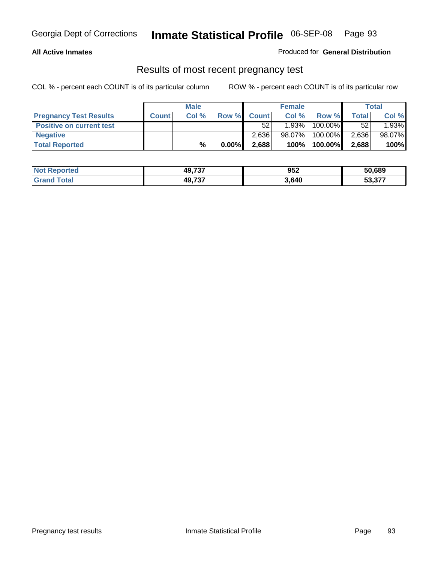### **All Active Inmates**

Produced for **General Distribution**

### Results of most recent pregnancy test

|                                 | <b>Male</b>  |       |       | <b>Female</b> |           |         | Total |        |
|---------------------------------|--------------|-------|-------|---------------|-----------|---------|-------|--------|
| <b>Pregnancy Test Results</b>   | <b>Count</b> | Col % | Row % | <b>Count</b>  | Col %     | Row %   | Total | Col %  |
| <b>Positive on current test</b> |              |       |       | 52            | 1.93%     | 100.00% | 52    | 1.93%  |
| <b>Negative</b>                 |              |       |       | 2.636         | $98.07\%$ | 100.00% | 2,636 | 98.07% |
| <b>Total Reported</b>           |              | %     | 0.00% | 2,688         | 100%      | 100.00% | 2,688 | 100%   |

| <b>Not Reported</b> | 49,737 | 952   | 50,689 |
|---------------------|--------|-------|--------|
| <b>Grand Total</b>  | 49.737 | 3,640 | 53,377 |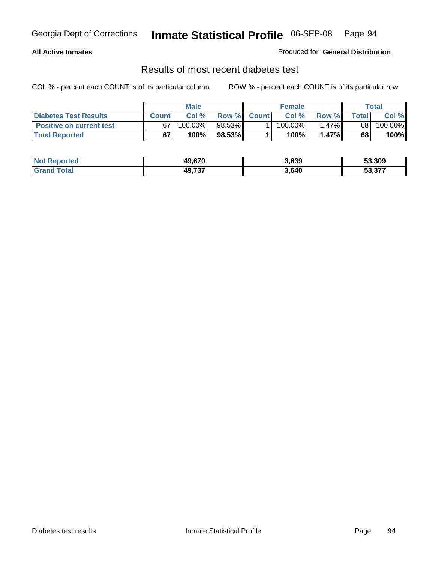### **All Active Inmates**

### Produced for **General Distribution**

### Results of most recent diabetes test

|                                 | <b>Male</b>  |         |                 |              | <b>Female</b> |        | Total |         |
|---------------------------------|--------------|---------|-----------------|--------------|---------------|--------|-------|---------|
| <b>Diabetes Test Results</b>    | <b>Count</b> | Col %   | Row %           | <b>Count</b> | Col %         | Row %I | Total | Col %   |
| <b>Positive on current test</b> | 67           | 100.00% | 98.53% <b>I</b> |              | $100.00\%$    | 1.47%  | 68    | 100.00% |
| <b>Total Reported</b>           | 67           | 100%    | 98.53%          |              | 100%          | 1.47%  | 68    | 100%    |

| <b>Not Reported</b> | 49.670 | 3,639 | 53,309 |
|---------------------|--------|-------|--------|
| Total<br>Grand      | 49.737 | 3,640 | 53.377 |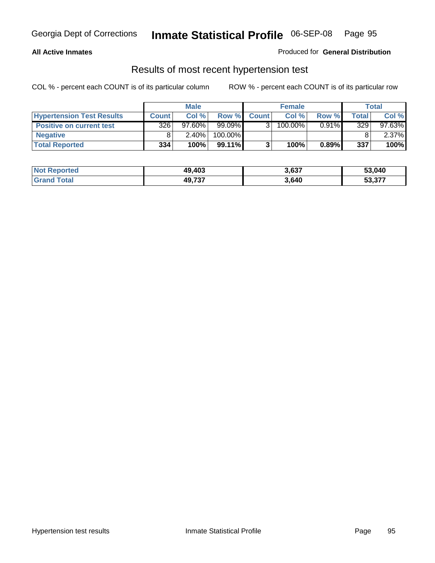### **All Active Inmates**

### Produced for **General Distribution**

### Results of most recent hypertension test

|                                  | <b>Male</b>  |           |         |              | <b>Female</b> |          | <b>Total</b> |           |
|----------------------------------|--------------|-----------|---------|--------------|---------------|----------|--------------|-----------|
| <b>Hypertension Test Results</b> | <b>Count</b> | Col %     | Row %   | <b>Count</b> | Col%          | Row %    | Total        | Col %     |
| <b>Positive on current test</b>  | 326          | $97.60\%$ | 99.09%  |              | 100.00%       | $0.91\%$ | 329          | $97.63\%$ |
| <b>Negative</b>                  |              | $2.40\%$  | 100.00% |              |               |          |              | $2.37\%$  |
| <b>Total Reported</b>            | 334          | 100%      | 99.11%  |              | 100%          | 0.89%    | 337          | 100%      |

| <b>Not Reported</b> | 49,403 | 3,637 | 53,040 |
|---------------------|--------|-------|--------|
| <b>Grand Total</b>  | 49,737 | 3,640 | 53,377 |